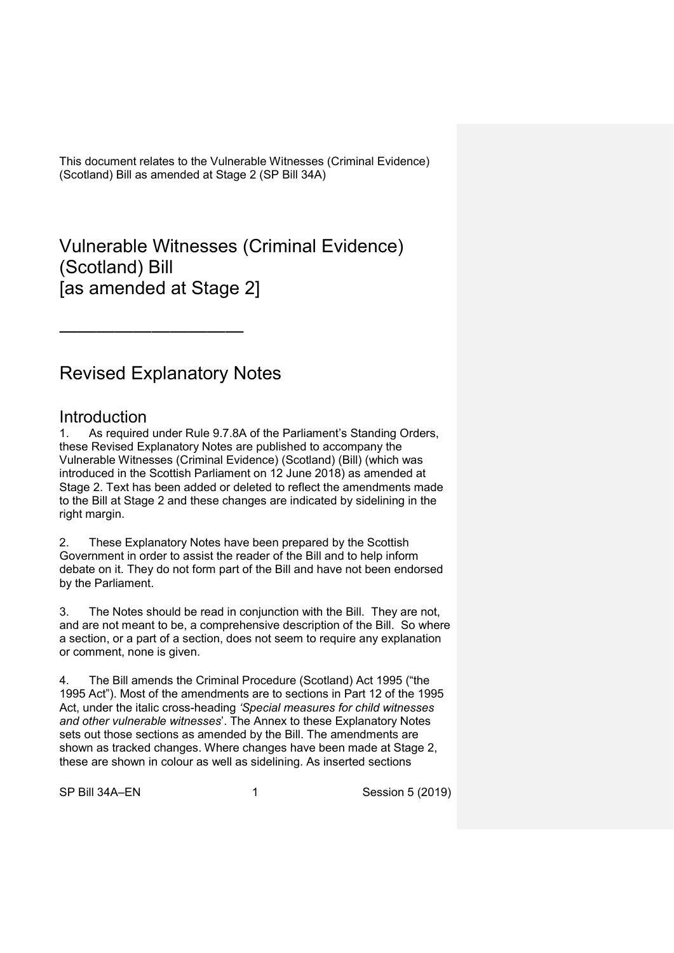(Scotland) Bill [as amended at Stage 2] Vulnerable Witnesses (Criminal Evidence)

# Revised Explanatory Notes

——————————

# **Introduction**<br>1. As required

 1. As required under Rule 9.7.8A of the Parliament's Standing Orders, these Revised Explanatory Notes are published to accompany the Vulnerable Witnesses (Criminal Evidence) (Scotland) (Bill) (which was introduced in the Scottish Parliament on 12 June 2018) as amended at Stage 2. Text has been added or deleted to reflect the amendments made to the Bill at Stage 2 and these changes are indicated by sidelining in the right margin.

 $2.$  Government in order to assist the reader of the Bill and to help inform debate on it. They do not form part of the Bill and have not been endorsed by the Parliament. These Explanatory Notes have been prepared by the Scottish

 3. The Notes should be read in conjunction with the Bill. They are not, and are not meant to be, a comprehensive description of the Bill. So where a section, or a part of a section, does not seem to require any explanation or comment, none is given.

 4. The Bill amends the Criminal Procedure (Scotland) Act 1995 ("the 1995 Act"). Most of the amendments are to sections in Part 12 of the 1995 Act, under the italic cross-heading *'Special measures for child witnesses and other vulnerable witnesses*'. The Annex to these Explanatory Notes sets out those sections as amended by the Bill. The amendments are shown as tracked changes. Where changes have been made at Stage 2, these are shown in colour as well as sidelining. As inserted sections

SP Bill 34A–EN 1 Session 5 (2019)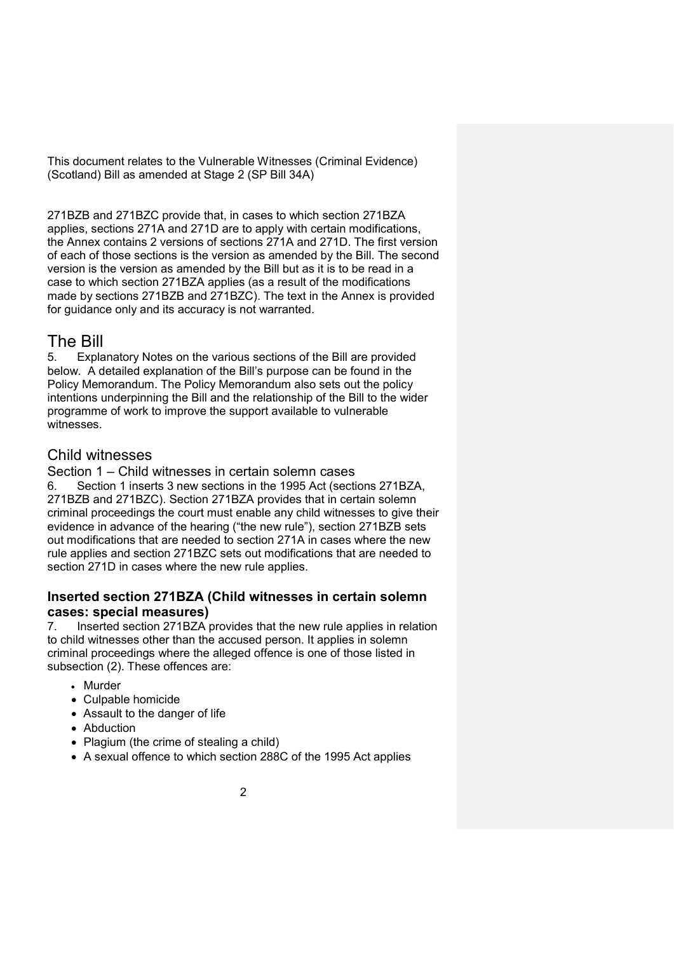271BZB and 271BZC provide that, in cases to which section 271BZA applies, sections 271A and 271D are to apply with certain modifications, the Annex contains 2 versions of sections 271A and 271D. The first version of each of those sections is the version as amended by the Bill. The second version is the version as amended by the Bill but as it is to be read in a case to which section 271BZA applies (as a result of the modifications made by sections 271BZB and 271BZC). The text in the Annex is provided for guidance only and its accuracy is not warranted.

# The Bill<br>5. Expla

 5. Explanatory Notes on the various sections of the Bill are provided below. A detailed explanation of the Bill's purpose can be found in the Policy Memorandum. The Policy Memorandum also sets out the policy intentions underpinning the Bill and the relationship of the Bill to the wider programme of work to improve the support available to vulnerable witnesses.

## **Child witnesses**

Section 1 – Child witnesses in certain solemn cases

 6. Section 1 inserts 3 new sections in the 1995 Act (sections 271BZA, 271BZB and 271BZC). Section 271BZA provides that in certain solemn criminal proceedings the court must enable any child witnesses to give their evidence in advance of the hearing ("the new rule"), section 271BZB sets out modifications that are needed to section 271A in cases where the new rule applies and section 271BZC sets out modifications that are needed to section 271D in cases where the new rule applies.

# **Inserted section 271BZA (Child witnesses in certain solemn cases: special measures)**

 7. Inserted section 271BZA provides that the new rule applies in relation to child witnesses other than the accused person. It applies in solemn criminal proceedings where the alleged offence is one of those listed in subsection (2). These offences are:

- Murder
- Culpable homicide
- Assault to the danger of life
- Abduction
- Plagium (the crime of stealing a child)
- A sexual offence to which section 288C of the 1995 Act applies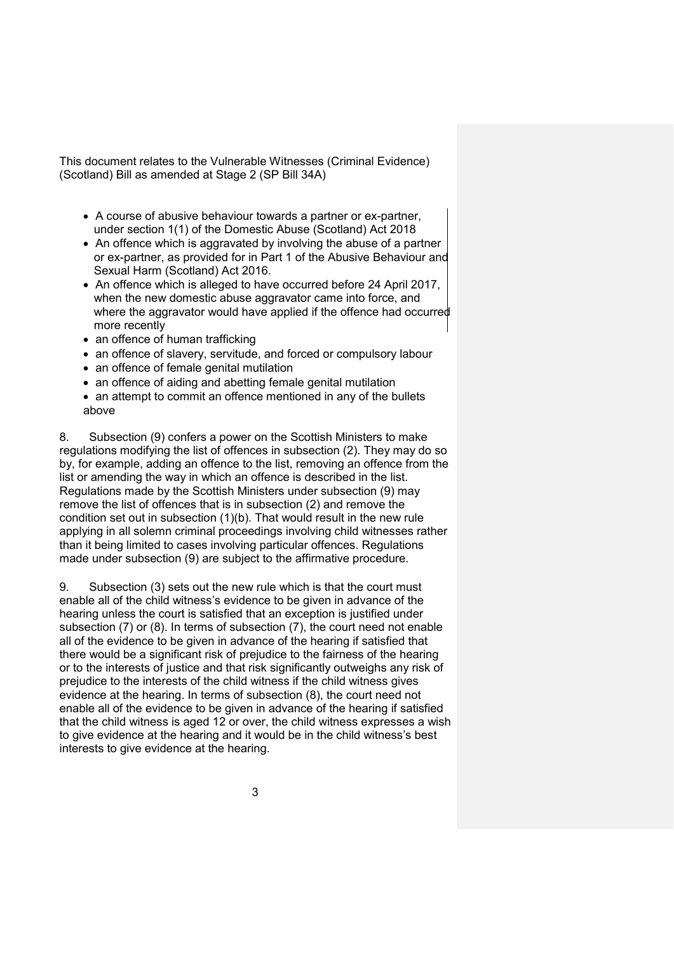- • A course of abusive behaviour towards a partner or ex-partner, under section 1(1) of the Domestic Abuse (Scotland) Act 2018
- • An offence which is aggravated by involving the abuse of a partner or ex-partner, as provided for in Part 1 of the Abusive Behaviour and Sexual Harm (Scotland) Act 2016.
- • An offence which is alleged to have occurred before 24 April 2017, when the new domestic abuse aggravator came into force, and where the aggravator would have applied if the offence had occurred more recently
- an offence of human trafficking
- an offence of slavery, servitude, and forced or compulsory labour
- an offence of female genital mutilation
- an offence of aiding and abetting female genital mutilation
- • an attempt to commit an offence mentioned in any of the bullets above

 8. Subsection (9) confers a power on the Scottish Ministers to make regulations modifying the list of offences in subsection (2). They may do so by, for example, adding an offence to the list, removing an offence from the list or amending the way in which an offence is described in the list. Regulations made by the Scottish Ministers under subsection (9) may remove the list of offences that is in subsection (2) and remove the condition set out in subsection (1)(b). That would result in the new rule applying in all solemn criminal proceedings involving child witnesses rather than it being limited to cases involving particular offences. Regulations made under subsection (9) are subject to the affirmative procedure.

 9. Subsection (3) sets out the new rule which is that the court must enable all of the child witness's evidence to be given in advance of the hearing unless the court is satisfied that an exception is justified under subsection (7) or (8). In terms of subsection (7), the court need not enable all of the evidence to be given in advance of the hearing if satisfied that there would be a significant risk of prejudice to the fairness of the hearing or to the interests of justice and that risk significantly outweighs any risk of prejudice to the interests of the child witness if the child witness gives evidence at the hearing. In terms of subsection (8), the court need not enable all of the evidence to be given in advance of the hearing if satisfied that the child witness is aged 12 or over, the child witness expresses a wish to give evidence at the hearing and it would be in the child witness's best interests to give evidence at the hearing.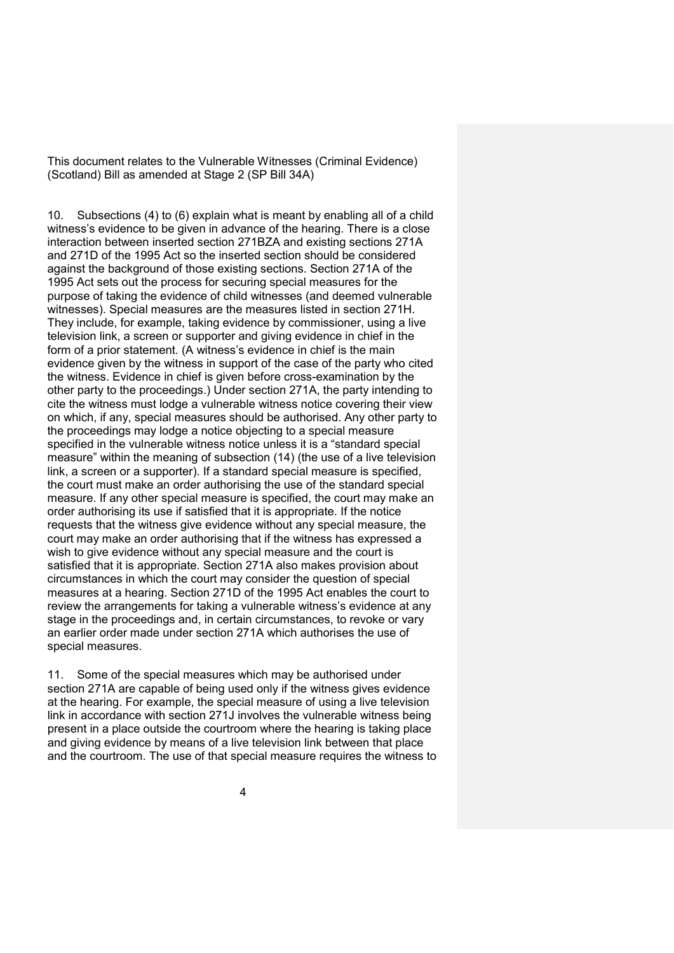10. Subsections (4) to (6) explain what is meant by enabling all of a child witness's evidence to be given in advance of the hearing. There is a close interaction between inserted section 271BZA and existing sections 271A and 271D of the 1995 Act so the inserted section should be considered against the background of those existing sections. Section 271A of the 1995 Act sets out the process for securing special measures for the purpose of taking the evidence of child witnesses (and deemed vulnerable witnesses). Special measures are the measures listed in section 271H. They include, for example, taking evidence by commissioner, using a live television link, a screen or supporter and giving evidence in chief in the form of a prior statement. (A witness's evidence in chief is the main evidence given by the witness in support of the case of the party who cited the witness. Evidence in chief is given before cross-examination by the other party to the proceedings.) Under section 271A, the party intending to cite the witness must lodge a vulnerable witness notice covering their view on which, if any, special measures should be authorised. Any other party to the proceedings may lodge a notice objecting to a special measure specified in the vulnerable witness notice unless it is a "standard special measure" within the meaning of subsection (14) (the use of a live television link, a screen or a supporter). If a standard special measure is specified, the court must make an order authorising the use of the standard special measure. If any other special measure is specified, the court may make an order authorising its use if satisfied that it is appropriate. If the notice requests that the witness give evidence without any special measure, the court may make an order authorising that if the witness has expressed a wish to give evidence without any special measure and the court is satisfied that it is appropriate. Section 271A also makes provision about circumstances in which the court may consider the question of special measures at a hearing. Section 271D of the 1995 Act enables the court to review the arrangements for taking a vulnerable witness's evidence at any stage in the proceedings and, in certain circumstances, to revoke or vary an earlier order made under section 271A which authorises the use of special measures.

 11. Some of the special measures which may be authorised under section 271A are capable of being used only if the witness gives evidence at the hearing. For example, the special measure of using a live television link in accordance with section 271J involves the vulnerable witness being present in a place outside the courtroom where the hearing is taking place and giving evidence by means of a live television link between that place and the courtroom. The use of that special measure requires the witness to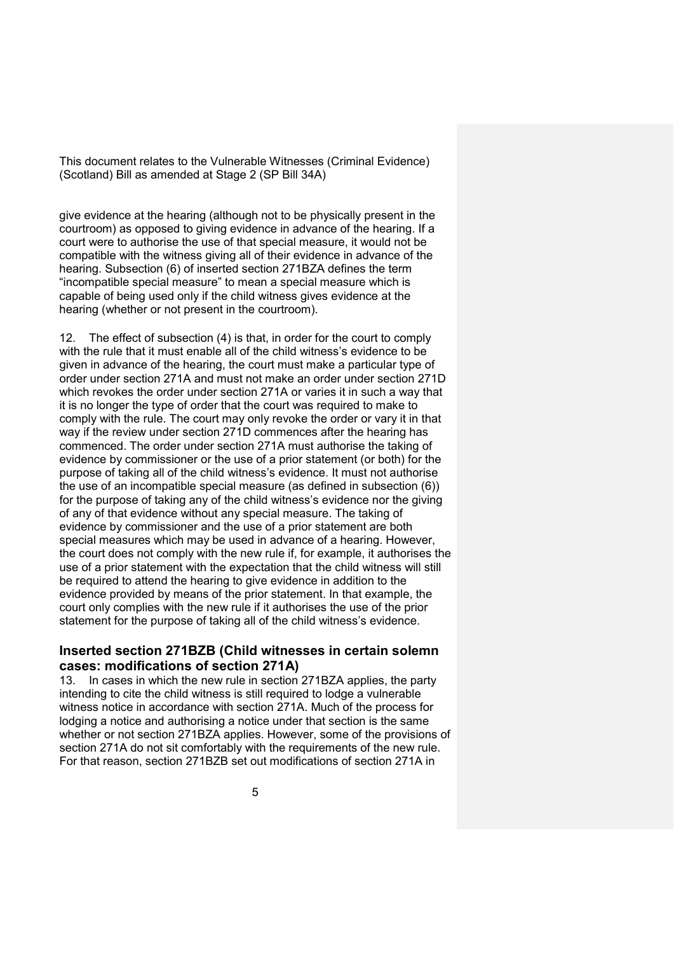give evidence at the hearing (although not to be physically present in the courtroom) as opposed to giving evidence in advance of the hearing. If a court were to authorise the use of that special measure, it would not be compatible with the witness giving all of their evidence in advance of the hearing. Subsection (6) of inserted section 271BZA defines the term "incompatible special measure" to mean a special measure which is capable of being used only if the child witness gives evidence at the hearing (whether or not present in the courtroom).

 12. The effect of subsection (4) is that, in order for the court to comply with the rule that it must enable all of the child witness's evidence to be given in advance of the hearing, the court must make a particular type of order under section 271A and must not make an order under section 271D which revokes the order under section 271A or varies it in such a way that it is no longer the type of order that the court was required to make to comply with the rule. The court may only revoke the order or vary it in that way if the review under section 271D commences after the hearing has commenced. The order under section 271A must authorise the taking of evidence by commissioner or the use of a prior statement (or both) for the purpose of taking all of the child witness's evidence. It must not authorise the use of an incompatible special measure (as defined in subsection (6)) for the purpose of taking any of the child witness's evidence nor the giving of any of that evidence without any special measure. The taking of evidence by commissioner and the use of a prior statement are both special measures which may be used in advance of a hearing. However, the court does not comply with the new rule if, for example, it authorises the use of a prior statement with the expectation that the child witness will still be required to attend the hearing to give evidence in addition to the evidence provided by means of the prior statement. In that example, the court only complies with the new rule if it authorises the use of the prior statement for the purpose of taking all of the child witness's evidence.

## **cases: modifications of section 271A) Inserted section 271BZB (Child witnesses in certain solemn**

 13. In cases in which the new rule in section 271BZA applies, the party intending to cite the child witness is still required to lodge a vulnerable witness notice in accordance with section 271A. Much of the process for lodging a notice and authorising a notice under that section is the same whether or not section 271BZA applies. However, some of the provisions of section 271A do not sit comfortably with the requirements of the new rule. For that reason, section 271BZB set out modifications of section 271A in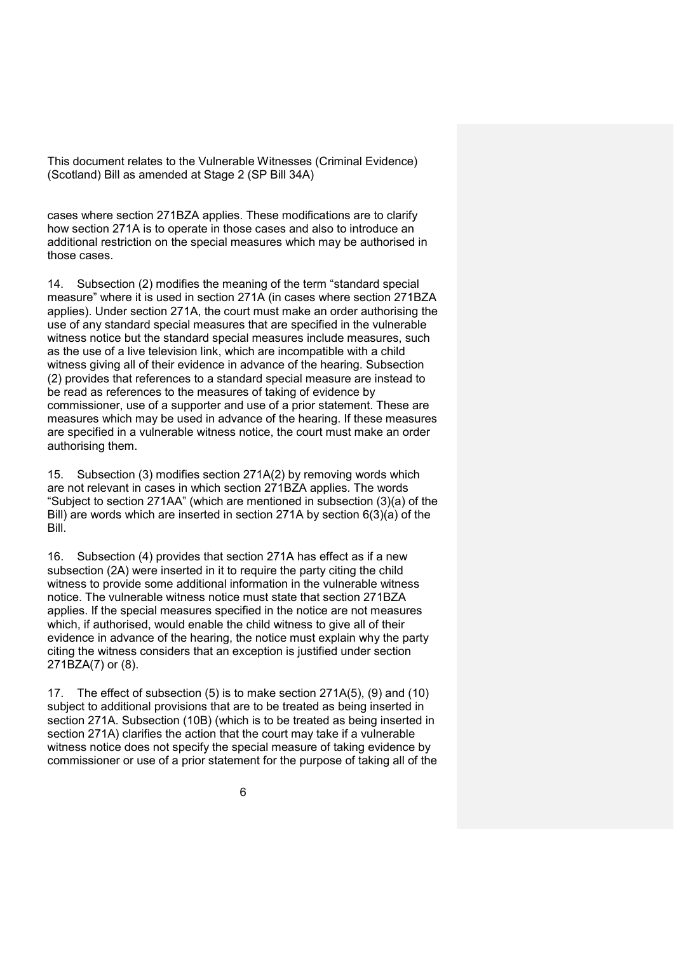cases where section 271BZA applies. These modifications are to clarify how section 271A is to operate in those cases and also to introduce an additional restriction on the special measures which may be authorised in those cases.

 14. Subsection (2) modifies the meaning of the term "standard special measure" where it is used in section 271A (in cases where section 271BZA applies). Under section 271A, the court must make an order authorising the use of any standard special measures that are specified in the vulnerable witness notice but the standard special measures include measures, such as the use of a live television link, which are incompatible with a child witness giving all of their evidence in advance of the hearing. Subsection (2) provides that references to a standard special measure are instead to be read as references to the measures of taking of evidence by commissioner, use of a supporter and use of a prior statement. These are measures which may be used in advance of the hearing. If these measures are specified in a vulnerable witness notice, the court must make an order authorising them.

 15. Subsection (3) modifies section 271A(2) by removing words which are not relevant in cases in which section 271BZA applies. The words "Subject to section 271AA" (which are mentioned in subsection (3)(a) of the Bill) are words which are inserted in section 271A by section 6(3)(a) of the Bill.

Bill.<br>16. Subsection (4) provides that section 271A has effect as if a new subsection (2A) were inserted in it to require the party citing the child witness to provide some additional information in the vulnerable witness notice. The vulnerable witness notice must state that section 271BZA applies. If the special measures specified in the notice are not measures which, if authorised, would enable the child witness to give all of their evidence in advance of the hearing, the notice must explain why the party citing the witness considers that an exception is justified under section 271BZA(7) or (8).

 17. The effect of subsection (5) is to make section 271A(5), (9) and (10) subject to additional provisions that are to be treated as being inserted in section 271A. Subsection (10B) (which is to be treated as being inserted in section 271A) clarifies the action that the court may take if a vulnerable witness notice does not specify the special measure of taking evidence by commissioner or use of a prior statement for the purpose of taking all of the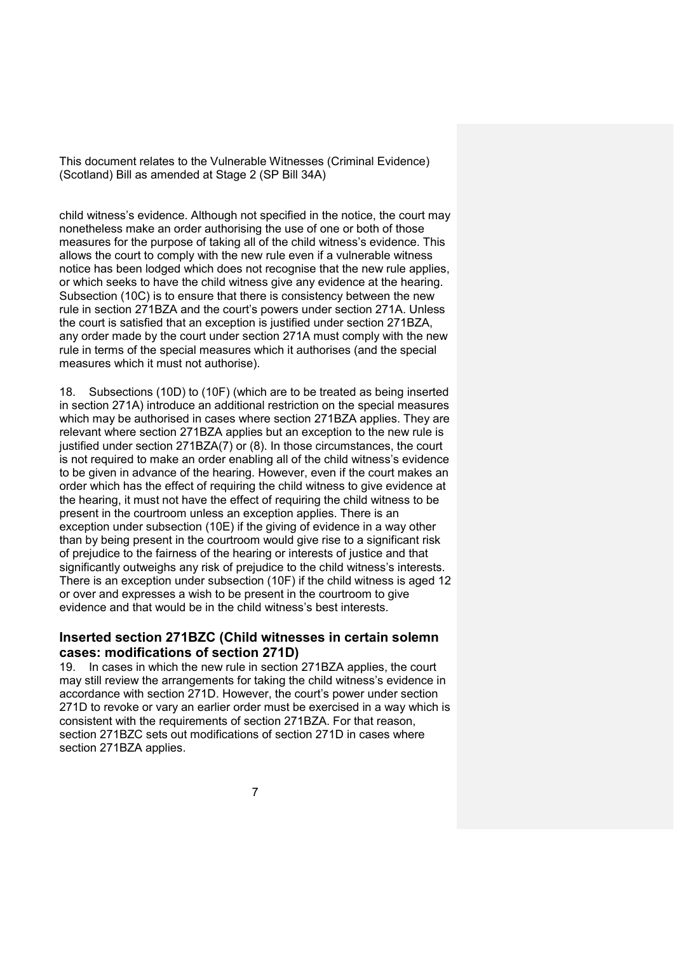child witness's evidence. Although not specified in the notice, the court may nonetheless make an order authorising the use of one or both of those measures for the purpose of taking all of the child witness's evidence. This allows the court to comply with the new rule even if a vulnerable witness notice has been lodged which does not recognise that the new rule applies, or which seeks to have the child witness give any evidence at the hearing. Subsection (10C) is to ensure that there is consistency between the new rule in section 271BZA and the court's powers under section 271A. Unless the court is satisfied that an exception is justified under section 271BZA, any order made by the court under section 271A must comply with the new rule in terms of the special measures which it authorises (and the special measures which it must not authorise).

 18. Subsections (10D) to (10F) (which are to be treated as being inserted in section 271A) introduce an additional restriction on the special measures which may be authorised in cases where section 271BZA applies. They are relevant where section 271BZA applies but an exception to the new rule is justified under section 271BZA(7) or (8). In those circumstances, the court is not required to make an order enabling all of the child witness's evidence to be given in advance of the hearing. However, even if the court makes an order which has the effect of requiring the child witness to give evidence at the hearing, it must not have the effect of requiring the child witness to be present in the courtroom unless an exception applies. There is an exception under subsection (10E) if the giving of evidence in a way other than by being present in the courtroom would give rise to a significant risk of prejudice to the fairness of the hearing or interests of justice and that significantly outweighs any risk of prejudice to the child witness's interests. There is an exception under subsection (10F) if the child witness is aged 12 or over and expresses a wish to be present in the courtroom to give evidence and that would be in the child witness's best interests.

## **cases: modifications of section 271D) Inserted section 271BZC (Child witnesses in certain solemn**

 19. In cases in which the new rule in section 271BZA applies, the court may still review the arrangements for taking the child witness's evidence in accordance with section 271D. However, the court's power under section 271D to revoke or vary an earlier order must be exercised in a way which is consistent with the requirements of section 271BZA. For that reason, section 271BZC sets out modifications of section 271D in cases where section 271BZA applies.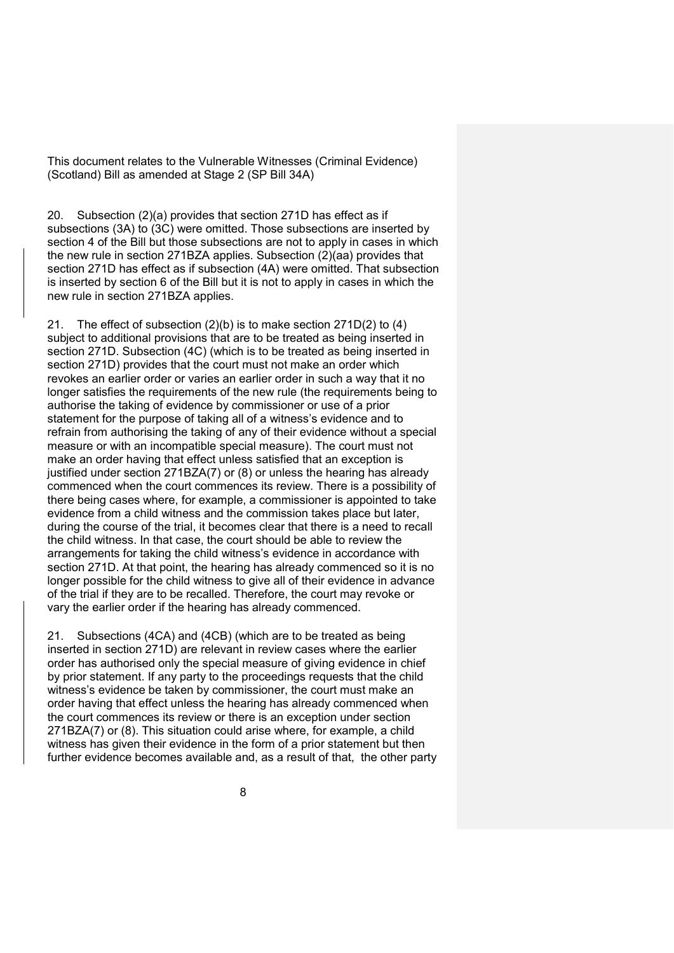20. Subsection (2)(a) provides that section 271D has effect as if subsections (3A) to (3C) were omitted. Those subsections are inserted by section 4 of the Bill but those subsections are not to apply in cases in which the new rule in section 271BZA applies. Subsection (2)(aa) provides that section 271D has effect as if subsection (4A) were omitted. That subsection is inserted by section 6 of the Bill but it is not to apply in cases in which the new rule in section 271BZA applies.

 21. The effect of subsection (2)(b) is to make section 271D(2) to (4) subject to additional provisions that are to be treated as being inserted in section 271D. Subsection (4C) (which is to be treated as being inserted in section 271D) provides that the court must not make an order which revokes an earlier order or varies an earlier order in such a way that it no longer satisfies the requirements of the new rule (the requirements being to authorise the taking of evidence by commissioner or use of a prior statement for the purpose of taking all of a witness's evidence and to refrain from authorising the taking of any of their evidence without a special measure or with an incompatible special measure). The court must not make an order having that effect unless satisfied that an exception is justified under section 271BZA(7) or (8) or unless the hearing has already commenced when the court commences its review. There is a possibility of there being cases where, for example, a commissioner is appointed to take evidence from a child witness and the commission takes place but later, during the course of the trial, it becomes clear that there is a need to recall the child witness. In that case, the court should be able to review the arrangements for taking the child witness's evidence in accordance with section 271D. At that point, the hearing has already commenced so it is no longer possible for the child witness to give all of their evidence in advance of the trial if they are to be recalled. Therefore, the court may revoke or vary the earlier order if the hearing has already commenced.

 21. Subsections (4CA) and (4CB) (which are to be treated as being inserted in section 271D) are relevant in review cases where the earlier order has authorised only the special measure of giving evidence in chief by prior statement. If any party to the proceedings requests that the child witness's evidence be taken by commissioner, the court must make an order having that effect unless the hearing has already commenced when the court commences its review or there is an exception under section 271BZA(7) or (8). This situation could arise where, for example, a child witness has given their evidence in the form of a prior statement but then further evidence becomes available and, as a result of that, the other party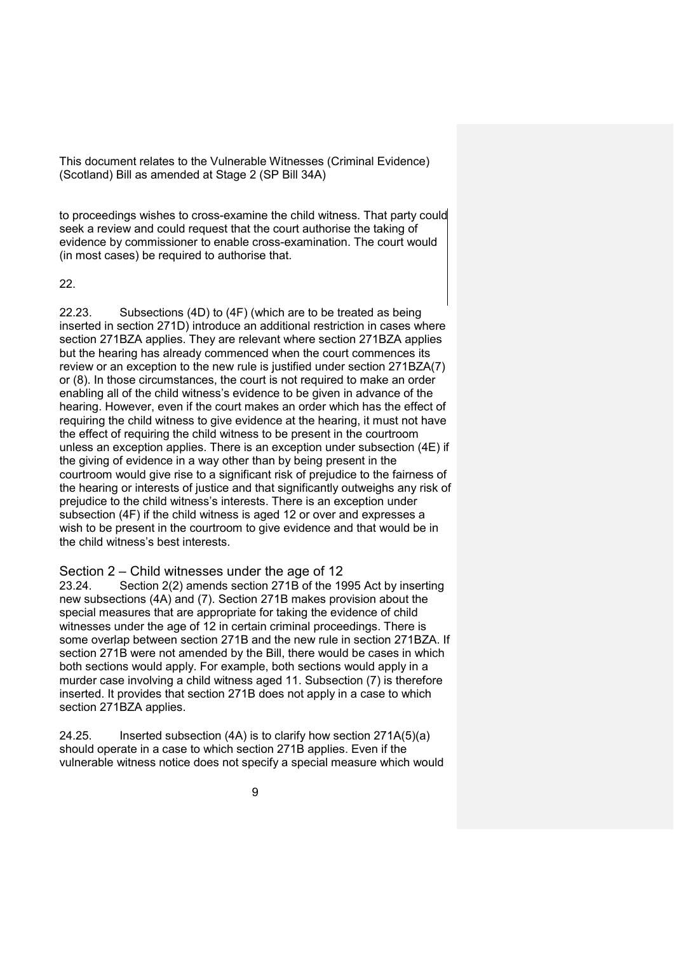to proceedings wishes to cross-examine the child witness. That party could seek a review and could request that the court authorise the taking of evidence by commissioner to enable cross-examination. The court would (in most cases) be required to authorise that.

 $22.$ 

22.<br>22.23. Subsections (4D) to (4F) (which are to be treated as being inserted in section 271D) introduce an additional restriction in cases where section 271BZA applies. They are relevant where section 271BZA applies but the hearing has already commenced when the court commences its review or an exception to the new rule is justified under section 271BZA(7) or (8). In those circumstances, the court is not required to make an order enabling all of the child witness's evidence to be given in advance of the hearing. However, even if the court makes an order which has the effect of requiring the child witness to give evidence at the hearing, it must not have the effect of requiring the child witness to be present in the courtroom unless an exception applies. There is an exception under subsection (4E) if the giving of evidence in a way other than by being present in the courtroom would give rise to a significant risk of prejudice to the fairness of the hearing or interests of justice and that significantly outweighs any risk of prejudice to the child witness's interests. There is an exception under subsection (4F) if the child witness is aged 12 or over and expresses a wish to be present in the courtroom to give evidence and that would be in the child witness's best interests.

Section 2 – Child witnesses under the age of 12

 23.24. Section 2(2) amends section 271B of the 1995 Act by inserting new subsections (4A) and (7). Section 271B makes provision about the special measures that are appropriate for taking the evidence of child witnesses under the age of 12 in certain criminal proceedings. There is some overlap between section 271B and the new rule in section 271BZA. If section 271B were not amended by the Bill, there would be cases in which both sections would apply. For example, both sections would apply in a murder case involving a child witness aged 11. Subsection (7) is therefore inserted. It provides that section 271B does not apply in a case to which section 271BZA applies.

 24.25. Inserted subsection (4A) is to clarify how section 271A(5)(a) should operate in a case to which section 271B applies. Even if the vulnerable witness notice does not specify a special measure which would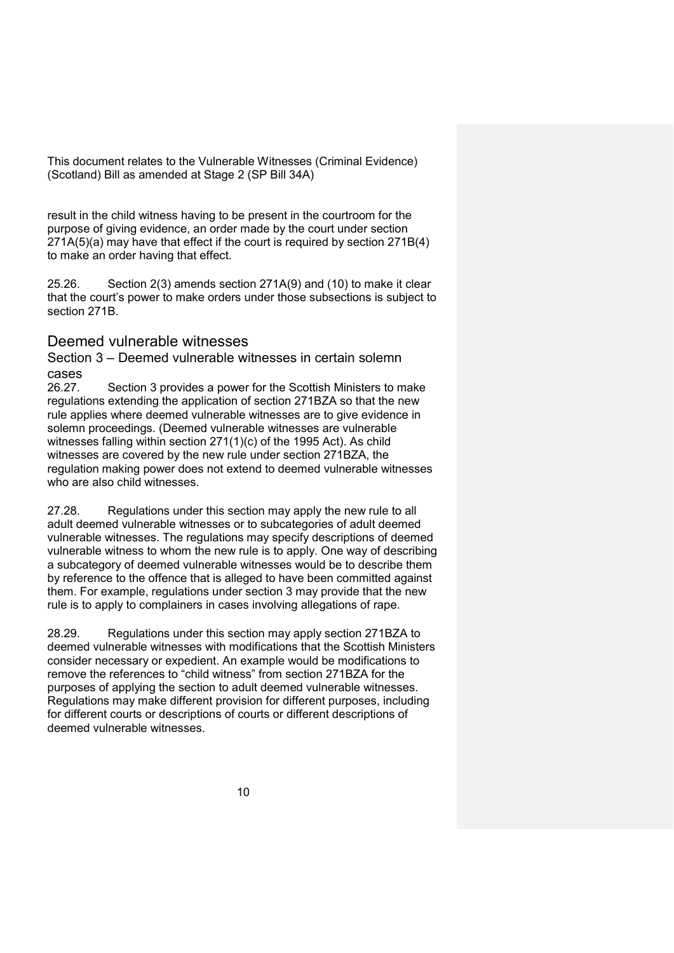result in the child witness having to be present in the courtroom for the purpose of giving evidence, an order made by the court under section 271A(5)(a) may have that effect if the court is required by section 271B(4) to make an order having that effect.

 25.26. Section 2(3) amends section 271A(9) and (10) to make it clear that the court's power to make orders under those subsections is subject to section 271B.

## Deemed vulnerable witnesses

Section 3 – Deemed vulnerable witnesses in certain solemn

 26.27. Section 3 provides a power for the Scottish Ministers to make regulations extending the application of section 271BZA so that the new rule applies where deemed vulnerable witnesses are to give evidence in solemn proceedings. (Deemed vulnerable witnesses are vulnerable witnesses falling within section 271(1)(c) of the 1995 Act). As child witnesses are covered by the new rule under section 271BZA, the regulation making power does not extend to deemed vulnerable witnesses who are also child witnesses. cases<br>26.27.

 27.28. Regulations under this section may apply the new rule to all adult deemed vulnerable witnesses or to subcategories of adult deemed vulnerable witnesses. The regulations may specify descriptions of deemed vulnerable witness to whom the new rule is to apply. One way of describing a subcategory of deemed vulnerable witnesses would be to describe them by reference to the offence that is alleged to have been committed against them. For example, regulations under section 3 may provide that the new rule is to apply to complainers in cases involving allegations of rape.

 28.29. Regulations under this section may apply section 271BZA to deemed vulnerable witnesses with modifications that the Scottish Ministers consider necessary or expedient. An example would be modifications to remove the references to "child witness" from section 271BZA for the purposes of applying the section to adult deemed vulnerable witnesses. Regulations may make different provision for different purposes, including for different courts or descriptions of courts or different descriptions of deemed vulnerable witnesses.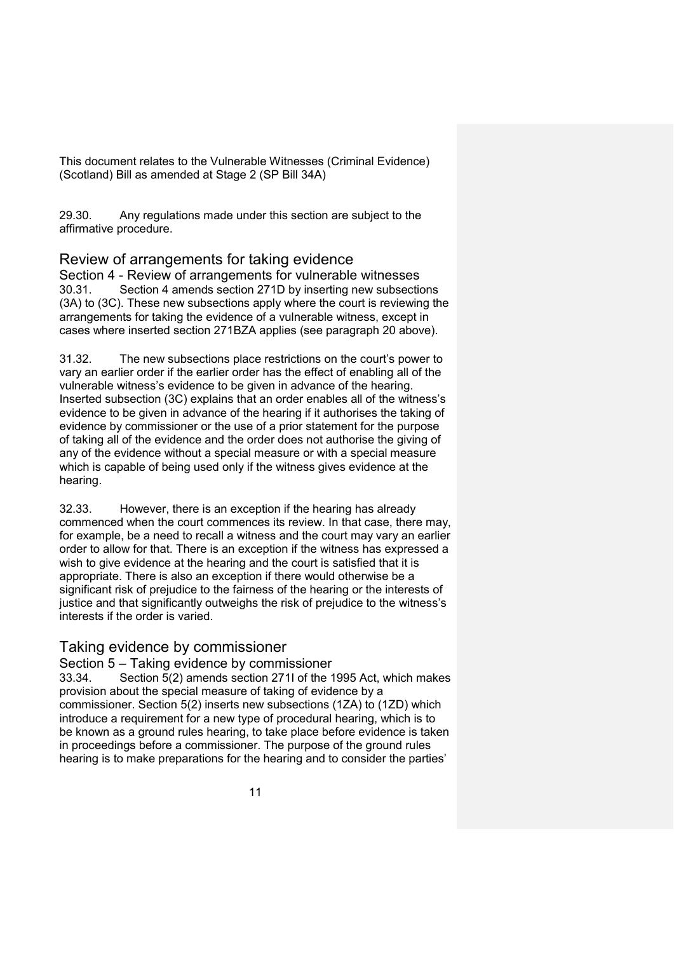29.30. Any regulations made under this section are subject to the affirmative procedure.

## Review of arrangements for taking evidence

 30.31. Section 4 amends section 271D by inserting new subsections (3A) to (3C). These new subsections apply where the court is reviewing the arrangements for taking the evidence of a vulnerable witness, except in cases where inserted section 271BZA applies (see paragraph 20 above). Section 4 - Review of arrangements for vulnerable witnesses<br>30.31. Section 4 amends section 271D by inserting new subsection

 31.32. The new subsections place restrictions on the court's power to vary an earlier order if the earlier order has the effect of enabling all of the vulnerable witness's evidence to be given in advance of the hearing. Inserted subsection (3C) explains that an order enables all of the witness's evidence to be given in advance of the hearing if it authorises the taking of evidence by commissioner or the use of a prior statement for the purpose of taking all of the evidence and the order does not authorise the giving of any of the evidence without a special measure or with a special measure which is capable of being used only if the witness gives evidence at the hearing.

 32.33. However, there is an exception if the hearing has already commenced when the court commences its review. In that case, there may, for example, be a need to recall a witness and the court may vary an earlier order to allow for that. There is an exception if the witness has expressed a wish to give evidence at the hearing and the court is satisfied that it is appropriate. There is also an exception if there would otherwise be a significant risk of prejudice to the fairness of the hearing or the interests of justice and that significantly outweighs the risk of prejudice to the witness's interests if the order is varied.

## Taking evidence by commissioner

 Section 5 – Taking evidence by commissioner 33.34. Section 5(2) amends section 271I of the 1995 Act, which makes provision about the special measure of taking of evidence by a commissioner. Section 5(2) inserts new subsections (1ZA) to (1ZD) which introduce a requirement for a new type of procedural hearing, which is to be known as a ground rules hearing, to take place before evidence is taken in proceedings before a commissioner. The purpose of the ground rules hearing is to make preparations for the hearing and to consider the parties'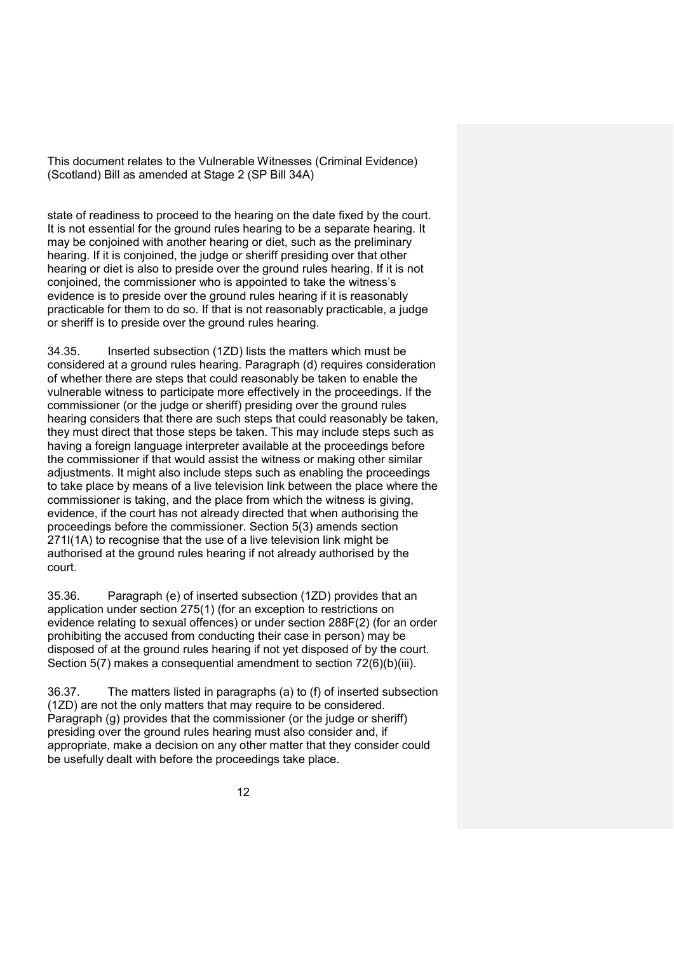state of readiness to proceed to the hearing on the date fixed by the court. It is not essential for the ground rules hearing to be a separate hearing. It may be conjoined with another hearing or diet, such as the preliminary hearing. If it is conjoined, the judge or sheriff presiding over that other hearing or diet is also to preside over the ground rules hearing. If it is not conjoined, the commissioner who is appointed to take the witness's evidence is to preside over the ground rules hearing if it is reasonably practicable for them to do so. If that is not reasonably practicable, a judge or sheriff is to preside over the ground rules hearing.

 34.35. Inserted subsection (1ZD) lists the matters which must be considered at a ground rules hearing. Paragraph (d) requires consideration of whether there are steps that could reasonably be taken to enable the vulnerable witness to participate more effectively in the proceedings. If the commissioner (or the judge or sheriff) presiding over the ground rules hearing considers that there are such steps that could reasonably be taken, they must direct that those steps be taken. This may include steps such as having a foreign language interpreter available at the proceedings before the commissioner if that would assist the witness or making other similar adjustments. It might also include steps such as enabling the proceedings to take place by means of a live television link between the place where the commissioner is taking, and the place from which the witness is giving, evidence, if the court has not already directed that when authorising the proceedings before the commissioner. Section 5(3) amends section 271I(1A) to recognise that the use of a live television link might be authorised at the ground rules hearing if not already authorised by the court.

 35.36. Paragraph (e) of inserted subsection (1ZD) provides that an application under section 275(1) (for an exception to restrictions on evidence relating to sexual offences) or under section 288F(2) (for an order prohibiting the accused from conducting their case in person) may be disposed of at the ground rules hearing if not yet disposed of by the court. Section 5(7) makes a consequential amendment to section 72(6)(b)(iii).

 36.37. The matters listed in paragraphs (a) to (f) of inserted subsection (1ZD) are not the only matters that may require to be considered. Paragraph (g) provides that the commissioner (or the judge or sheriff) presiding over the ground rules hearing must also consider and, if appropriate, make a decision on any other matter that they consider could be usefully dealt with before the proceedings take place.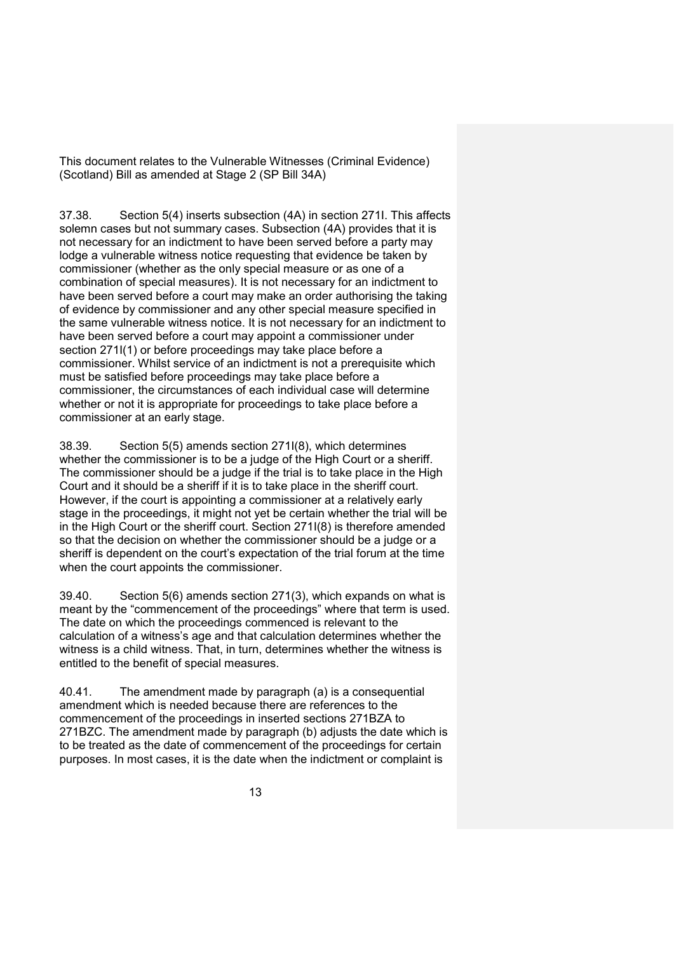37.38. Section 5(4) inserts subsection (4A) in section 271I. This affects solemn cases but not summary cases. Subsection (4A) provides that it is not necessary for an indictment to have been served before a party may lodge a vulnerable witness notice requesting that evidence be taken by commissioner (whether as the only special measure or as one of a combination of special measures). It is not necessary for an indictment to have been served before a court may make an order authorising the taking of evidence by commissioner and any other special measure specified in the same vulnerable witness notice. It is not necessary for an indictment to have been served before a court may appoint a commissioner under section 271I(1) or before proceedings may take place before a commissioner. Whilst service of an indictment is not a prerequisite which must be satisfied before proceedings may take place before a commissioner, the circumstances of each individual case will determine whether or not it is appropriate for proceedings to take place before a commissioner at an early stage.

 38.39. Section 5(5) amends section 271I(8), which determines whether the commissioner is to be a judge of the High Court or a sheriff. The commissioner should be a judge if the trial is to take place in the High Court and it should be a sheriff if it is to take place in the sheriff court. However, if the court is appointing a commissioner at a relatively early stage in the proceedings, it might not yet be certain whether the trial will be in the High Court or the sheriff court. Section 271I(8) is therefore amended so that the decision on whether the commissioner should be a judge or a sheriff is dependent on the court's expectation of the trial forum at the time when the court appoints the commissioner.

 39.40. Section 5(6) amends section 271(3), which expands on what is meant by the "commencement of the proceedings" where that term is used. The date on which the proceedings commenced is relevant to the calculation of a witness's age and that calculation determines whether the witness is a child witness. That, in turn, determines whether the witness is entitled to the benefit of special measures.

 40.41. The amendment made by paragraph (a) is a consequential amendment which is needed because there are references to the commencement of the proceedings in inserted sections 271BZA to 271BZC. The amendment made by paragraph (b) adjusts the date which is to be treated as the date of commencement of the proceedings for certain purposes. In most cases, it is the date when the indictment or complaint is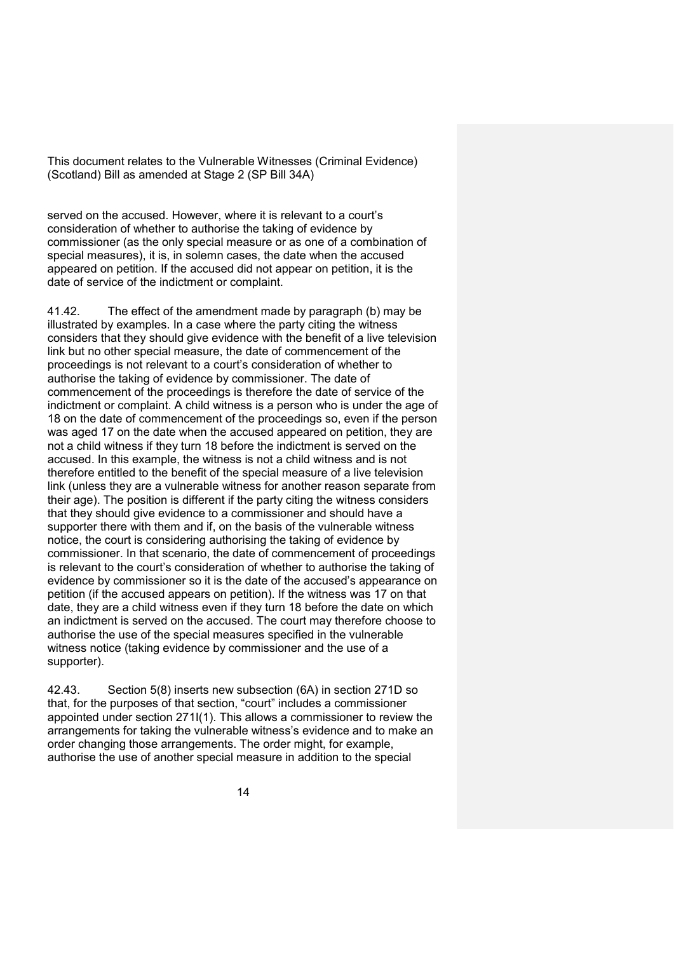served on the accused. However, where it is relevant to a court's consideration of whether to authorise the taking of evidence by commissioner (as the only special measure or as one of a combination of special measures), it is, in solemn cases, the date when the accused appeared on petition. If the accused did not appear on petition, it is the date of service of the indictment or complaint.

 41.42. The effect of the amendment made by paragraph (b) may be illustrated by examples. In a case where the party citing the witness considers that they should give evidence with the benefit of a live television link but no other special measure, the date of commencement of the proceedings is not relevant to a court's consideration of whether to authorise the taking of evidence by commissioner. The date of commencement of the proceedings is therefore the date of service of the indictment or complaint. A child witness is a person who is under the age of 18 on the date of commencement of the proceedings so, even if the person was aged 17 on the date when the accused appeared on petition, they are not a child witness if they turn 18 before the indictment is served on the accused. In this example, the witness is not a child witness and is not therefore entitled to the benefit of the special measure of a live television link (unless they are a vulnerable witness for another reason separate from their age). The position is different if the party citing the witness considers that they should give evidence to a commissioner and should have a supporter there with them and if, on the basis of the vulnerable witness notice, the court is considering authorising the taking of evidence by commissioner. In that scenario, the date of commencement of proceedings is relevant to the court's consideration of whether to authorise the taking of evidence by commissioner so it is the date of the accused's appearance on petition (if the accused appears on petition). If the witness was 17 on that date, they are a child witness even if they turn 18 before the date on which an indictment is served on the accused. The court may therefore choose to authorise the use of the special measures specified in the vulnerable witness notice (taking evidence by commissioner and the use of a supporter).

 42.43. Section 5(8) inserts new subsection (6A) in section 271D so that, for the purposes of that section, "court" includes a commissioner appointed under section 271I(1). This allows a commissioner to review the arrangements for taking the vulnerable witness's evidence and to make an order changing those arrangements. The order might, for example, authorise the use of another special measure in addition to the special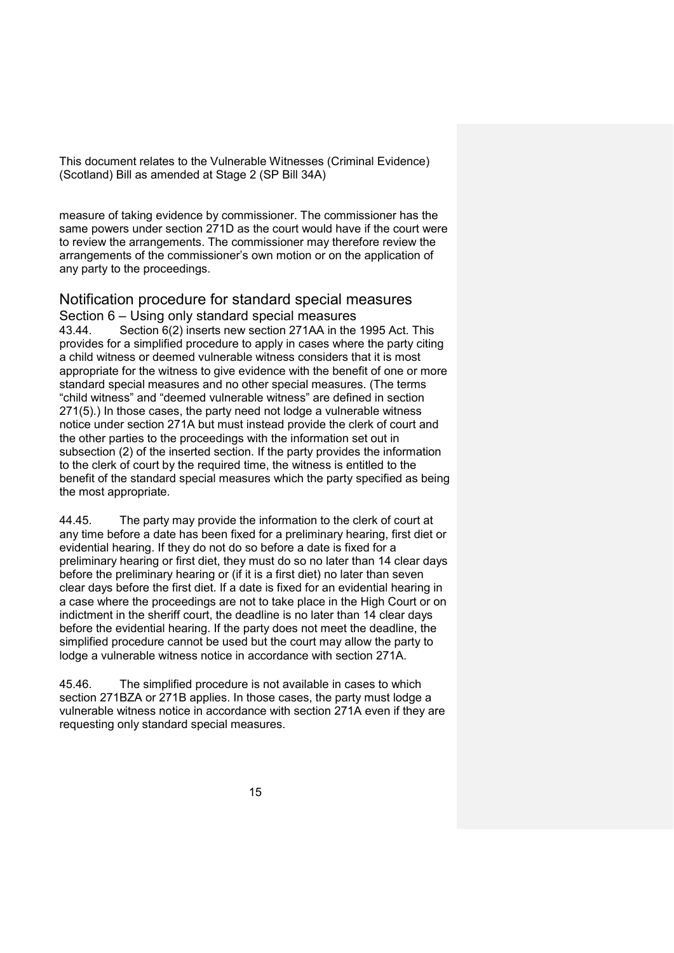measure of taking evidence by commissioner. The commissioner has the same powers under section 271D as the court would have if the court were to review the arrangements. The commissioner may therefore review the arrangements of the commissioner's own motion or on the application of any party to the proceedings.

## Notification procedure for standard special measures Section 6 – Using only standard special measures

 43.44. Section 6(2) inserts new section 271AA in the 1995 Act. This provides for a simplified procedure to apply in cases where the party citing a child witness or deemed vulnerable witness considers that it is most appropriate for the witness to give evidence with the benefit of one or more standard special measures and no other special measures. (The terms "child witness" and "deemed vulnerable witness" are defined in section 271(5).) In those cases, the party need not lodge a vulnerable witness notice under section 271A but must instead provide the clerk of court and the other parties to the proceedings with the information set out in subsection (2) of the inserted section. If the party provides the information to the clerk of court by the required time, the witness is entitled to the benefit of the standard special measures which the party specified as being the most appropriate.

 44.45. The party may provide the information to the clerk of court at any time before a date has been fixed for a preliminary hearing, first diet or evidential hearing. If they do not do so before a date is fixed for a preliminary hearing or first diet, they must do so no later than 14 clear days before the preliminary hearing or (if it is a first diet) no later than seven clear days before the first diet. If a date is fixed for an evidential hearing in a case where the proceedings are not to take place in the High Court or on indictment in the sheriff court, the deadline is no later than 14 clear days before the evidential hearing. If the party does not meet the deadline, the simplified procedure cannot be used but the court may allow the party to lodge a vulnerable witness notice in accordance with section 271A.

 45.46. The simplified procedure is not available in cases to which section 271BZA or 271B applies. In those cases, the party must lodge a vulnerable witness notice in accordance with section 271A even if they are requesting only standard special measures.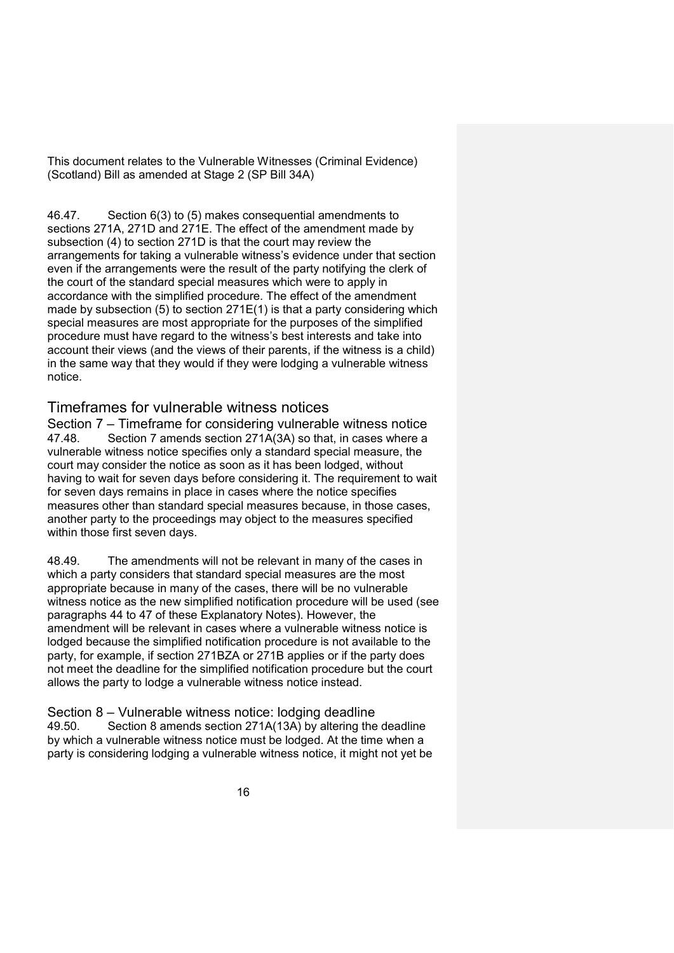46.47. Section 6(3) to (5) makes consequential amendments to sections 271A, 271D and 271E. The effect of the amendment made by subsection (4) to section 271D is that the court may review the arrangements for taking a vulnerable witness's evidence under that section even if the arrangements were the result of the party notifying the clerk of the court of the standard special measures which were to apply in accordance with the simplified procedure. The effect of the amendment made by subsection (5) to section 271E(1) is that a party considering which special measures are most appropriate for the purposes of the simplified procedure must have regard to the witness's best interests and take into account their views (and the views of their parents, if the witness is a child) in the same way that they would if they were lodging a vulnerable witness notice.

## Timeframes for vulnerable witness notices

 Section 7 – Timeframe for considering vulnerable witness notice 47.48. Section 7 amends section 271A(3A) so that, in cases where a vulnerable witness notice specifies only a standard special measure, the court may consider the notice as soon as it has been lodged, without having to wait for seven days before considering it. The requirement to wait for seven days remains in place in cases where the notice specifies measures other than standard special measures because, in those cases, another party to the proceedings may object to the measures specified within those first seven days.

 48.49. The amendments will not be relevant in many of the cases in which a party considers that standard special measures are the most appropriate because in many of the cases, there will be no vulnerable witness notice as the new simplified notification procedure will be used (see paragraphs 44 to 47 of these Explanatory Notes). However, the amendment will be relevant in cases where a vulnerable witness notice is lodged because the simplified notification procedure is not available to the party, for example, if section 271BZA or 271B applies or if the party does not meet the deadline for the simplified notification procedure but the court allows the party to lodge a vulnerable witness notice instead.

 Section 8 – Vulnerable witness notice: lodging deadline 49.50. Section 8 amends section 271A(13A) by altering the deadline by which a vulnerable witness notice must be lodged. At the time when a party is considering lodging a vulnerable witness notice, it might not yet be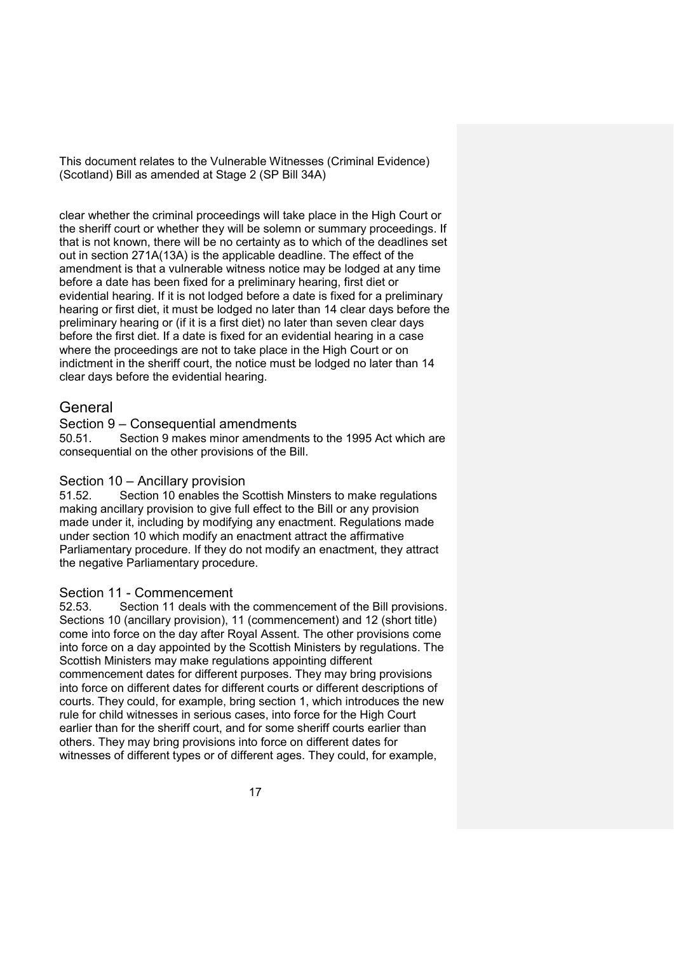clear whether the criminal proceedings will take place in the High Court or the sheriff court or whether they will be solemn or summary proceedings. If that is not known, there will be no certainty as to which of the deadlines set out in section 271A(13A) is the applicable deadline. The effect of the amendment is that a vulnerable witness notice may be lodged at any time before a date has been fixed for a preliminary hearing, first diet or evidential hearing. If it is not lodged before a date is fixed for a preliminary hearing or first diet, it must be lodged no later than 14 clear days before the preliminary hearing or (if it is a first diet) no later than seven clear days before the first diet. If a date is fixed for an evidential hearing in a case where the proceedings are not to take place in the High Court or on indictment in the sheriff court, the notice must be lodged no later than 14 clear days before the evidential hearing.

## General

## Section 9 – Consequential amendments

 50.51. Section 9 makes minor amendments to the 1995 Act which are consequential on the other provisions of the Bill.

## Section 10 – Ancillary provision

 51.52. Section 10 enables the Scottish Minsters to make regulations making ancillary provision to give full effect to the Bill or any provision made under it, including by modifying any enactment. Regulations made under section 10 which modify an enactment attract the affirmative Parliamentary procedure. If they do not modify an enactment, they attract the negative Parliamentary procedure.

## Section 11 - Commencement

 52.53. Section 11 deals with the commencement of the Bill provisions. Sections 10 (ancillary provision), 11 (commencement) and 12 (short title) come into force on the day after Royal Assent. The other provisions come into force on a day appointed by the Scottish Ministers by regulations. The Scottish Ministers may make regulations appointing different commencement dates for different purposes. They may bring provisions into force on different dates for different courts or different descriptions of courts. They could, for example, bring section 1, which introduces the new rule for child witnesses in serious cases, into force for the High Court earlier than for the sheriff court, and for some sheriff courts earlier than others. They may bring provisions into force on different dates for witnesses of different types or of different ages. They could, for example,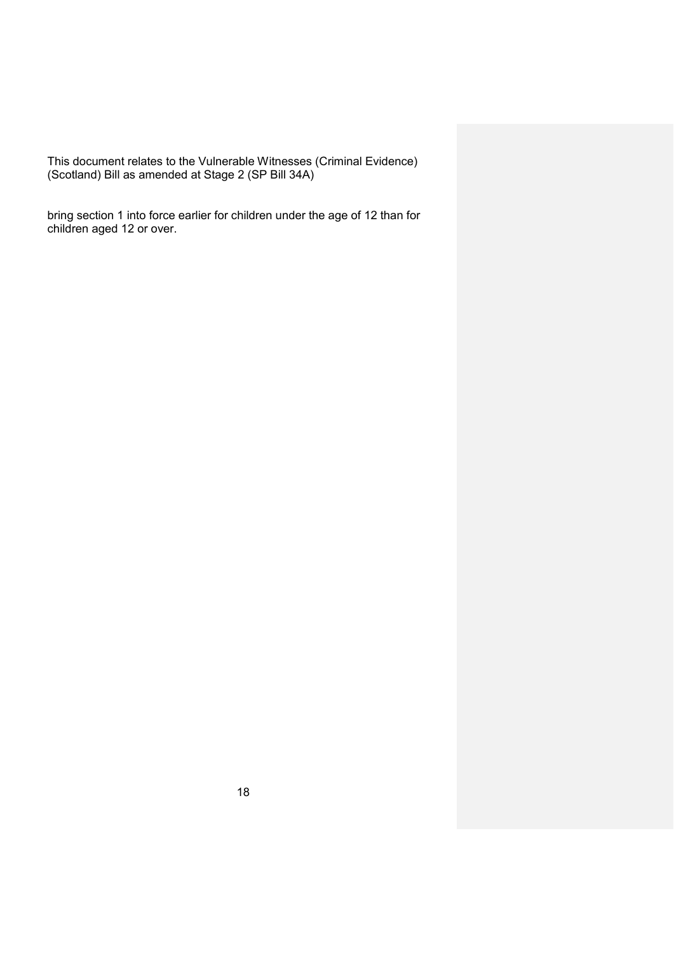bring section 1 into force earlier for children under the age of 12 than for children aged 12 or over.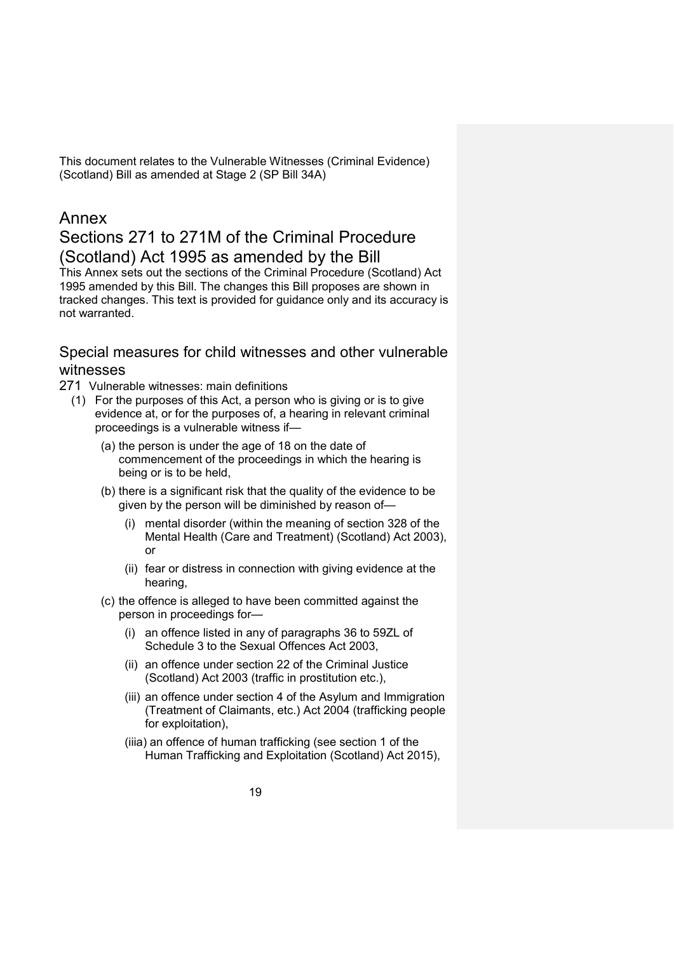## Annex

## Sections 271 to 271M of the Criminal Procedure (Scotland) Act 1995 as amended by the Bill

 1995 amended by this Bill. The changes this Bill proposes are shown in tracked changes. This text is provided for guidance only and its accuracy is This Annex sets out the sections of the Criminal Procedure (Scotland) Act not warranted.

## Special measures for child witnesses and other vulnerable witnesses

271 Vulnerable witnesses: main definitions

- (1) For the purposes of this Act, a person who is giving or is to give evidence at, or for the purposes of, a hearing in relevant criminal proceedings is a vulnerable witness if—
	- (a) the person is under the age of 18 on the date of commencement of the proceedings in which the hearing is being or is to be held,
	- (b) there is a significant risk that the quality of the evidence to be given by the person will be diminished by reason of—
		- (i) mental disorder (within the meaning of section 328 of the Mental Health (Care and Treatment) (Scotland) Act 2003), or
		- (ii) fear or distress in connection with giving evidence at the hearing,
	- (c) the offence is alleged to have been committed against the person in proceedings for—
		- (i) an offence listed in any of paragraphs 36 to 59ZL of Schedule 3 to the Sexual Offences Act 2003,
		- (ii) an offence under section 22 of the Criminal Justice (Scotland) Act 2003 (traffic in prostitution etc.),
		- (iii) an offence under section 4 of the Asylum and Immigration (Treatment of Claimants, etc.) Act 2004 (trafficking people for exploitation),
		- (iiia) an offence of human trafficking (see section 1 of the Human Trafficking and Exploitation (Scotland) Act 2015),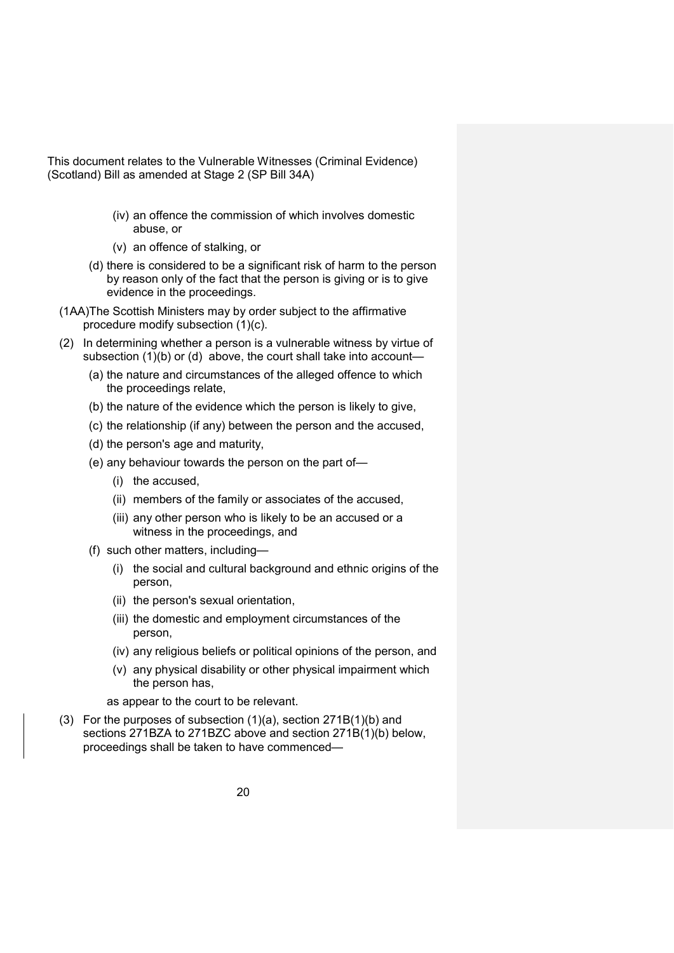- (iv) an offence the commission of which involves domestic abuse, or
- (v) an offence of stalking, or
- (d) there is considered to be a significant risk of harm to the person by reason only of the fact that the person is giving or is to give evidence in the proceedings.
- (1AA)The Scottish Ministers may by order subject to the affirmative procedure modify subsection (1)(c).
- (2) In determining whether a person is a vulnerable witness by virtue of subsection (1)(b) or (d) above, the court shall take into account—
	- (a) the nature and circumstances of the alleged offence to which the proceedings relate,
	- (b) the nature of the evidence which the person is likely to give,
	- (c) the relationship (if any) between the person and the accused,
	- (d) the person's age and maturity,
	- (e) any behaviour towards the person on the part of—
		- (i) the accused,
		- (ii) members of the family or associates of the accused,
		- (iii) any other person who is likely to be an accused or a witness in the proceedings, and
	- (f) such other matters, including—
		- (i) the social and cultural background and ethnic origins of the person,
		- (ii) the person's sexual orientation,
		- (iii) the domestic and employment circumstances of the person,
		- (iv) any religious beliefs or political opinions of the person, and
		- (v) any physical disability or other physical impairment which the person has,
		- as appear to the court to be relevant.
- sections 271BZA to 271BZC above and section 271B(1)(b) below, proceedings shall be taken to have commenced— (3) For the purposes of subsection (1)(a), section 271B(1)(b) and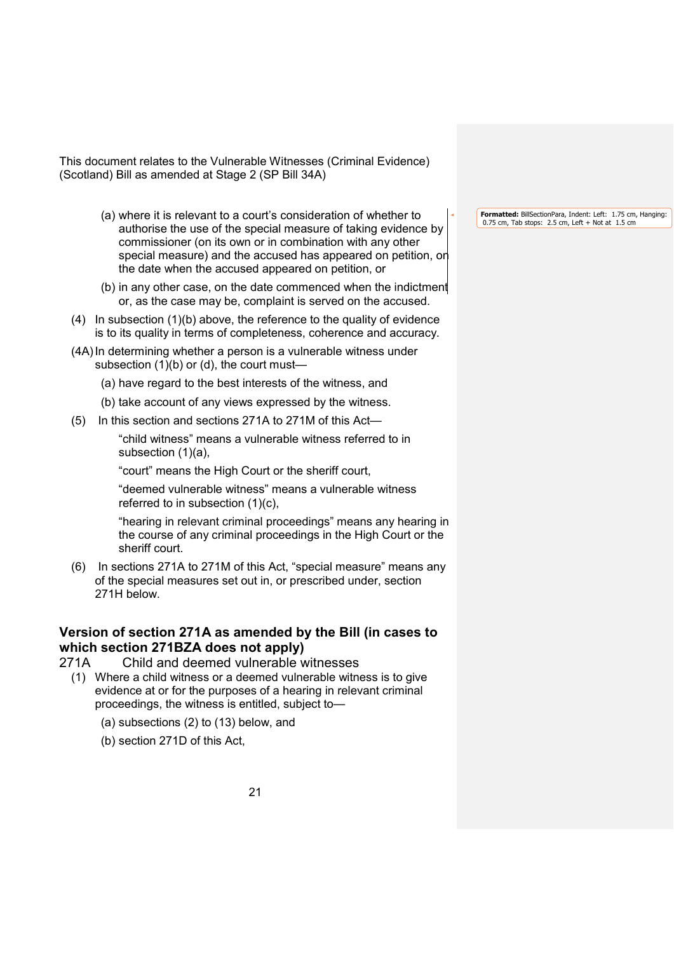- (a) where it is relevant to a court's consideration of whether to **Formatted:** BillSectionPara, Indent: Left: 1.75 cm, Hanging: authorise the use of the special measure of taking evidence by  $\frac{0.75 \text{ cm}}{2.5 \text{ cm}}$ , Tab stops: 2.5 cm, Left + Not at 1.5 cm commissioner (on its own or in combination with any other special measure) and the accused has appeared on petition, on the date when the accused appeared on petition, or
- (b) in any other case, on the date commenced when the indictment or, as the case may be, complaint is served on the accused.
- (4) In subsection (1)(b) above, the reference to the quality of evidence is to its quality in terms of completeness, coherence and accuracy.
- (4A) In determining whether a person is a vulnerable witness under subsection (1)(b) or (d), the court must—
	- (a) have regard to the best interests of the witness, and
	- (b) take account of any views expressed by the witness.
- (5) In this section and sections 271A to 271M of this Act—

 "child witness" means a vulnerable witness referred to in subsection (1)(a),

"court" means the High Court or the sheriff court,

 "deemed vulnerable witness" means a vulnerable witness referred to in subsection (1)(c),

 "hearing in relevant criminal proceedings" means any hearing in the course of any criminal proceedings in the High Court or the sheriff court.

 (6) In sections 271A to 271M of this Act, "special measure" means any of the special measures set out in, or prescribed under, section 271H below.

## **Version of section 271A as amended by the Bill (in cases to which section 271BZA does not apply)**

271A Child and deemed vulnerable witnesses

- (1) Where a child witness or a deemed vulnerable witness is to give evidence at or for the purposes of a hearing in relevant criminal proceedings, the witness is entitled, subject to—
	- (a) subsections (2) to (13) below, and
	- (b) section 271D of this Act,

**Formatted:** BillSectionPara,<br>0.75 cm, Tab stops: 2.5 cm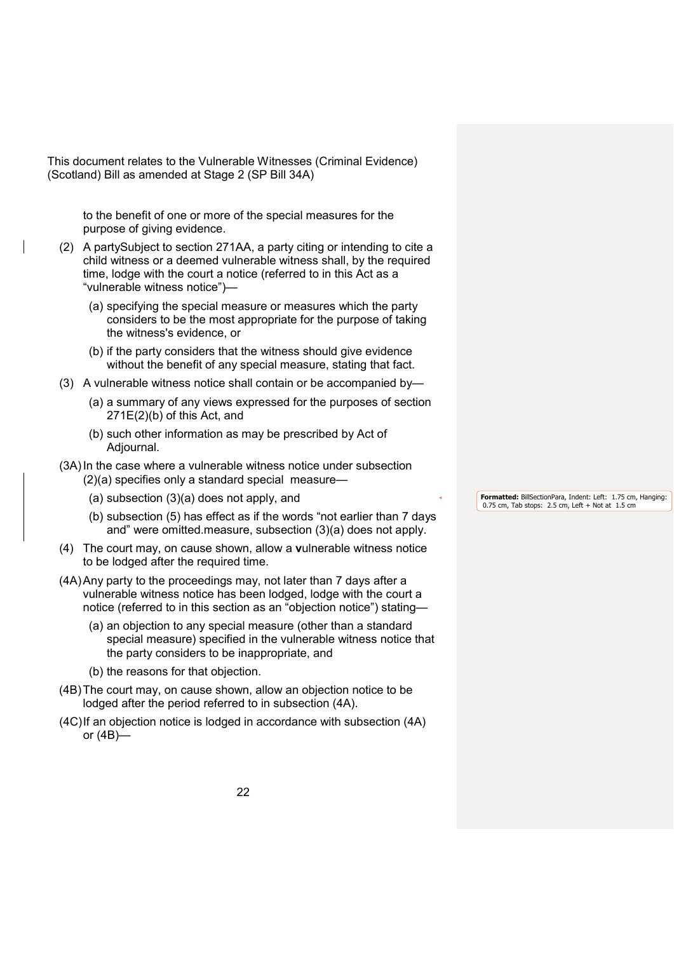to the benefit of one or more of the special measures for the purpose of giving evidence.

- (2) A partySubject to section 271AA, a party citing or intending to cite a child witness or a deemed vulnerable witness shall, by the required time, lodge with the court a notice (referred to in this Act as a "vulnerable witness notice")—
	- (a) specifying the special measure or measures which the party considers to be the most appropriate for the purpose of taking the witness's evidence, or
	- (b) if the party considers that the witness should give evidence without the benefit of any special measure, stating that fact.
- (3) A vulnerable witness notice shall contain or be accompanied by—
	- (a) a summary of any views expressed for the purposes of section 271E(2)(b) of this Act, and
	- (b) such other information as may be prescribed by Act of Adjournal.
- (3A) In the case where a vulnerable witness notice under subsection (2)(a) specifies only a standard special measure—
	- (a) subsection (3)(a) does not apply, and
	- (b) subsection (5) has effect as if the words "not earlier than 7 days and" were omitted.measure, subsection (3)(a) does not apply.
- (4) The court may, on cause shown, allow a **v**ulnerable witness notice to be lodged after the required time.
- (4A) Any party to the proceedings may, not later than 7 days after a vulnerable witness notice has been lodged, lodge with the court a notice (referred to in this section as an "objection notice") stating—
	- (a) an objection to any special measure (other than a standard special measure) specified in the vulnerable witness notice that the party considers to be inappropriate, and
	- (b) the reasons for that objection.
- (4B)The court may, on cause shown, allow an objection notice to be lodged after the period referred to in subsection (4A).
- (4C)If an objection notice is lodged in accordance with subsection (4A) or (4B)—

**Formatted:** BillSectionPara, Indent: Left: 1.75 cm, Hanging: 0.75 cm, Tab stops: 2.5 cm, Left + Not at 1.5 cm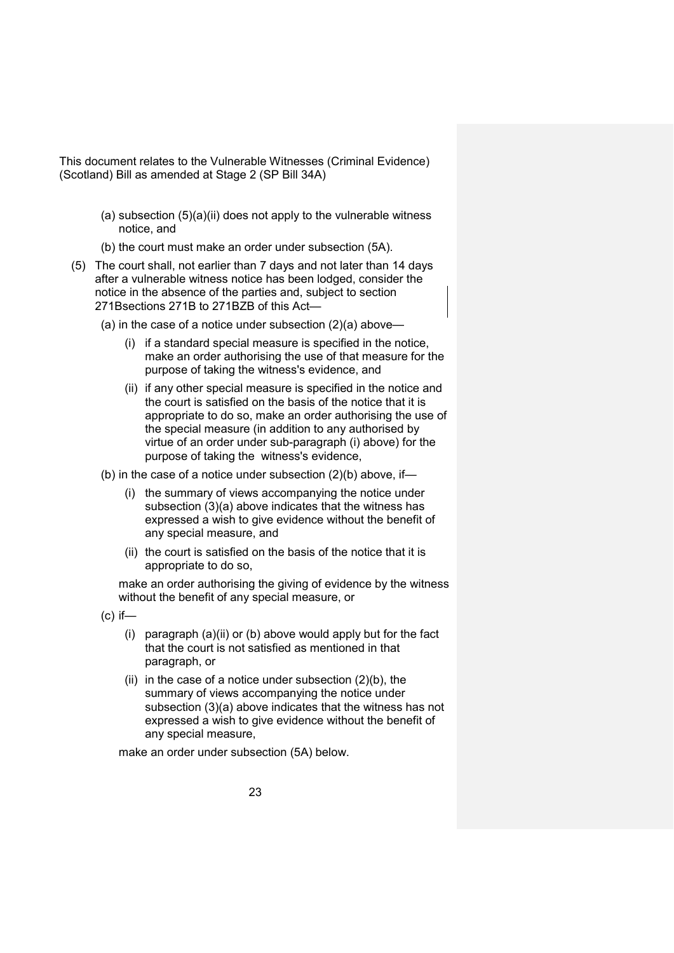- (a) subsection (5)(a)(ii) does not apply to the vulnerable witness notice, and
- (b) the court must make an order under subsection (5A).
- (5) The court shall, not earlier than 7 days and not later than 14 days after a vulnerable witness notice has been lodged, consider the notice in the absence of the parties and, subject to section 271Bsections 271B to 271BZB of this Act—
	- (a) in the case of a notice under subsection (2)(a) above—
		- (i) if a standard special measure is specified in the notice, make an order authorising the use of that measure for the purpose of taking the witness's evidence, and
		- (ii) if any other special measure is specified in the notice and the court is satisfied on the basis of the notice that it is appropriate to do so, make an order authorising the use of the special measure (in addition to any authorised by virtue of an order under sub-paragraph (i) above) for the purpose of taking the witness's evidence,
	- (b) in the case of a notice under subsection (2)(b) above, if—
		- (i) the summary of views accompanying the notice under subsection (3)(a) above indicates that the witness has expressed a wish to give evidence without the benefit of any special measure, and
		- (ii) the court is satisfied on the basis of the notice that it is appropriate to do so,

 make an order authorising the giving of evidence by the witness without the benefit of any special measure, or

- (c) if—
	- (i) paragraph (a)(ii) or (b) above would apply but for the fact that the court is not satisfied as mentioned in that paragraph, or
	- (ii) in the case of a notice under subsection (2)(b), the summary of views accompanying the notice under subsection (3)(a) above indicates that the witness has not expressed a wish to give evidence without the benefit of any special measure,

make an order under subsection (5A) below.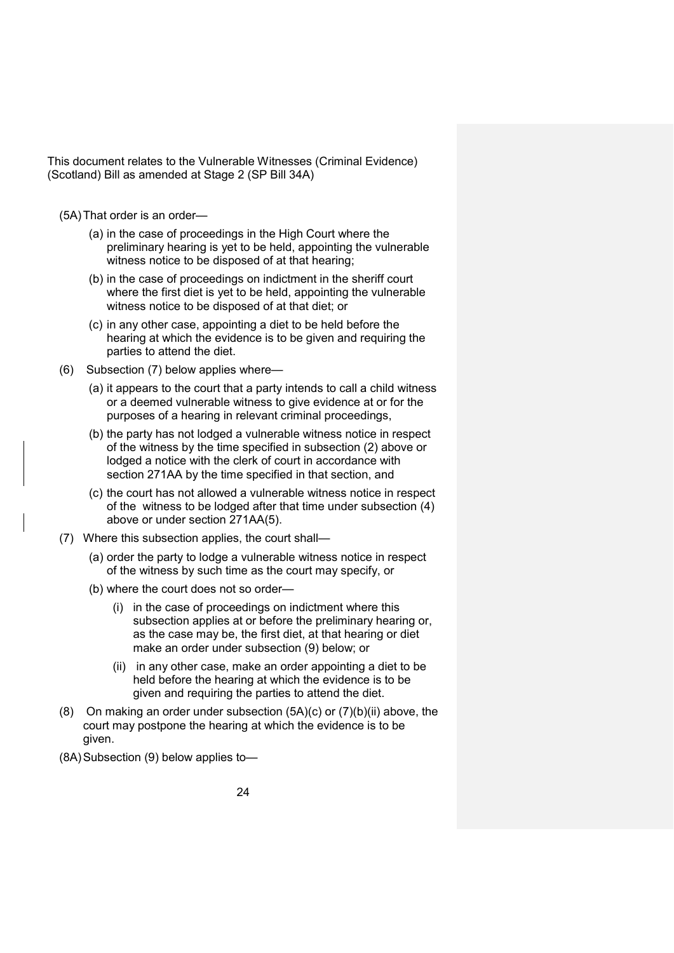(5A) That order is an order—

- (a) in the case of proceedings in the High Court where the preliminary hearing is yet to be held, appointing the vulnerable witness notice to be disposed of at that hearing;
- (b) in the case of proceedings on indictment in the sheriff court where the first diet is yet to be held, appointing the vulnerable witness notice to be disposed of at that diet; or
- (c) in any other case, appointing a diet to be held before the hearing at which the evidence is to be given and requiring the parties to attend the diet.
- (6) Subsection (7) below applies where—
	- (a) it appears to the court that a party intends to call a child witness or a deemed vulnerable witness to give evidence at or for the purposes of a hearing in relevant criminal proceedings,
	- (b) the party has not lodged a vulnerable witness notice in respect of the witness by the time specified in subsection (2) above or lodged a notice with the clerk of court in accordance with section 271AA by the time specified in that section, and
	- (c) the court has not allowed a vulnerable witness notice in respect of the witness to be lodged after that time under subsection (4) above or under section 271AA(5).
- (7) Where this subsection applies, the court shall—
	- (a) order the party to lodge a vulnerable witness notice in respect of the witness by such time as the court may specify, or
	- (b) where the court does not so order—
		- (i) in the case of proceedings on indictment where this subsection applies at or before the preliminary hearing or, as the case may be, the first diet, at that hearing or diet make an order under subsection (9) below; or
		- (ii) in any other case, make an order appointing a diet to be held before the hearing at which the evidence is to be given and requiring the parties to attend the diet.
- $(8)$  On making an order under subsection  $(5A)(c)$  or  $(7)(b)(ii)$  above, the court may postpone the hearing at which the evidence is to be given.
- (8A) Subsection (9) below applies to—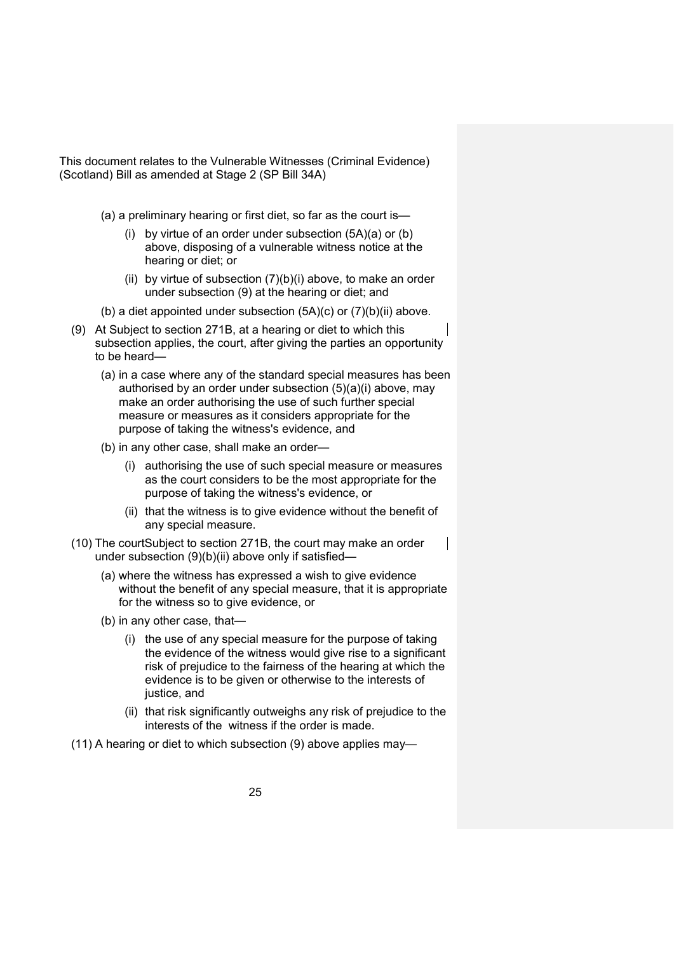- (a) a preliminary hearing or first diet, so far as the court is—
	- (i) by virtue of an order under subsection (5A)(a) or (b) above, disposing of a vulnerable witness notice at the hearing or diet; or
	- (ii) by virtue of subsection (7)(b)(i) above, to make an order under subsection (9) at the hearing or diet; and
- (b) a diet appointed under subsection (5A)(c) or (7)(b)(ii) above.
- (9) At Subject to section 271B, at a hearing or diet to which this subsection applies, the court, after giving the parties an opportunity to be heard—
	- (a) in a case where any of the standard special measures has been authorised by an order under subsection (5)(a)(i) above, may make an order authorising the use of such further special measure or measures as it considers appropriate for the purpose of taking the witness's evidence, and
	- (b) in any other case, shall make an order—
		- (i) authorising the use of such special measure or measures as the court considers to be the most appropriate for the purpose of taking the witness's evidence, or
		- (ii) that the witness is to give evidence without the benefit of any special measure.
- (10) The courtSubject to section 271B, the court may make an order under subsection (9)(b)(ii) above only if satisfied—
	- (a) where the witness has expressed a wish to give evidence without the benefit of any special measure, that it is appropriate for the witness so to give evidence, or
	- (b) in any other case, that—
		- (i) the use of any special measure for the purpose of taking the evidence of the witness would give rise to a significant risk of prejudice to the fairness of the hearing at which the evidence is to be given or otherwise to the interests of justice, and
		- (ii) that risk significantly outweighs any risk of prejudice to the interests of the witness if the order is made.
- (11) A hearing or diet to which subsection (9) above applies may—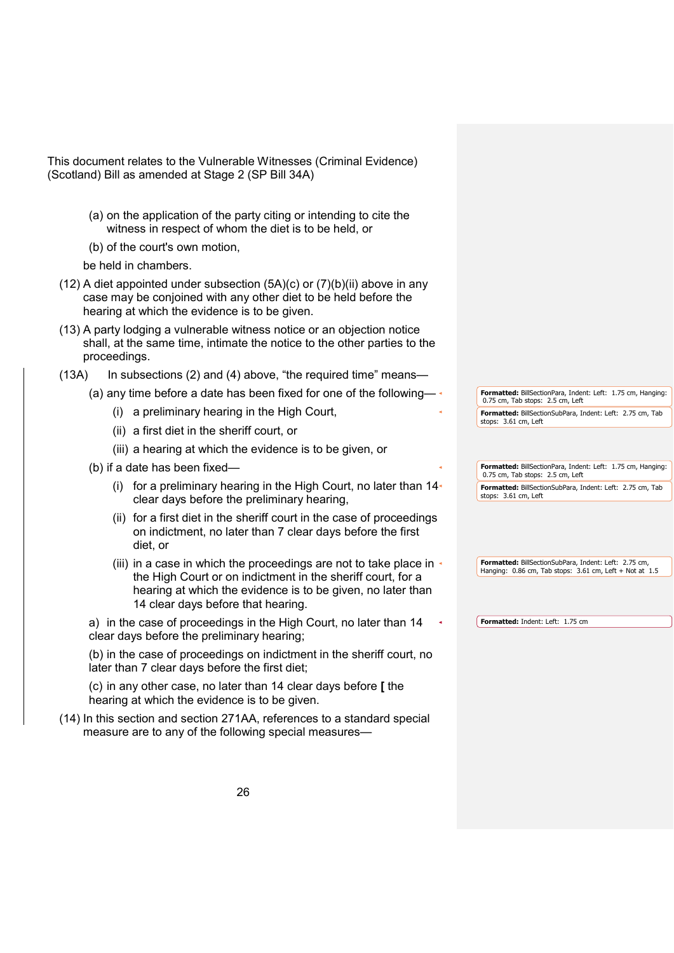- (a) on the application of the party citing or intending to cite the witness in respect of whom the diet is to be held, or
- (b) of the court's own motion,

be held in chambers.

- (12) A diet appointed under subsection (5A)(c) or (7)(b)(ii) above in any case may be conjoined with any other diet to be held before the hearing at which the evidence is to be given.
- (13) A party lodging a vulnerable witness notice or an objection notice shall, at the same time, intimate the notice to the other parties to the proceedings.
- (13A) In subsections (2) and (4) above, "the required time" means—
	- (a) any time before a date has been fixed for one of the following—
		- (i) a preliminary hearing in the High Court,
		- (ii) a first diet in the sheriff court, or
		- (iii) a hearing at which the evidence is to be given, or
	- (b) if a date has been fixed—
		- (i) for a preliminary hearing in the High Court, no later than 14 $\cdot$ clear days before the preliminary hearing,
		- (ii) for a first diet in the sheriff court in the case of proceedings on indictment, no later than 7 clear days before the first diet, or
		- (iii) in a case in which the proceedings are not to take place in the High Court or on indictment in the sheriff court, for a hearing at which the evidence is to be given, no later than 14 clear days before that hearing.

 a) in the case of proceedings in the High Court, no later than 14 clear days before the preliminary hearing;

 (b) in the case of proceedings on indictment in the sheriff court, no later than 7 clear days before the first diet;

 (c) in any other case, no later than 14 clear days before **[** the hearing at which the evidence is to be given.

 (14) In this section and section 271AA, references to a standard special measure are to any of the following special measures **Formatted:** BillSectionPara, Indent: Left: 1.75 cm, Hanging: 0.75 cm, Tab stops: 2.5 cm, Left **Formatted:** BillSectionSubPara, Indent: Left: 2.75 cm, Tab stops: 3.61 cm, Left

 **Formatted:** BillSectionPara, Indent: Left: 1.75 cm, Hanging: 0.75 cm, Tab stops: 2.5 cm, Left **Formatted:** BillSectionSubPara, Indent: Left: 2.75 cm, Tab stops: 3.61 cm, Left

 **Formatted:** BillSectionSubPara, Indent: Left: 2.75 cm, Hanging: 0.86 cm, Tab stops: 3.61 cm, Left + Not at 1.5

**Formatted:** Indent: Left: 1.75 cm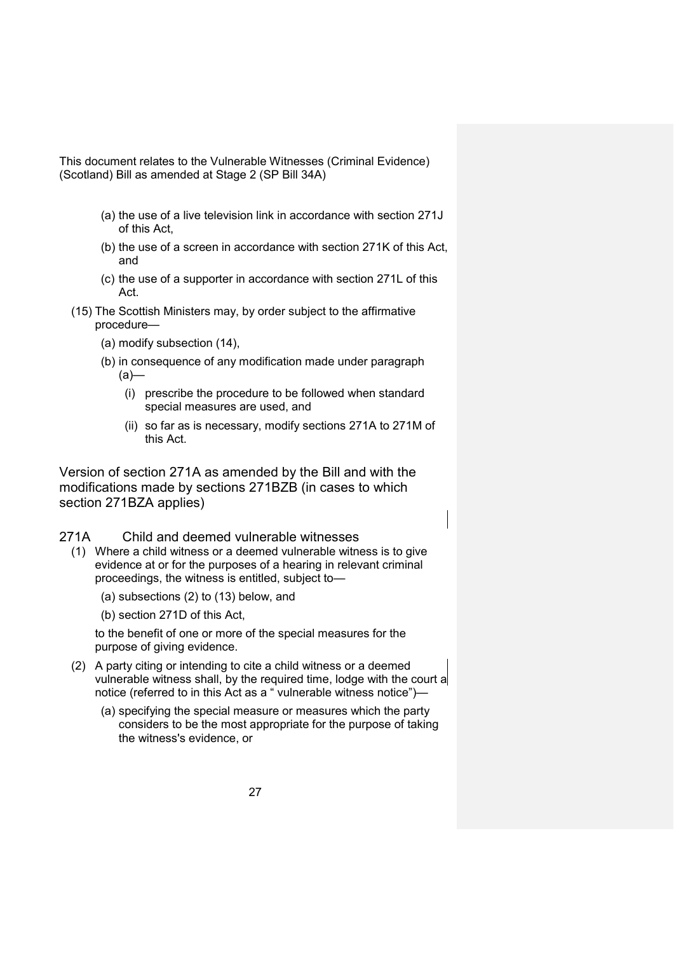- (a) the use of a live television link in accordance with section 271J of this Act,
- (b) the use of a screen in accordance with section 271K of this Act, and
- (c) the use of a supporter in accordance with section 271L of this Act.
- (15) The Scottish Ministers may, by order subject to the affirmative procedure—
	- (a) modify subsection (14),
	- (b) in consequence of any modification made under paragraph (a)—
		- (i) prescribe the procedure to be followed when standard special measures are used, and
		- (ii) so far as is necessary, modify sections 271A to 271M of this Act.

 Version of section 271A as amended by the Bill and with the modifications made by sections 271BZB (in cases to which section 271BZA applies)

271A Child and deemed vulnerable witnesses

- (1) Where a child witness or a deemed vulnerable witness is to give evidence at or for the purposes of a hearing in relevant criminal proceedings, the witness is entitled, subject to—
	- (a) subsections (2) to (13) below, and
	- (b) section 271D of this Act,

 to the benefit of one or more of the special measures for the purpose of giving evidence.

- (2) A party citing or intending to cite a child witness or a deemed vulnerable witness shall, by the required time, lodge with the court a notice (referred to in this Act as a " vulnerable witness notice")—
	- (a) specifying the special measure or measures which the party considers to be the most appropriate for the purpose of taking the witness's evidence, or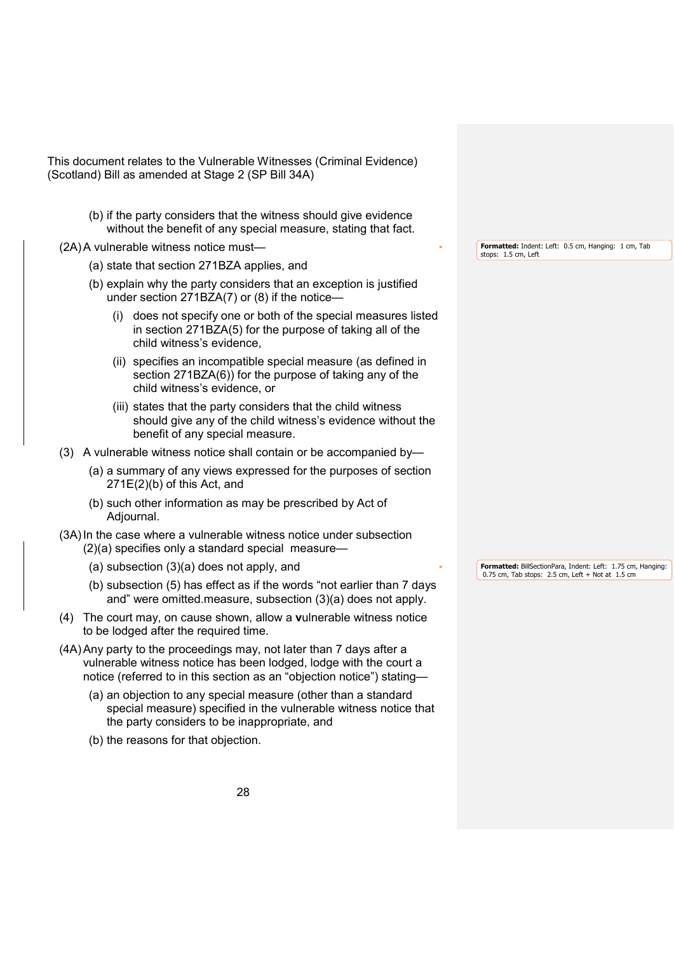> (b) if the party considers that the witness should give evidence without the benefit of any special measure, stating that fact.

(2A) A vulnerable witness notice must—

- (a) state that section 271BZA applies, and
- (b) explain why the party considers that an exception is justified under section 271BZA(7) or (8) if the notice—
	- (i) does not specify one or both of the special measures listed in section 271BZA(5) for the purpose of taking all of the child witness's evidence,
	- (ii) specifies an incompatible special measure (as defined in section 271BZA(6)) for the purpose of taking any of the child witness's evidence, or
	- (iii) states that the party considers that the child witness should give any of the child witness's evidence without the benefit of any special measure.
- (3) A vulnerable witness notice shall contain or be accompanied by—
	- (a) a summary of any views expressed for the purposes of section 271E(2)(b) of this Act, and
	- (b) such other information as may be prescribed by Act of Adjournal.
- (3A) In the case where a vulnerable witness notice under subsection (2)(a) specifies only a standard special measure—
	- (a) subsection (3)(a) does not apply, and
	- (b) subsection (5) has effect as if the words "not earlier than 7 days and" were omitted.measure, subsection (3)(a) does not apply.
- (4) The court may, on cause shown, allow a **v**ulnerable witness notice to be lodged after the required time.
- (4A) Any party to the proceedings may, not later than 7 days after a vulnerable witness notice has been lodged, lodge with the court a notice (referred to in this section as an "objection notice") stating—
	- (a) an objection to any special measure (other than a standard special measure) specified in the vulnerable witness notice that the party considers to be inappropriate, and
	- (b) the reasons for that objection.

**Formatted:** Indent: Left: 0.5 cm, Hanging: 1 cm, Tab stops: 1.5 cm, Left

 **Formatted:** BillSectionPara, Indent: Left: 1.75 cm, Hanging: 0.75 cm, Tab stops: 2.5 cm, Left + Not at 1.5 cm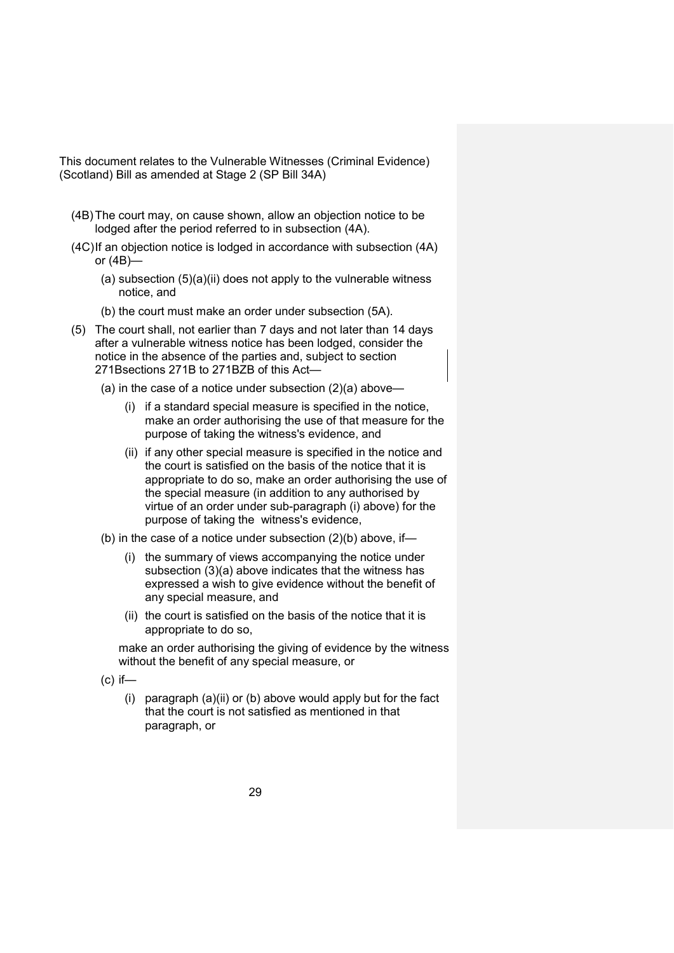- (4B) The court may, on cause shown, allow an objection notice to be lodged after the period referred to in subsection (4A).
- (4C)If an objection notice is lodged in accordance with subsection (4A) or (4B)—
	- (a) subsection (5)(a)(ii) does not apply to the vulnerable witness notice, and
	- (b) the court must make an order under subsection (5A).
- (5) The court shall, not earlier than 7 days and not later than 14 days after a vulnerable witness notice has been lodged, consider the notice in the absence of the parties and, subject to section 271Bsections 271B to 271BZB of this Act—
	- (a) in the case of a notice under subsection (2)(a) above—
		- (i) if a standard special measure is specified in the notice, make an order authorising the use of that measure for the purpose of taking the witness's evidence, and
		- (ii) if any other special measure is specified in the notice and the court is satisfied on the basis of the notice that it is appropriate to do so, make an order authorising the use of the special measure (in addition to any authorised by virtue of an order under sub-paragraph (i) above) for the purpose of taking the witness's evidence,
	- (b) in the case of a notice under subsection (2)(b) above, if—
		- (i) the summary of views accompanying the notice under subsection (3)(a) above indicates that the witness has expressed a wish to give evidence without the benefit of any special measure, and
		- (ii) the court is satisfied on the basis of the notice that it is appropriate to do so,

 make an order authorising the giving of evidence by the witness without the benefit of any special measure, or

- (c) if—
	- (i) paragraph (a)(ii) or (b) above would apply but for the fact that the court is not satisfied as mentioned in that paragraph, or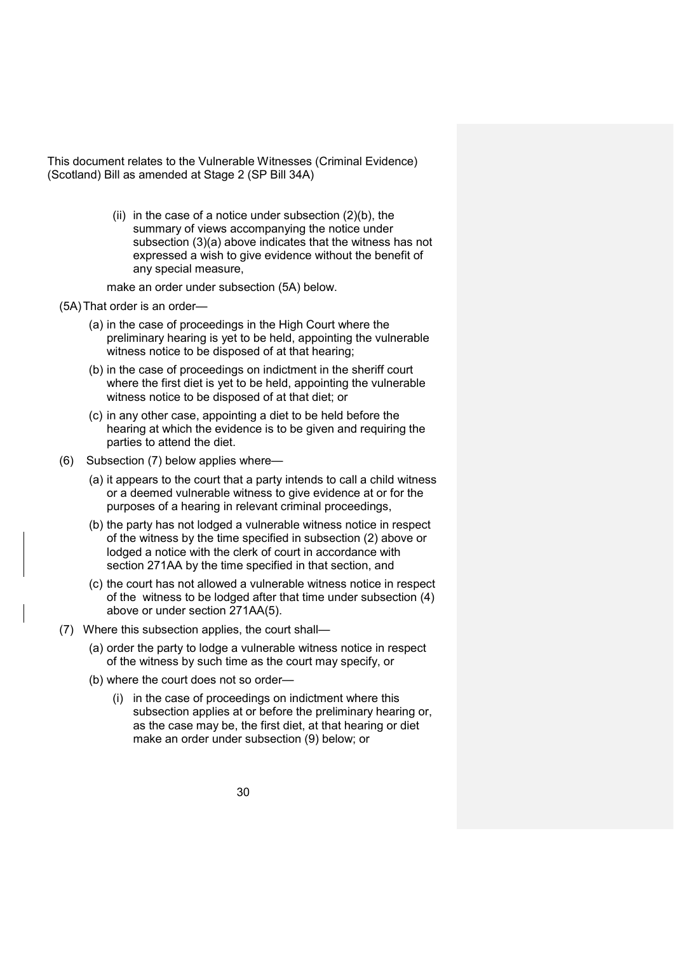> (ii) in the case of a notice under subsection (2)(b), the summary of views accompanying the notice under subsection (3)(a) above indicates that the witness has not expressed a wish to give evidence without the benefit of any special measure,

make an order under subsection (5A) below.

- (5A) That order is an order—
	- (a) in the case of proceedings in the High Court where the preliminary hearing is yet to be held, appointing the vulnerable witness notice to be disposed of at that hearing;
	- (b) in the case of proceedings on indictment in the sheriff court where the first diet is yet to be held, appointing the vulnerable witness notice to be disposed of at that diet; or
	- (c) in any other case, appointing a diet to be held before the hearing at which the evidence is to be given and requiring the parties to attend the diet.
- (6) Subsection (7) below applies where—
	- (a) it appears to the court that a party intends to call a child witness or a deemed vulnerable witness to give evidence at or for the purposes of a hearing in relevant criminal proceedings,
	- (b) the party has not lodged a vulnerable witness notice in respect of the witness by the time specified in subsection (2) above or lodged a notice with the clerk of court in accordance with section 271AA by the time specified in that section, and
	- (c) the court has not allowed a vulnerable witness notice in respect of the witness to be lodged after that time under subsection (4) above or under section 271AA(5).
- (7) Where this subsection applies, the court shall—
	- (a) order the party to lodge a vulnerable witness notice in respect of the witness by such time as the court may specify, or
	- (b) where the court does not so order—
		- (i) in the case of proceedings on indictment where this subsection applies at or before the preliminary hearing or, as the case may be, the first diet, at that hearing or diet make an order under subsection (9) below; or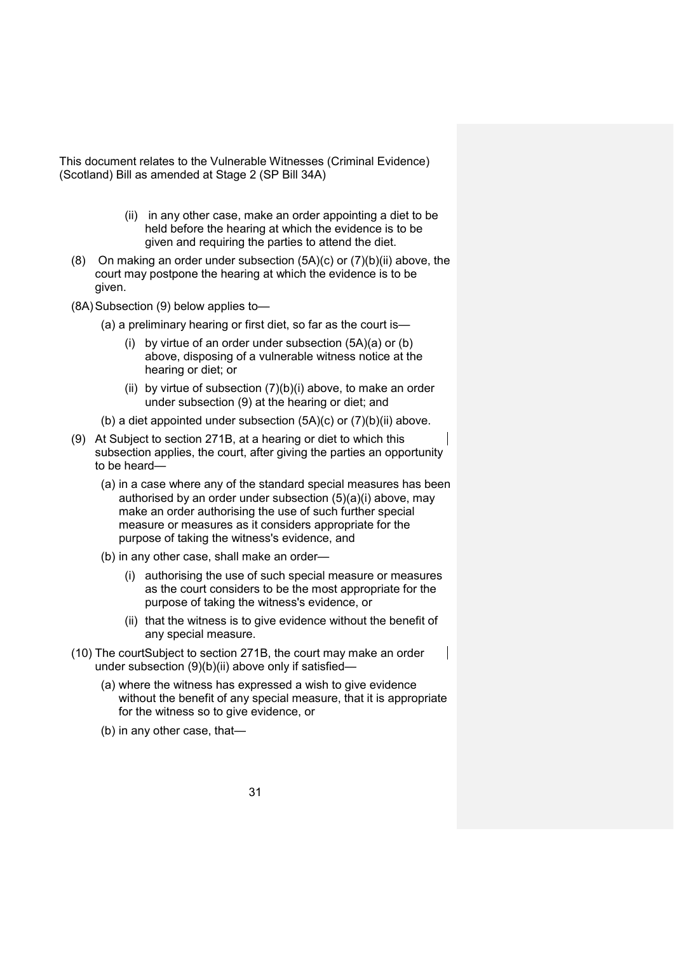- (ii) in any other case, make an order appointing a diet to be held before the hearing at which the evidence is to be given and requiring the parties to attend the diet.
- (8) On making an order under subsection (5A)(c) or (7)(b)(ii) above, the court may postpone the hearing at which the evidence is to be given.
- (8A) Subsection (9) below applies to—
	- (a) a preliminary hearing or first diet, so far as the court is—
		- (i) by virtue of an order under subsection (5A)(a) or (b) above, disposing of a vulnerable witness notice at the hearing or diet; or
		- (ii) by virtue of subsection (7)(b)(i) above, to make an order under subsection (9) at the hearing or diet; and
	- (b) a diet appointed under subsection (5A)(c) or (7)(b)(ii) above.
- (9) At Subject to section 271B, at a hearing or diet to which this subsection applies, the court, after giving the parties an opportunity to be heard—
	- (a) in a case where any of the standard special measures has been authorised by an order under subsection (5)(a)(i) above, may make an order authorising the use of such further special measure or measures as it considers appropriate for the purpose of taking the witness's evidence, and
	- (b) in any other case, shall make an order—
		- (i) authorising the use of such special measure or measures as the court considers to be the most appropriate for the purpose of taking the witness's evidence, or
		- (ii) that the witness is to give evidence without the benefit of any special measure.
- (10) The courtSubject to section 271B, the court may make an order under subsection (9)(b)(ii) above only if satisfied—
	- (a) where the witness has expressed a wish to give evidence without the benefit of any special measure, that it is appropriate for the witness so to give evidence, or
	- (b) in any other case, that—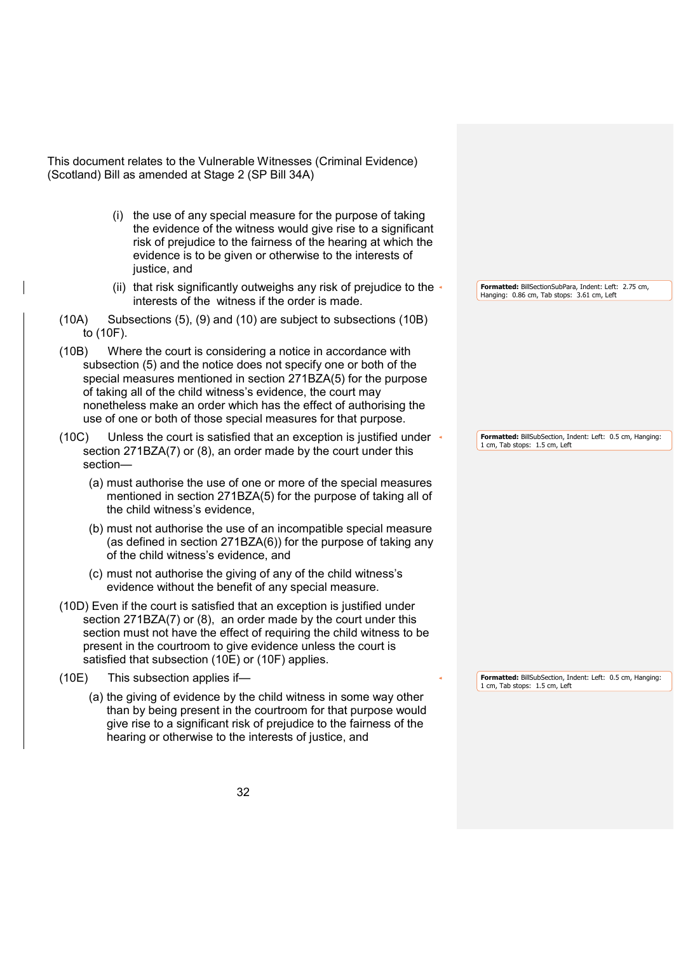- (i) the use of any special measure for the purpose of taking the evidence of the witness would give rise to a significant risk of prejudice to the fairness of the hearing at which the evidence is to be given or otherwise to the interests of justice, and
- (ii) that risk significantly outweighs any risk of prejudice to the interests of the witness if the order is made.
- (10A) Subsections (5), (9) and (10) are subject to subsections (10B) to (10F).
- (10B) Where the court is considering a notice in accordance with subsection (5) and the notice does not specify one or both of the special measures mentioned in section 271BZA(5) for the purpose of taking all of the child witness's evidence, the court may nonetheless make an order which has the effect of authorising the use of one or both of those special measures for that purpose.
- (10C) Unless the court is satisfied that an exception is justified under section 271BZA(7) or (8), an order made by the court under this section—
	- (a) must authorise the use of one or more of the special measures mentioned in section 271BZA(5) for the purpose of taking all of the child witness's evidence,
	- (b) must not authorise the use of an incompatible special measure (as defined in section 271BZA(6)) for the purpose of taking any of the child witness's evidence, and
	- (c) must not authorise the giving of any of the child witness's evidence without the benefit of any special measure.
- (10D) Even if the court is satisfied that an exception is justified under section 271BZA(7) or (8), an order made by the court under this section must not have the effect of requiring the child witness to be present in the courtroom to give evidence unless the court is satisfied that subsection (10E) or (10F) applies.

(10E) This subsection applies if—

 (a) the giving of evidence by the child witness in some way other than by being present in the courtroom for that purpose would give rise to a significant risk of prejudice to the fairness of the hearing or otherwise to the interests of justice, and

**Formatted:** BillSectionSubPara, Indent: Left: 2.75 cm, Hanging: 0.86 cm, Tab stops: 3.61 cm, Left

 **Formatted:** BillSubSection, Indent: Left: 0.5 cm, Hanging: 1 cm, Tab stops: 1.5 cm, Left

 **Formatted:** BillSubSection, Indent: Left: 0.5 cm, Hanging: 1 cm, Tab stops: 1.5 cm, Left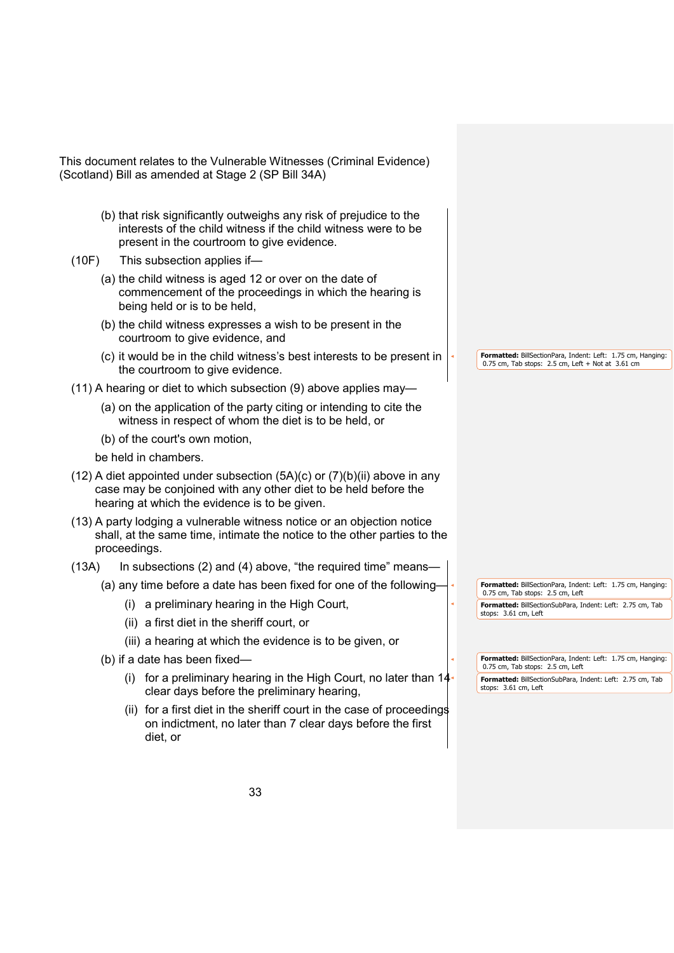> (b) that risk significantly outweighs any risk of prejudice to the interests of the child witness if the child witness were to be present in the courtroom to give evidence.

(10F) This subsection applies if—

- (a) the child witness is aged 12 or over on the date of commencement of the proceedings in which the hearing is being held or is to be held,
- (b) the child witness expresses a wish to be present in the courtroom to give evidence, and
- (c) it would be in the child witness's best interests to be present in  $\overline{\phantom{a}}_{0.75 \text{ cm, Tab stops: 2.5 cm, Left + Not at 3.61 cm}^{3.61 cm}}$ the courtroom to give evidence.
- (11) A hearing or diet to which subsection (9) above applies may—
	- (a) on the application of the party citing or intending to cite the witness in respect of whom the diet is to be held, or
	- (b) of the court's own motion,

be held in chambers.

- (12) A diet appointed under subsection (5A)(c) or (7)(b)(ii) above in any case may be conjoined with any other diet to be held before the hearing at which the evidence is to be given.
- (13) A party lodging a vulnerable witness notice or an objection notice shall, at the same time, intimate the notice to the other parties to the proceedings.
- (13A) In subsections (2) and (4) above, "the required time" means—
	- (a) any time before a date has been fixed for one of the following—|
		- (i) a preliminary hearing in the High Court,
		- (ii) a first diet in the sheriff court, or
		- (iii) a hearing at which the evidence is to be given, or
	- (b) if a date has been fixed—
		- (i) for a preliminary hearing in the High Court, no later than 14 clear days before the preliminary hearing,
		- (ii) for a first diet in the sheriff court in the case of proceedings on indictment, no later than 7 clear days before the first diet, or

 **Formatted:** BillSectionPara, Indent: Left: 1.75 cm, Hanging:  $0.75$  cm, Tab stops: 2.5 cm, Left + Not at 3.61 cm

 **Formatted:** BillSectionPara, Indent: Left: 1.75 cm, Hanging: 0.75 cm, Tab stops: 2.5 cm, Left **Formatted:** BillSectionSubPara, Indent: Left: 2.75 cm, Tab stops: 3.61 cm, Left

 **Formatted:** BillSectionPara, Indent: Left: 1.75 cm, Hanging: 0.75 cm, Tab stops: 2.5 cm, Left **Formatted:** BillSectionSubPara, Indent: Left: 2.75 cm, Tab stops: 3.61 cm, Left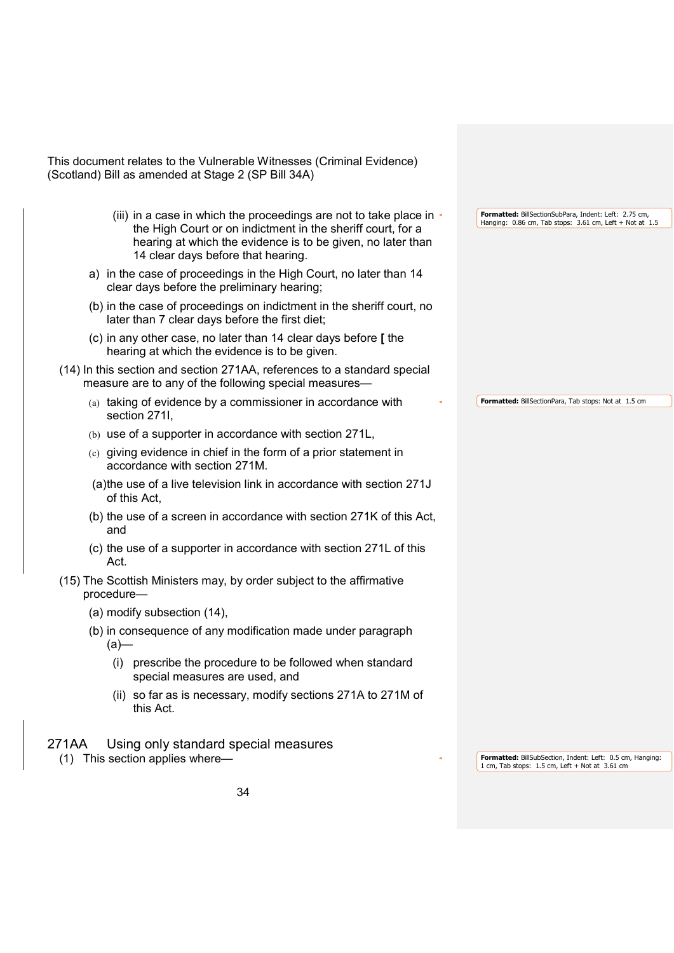- (iii) in a case in which the proceedings are not to take place in the High Court or on indictment in the sheriff court, for a hearing at which the evidence is to be given, no later than 14 clear days before that hearing.
- a) in the case of proceedings in the High Court, no later than 14 clear days before the preliminary hearing;
- (b) in the case of proceedings on indictment in the sheriff court, no later than 7 clear days before the first diet;
- (c) in any other case, no later than 14 clear days before **[** the hearing at which the evidence is to be given.
- (14) In this section and section 271AA, references to a standard special measure are to any of the following special measures—
	- (a) taking of evidence by a commissioner in accordance with section 271I,
	- (b) use of a supporter in accordance with section 271L,
	- (c) giving evidence in chief in the form of a prior statement in accordance with section 271M.
	- (a)the use of a live television link in accordance with section 271J of this Act,
	- (b) the use of a screen in accordance with section 271K of this Act, and
	- (c) the use of a supporter in accordance with section 271L of this Act.
- (15) The Scottish Ministers may, by order subject to the affirmative procedure—
	- (a) modify subsection (14),
	- (b) in consequence of any modification made under paragraph  $(a)$ —
		- (i) prescribe the procedure to be followed when standard special measures are used, and
		- (ii) so far as is necessary, modify sections 271A to 271M of this Act.
- 271AA Using only standard special measures
	- (1) This section applies where—

**Formatted:** BillSectionSubPara, Indent: Left: 2.75 cm, Hanging: 0.86 cm, Tab stops: 3.61 cm, Left + Not at 1.5

**Formatted:** BillSectionPara, Tab stops: Not at 1.5 cm

**Formatted:** BillSubSection, Indent: Left: 0.5 cm, Hanging: 1 cm, Tab stops: 1.5 cm, Left + Not at 3.61 cm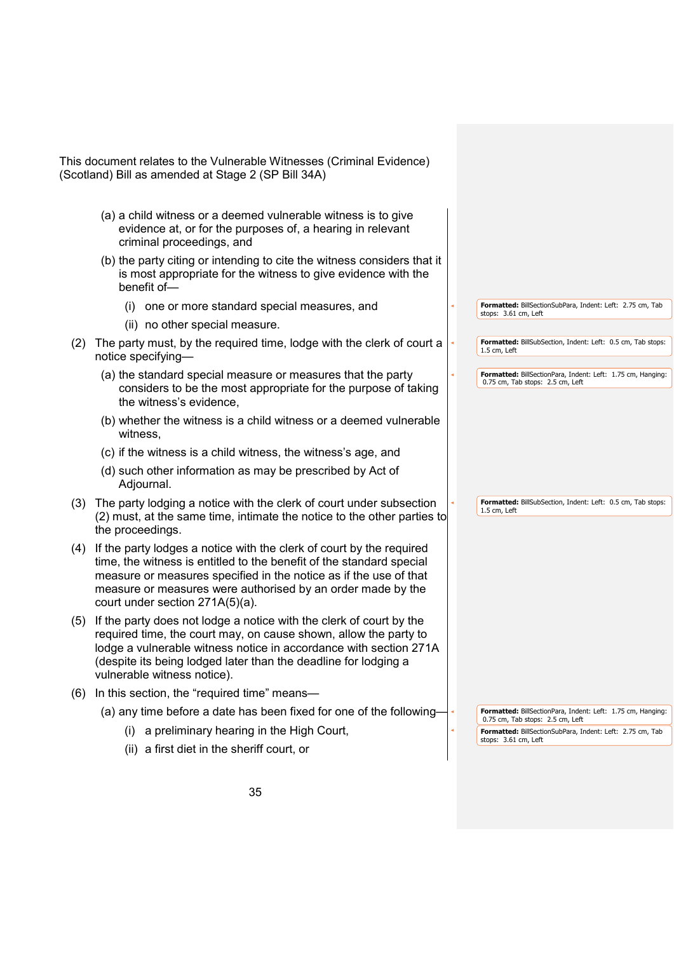- (a) a child witness or a deemed vulnerable witness is to give evidence at, or for the purposes of, a hearing in relevant criminal proceedings, and
- (b) the party citing or intending to cite the witness considers that it is most appropriate for the witness to give evidence with the benefit of—
	- (i) one or more standard special measures, and
	- (ii) no other special measure.
- (2) The party must, by the required time, lodge with the clerk of court a notice specifying—
	- (a) the standard special measure or measures that the party considers to be the most appropriate for the purpose of taking the witness's evidence,
	- (b) whether the witness is a child witness or a deemed vulnerable witness,
	- (c) if the witness is a child witness, the witness's age, and
	- (d) such other information as may be prescribed by Act of Adjournal.
- (3) The party lodging a notice with the clerk of court under subsection (2) must, at the same time, intimate the notice to the other parties to the proceedings.
- (4) If the party lodges a notice with the clerk of court by the required time, the witness is entitled to the benefit of the standard special measure or measures specified in the notice as if the use of that measure or measures were authorised by an order made by the court under section 271A(5)(a).
- (5) If the party does not lodge a notice with the clerk of court by the required time, the court may, on cause shown, allow the party to lodge a vulnerable witness notice in accordance with section 271A (despite its being lodged later than the deadline for lodging a vulnerable witness notice).
- (6) In this section, the "required time" means—
	- (a) any time before a date has been fixed for one of the following— $\mid$ 
		- (i) a preliminary hearing in the High Court,
			- (ii) a first diet in the sheriff court, or



**Formatted:** BillSectionPara, Indent: Left: 1.75 cm, Hanging:

**Formatted:** BillSectionSubPara, Indent: Left: 2.75 cm, Tab

0.75 cm, Tab stops: 2.5 cm, Left

stops: 3.61 cm, Left

1.5 cm, Left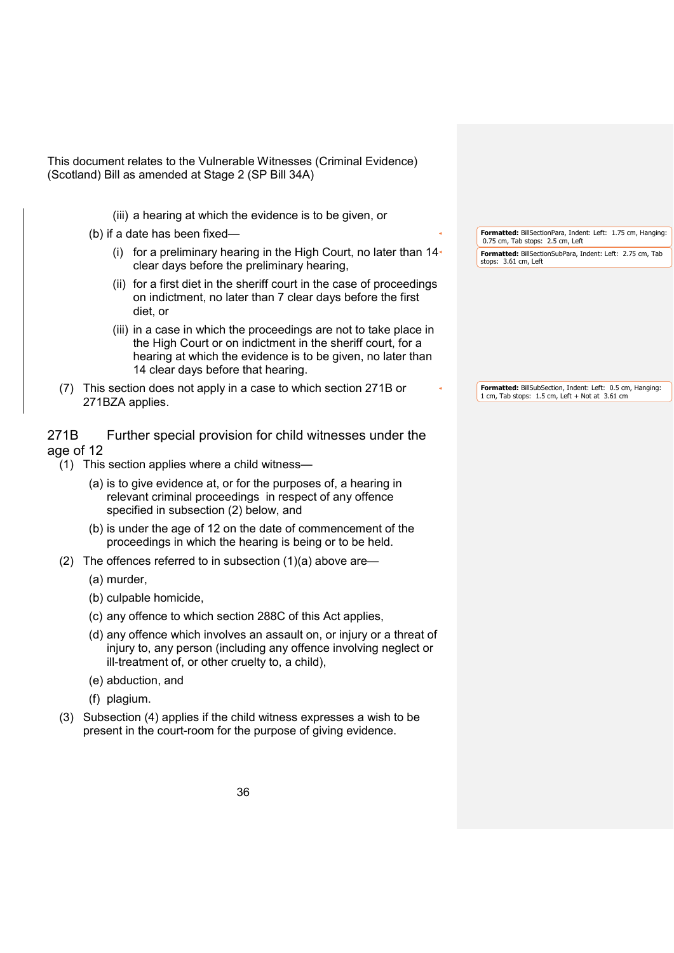- (iii) a hearing at which the evidence is to be given, or
- (b) if a date has been fixed—
	- (i) for a preliminary hearing in the High Court, no later than 14 $\cdot$ clear days before the preliminary hearing,
	- (ii) for a first diet in the sheriff court in the case of proceedings on indictment, no later than 7 clear days before the first diet, or
	- (iii) in a case in which the proceedings are not to take place in the High Court or on indictment in the sheriff court, for a hearing at which the evidence is to be given, no later than 14 clear days before that hearing.
- (7) This section does not apply in a case to which section 271B or 271BZA applies.

271B Further special provision for child witnesses under the age of 12

- (1) This section applies where a child witness—
	- (a) is to give evidence at, or for the purposes of, a hearing in relevant criminal proceedings in respect of any offence specified in subsection (2) below, and
	- (b) is under the age of 12 on the date of commencement of the proceedings in which the hearing is being or to be held.
- (2) The offences referred to in subsection (1)(a) above are—
	- (a) murder,
	- (b) culpable homicide,
	- (c) any offence to which section 288C of this Act applies,
	- (d) any offence which involves an assault on, or injury or a threat of injury to, any person (including any offence involving neglect or ill-treatment of, or other cruelty to, a child),
	- (e) abduction, and
	- (f) plagium.
- (3) Subsection (4) applies if the child witness expresses a wish to be present in the court-room for the purpose of giving evidence.

 **Formatted:** BillSectionPara, Indent: Left: 1.75 cm, Hanging: 0.75 cm, Tab stops: 2.5 cm, Left **Formatted:** BillSectionSubPara, Indent: Left: 2.75 cm, Tab

stops: 3.61 cm, Left

 **Formatted:** BillSubSection, Indent: Left: 0.5 cm, Hanging: 1 cm, Tab stops: 1.5 cm, Left + Not at 3.61 cm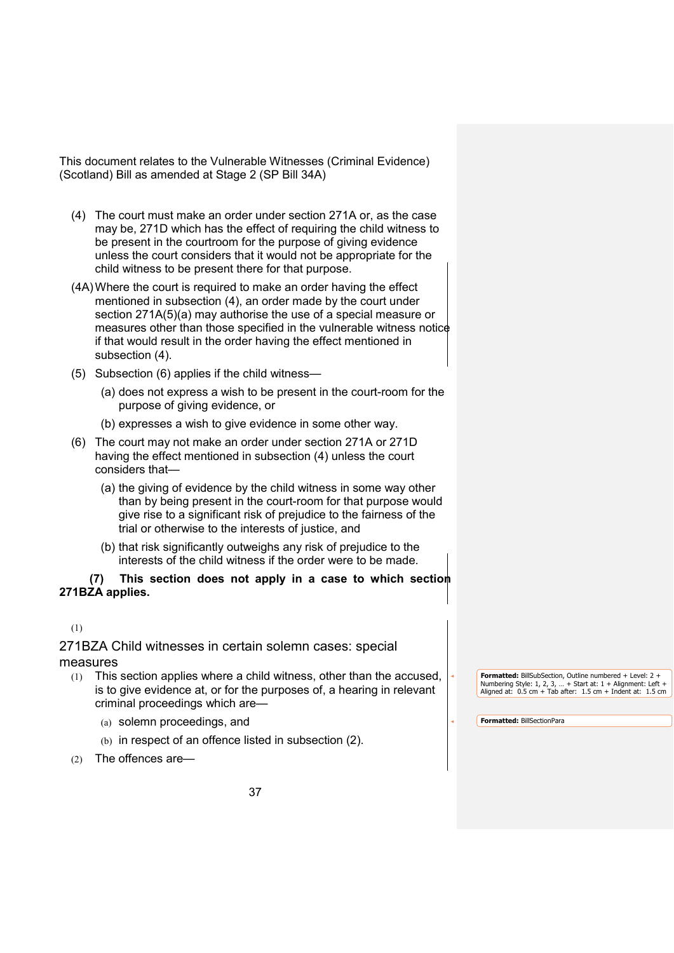- (4) The court must make an order under section 271A or, as the case may be, 271D which has the effect of requiring the child witness to be present in the courtroom for the purpose of giving evidence unless the court considers that it would not be appropriate for the child witness to be present there for that purpose.
- (4A) Where the court is required to make an order having the effect mentioned in subsection (4), an order made by the court under section 271A(5)(a) may authorise the use of a special measure or measures other than those specified in the vulnerable witness notic $\phi$  if that would result in the order having the effect mentioned in subsection (4).
- (5) Subsection (6) applies if the child witness—
	- (a) does not express a wish to be present in the court-room for the purpose of giving evidence, or
	- (b) expresses a wish to give evidence in some other way.
- (6) The court may not make an order under section 271A or 271D having the effect mentioned in subsection (4) unless the court considers that—
	- (a) the giving of evidence by the child witness in some way other than by being present in the court-room for that purpose would give rise to a significant risk of prejudice to the fairness of the trial or otherwise to the interests of justice, and
	- (b) that risk significantly outweighs any risk of prejudice to the interests of the child witness if the order were to be made.

#### **(7) This section does not apply in a case to which section 271BZA applies.**

#### (1)

 271BZA Child witnesses in certain solemn cases: special measures

- (1) This section applies where a child witness, other than the accused, is to give evidence at, or for the purposes of, a hearing in relevant criminal proceedings which are—
	- (a) solemn proceedings, and
	- (b) in respect of an offence listed in subsection (2).
- (2) The offences are—

 **Formatted:** BillSubSection, Outline numbered + Level: 2 + Numbering Style: 1, 2, 3, … + Start at: 1 + Alignment: Left + Aligned at: 0.5 cm + Tab after: 1.5 cm + Indent at: 1.5 cm

**Formatted:** BillSectionPara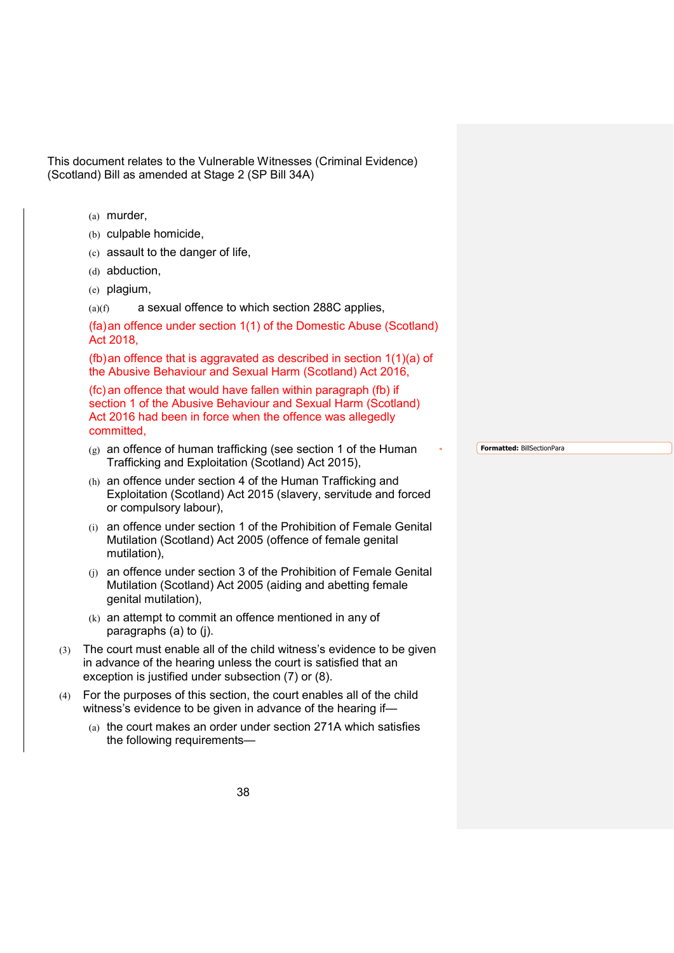- (a) murder,
- (b) culpable homicide,
- (c) assault to the danger of life,
- (d) abduction,
- (e) plagium,
- $(a)(f)$  a sexual offence to which section 288C applies,

 (fa)an offence under section 1(1) of the Domestic Abuse (Scotland) Act 2018,

 (fb)an offence that is aggravated as described in section 1(1)(a) of the Abusive Behaviour and Sexual Harm (Scotland) Act 2016,

 (fc) an offence that would have fallen within paragraph (fb) if section 1 of the Abusive Behaviour and Sexual Harm (Scotland) Act 2016 had been in force when the offence was allegedly committed,

- $\left( \mathrm{g}\right)$  an offence of human trafficking (see section 1 of the Human  $\,$ Trafficking and Exploitation (Scotland) Act 2015),
- (h) an offence under section 4 of the Human Trafficking and Exploitation (Scotland) Act 2015 (slavery, servitude and forced or compulsory labour),
- (i) an offence under section 1 of the Prohibition of Female Genital Mutilation (Scotland) Act 2005 (offence of female genital mutilation),
- (j) an offence under section 3 of the Prohibition of Female Genital Mutilation (Scotland) Act 2005 (aiding and abetting female genital mutilation),
- (k) an attempt to commit an offence mentioned in any of paragraphs (a) to (j).
- (3) The court must enable all of the child witness's evidence to be given in advance of the hearing unless the court is satisfied that an exception is justified under subsection (7) or (8).
- (4) For the purposes of this section, the court enables all of the child witness's evidence to be given in advance of the hearing if—
	- (a) the court makes an order under section 271A which satisfies the following requirements—

**Formatted:** BillSectionPara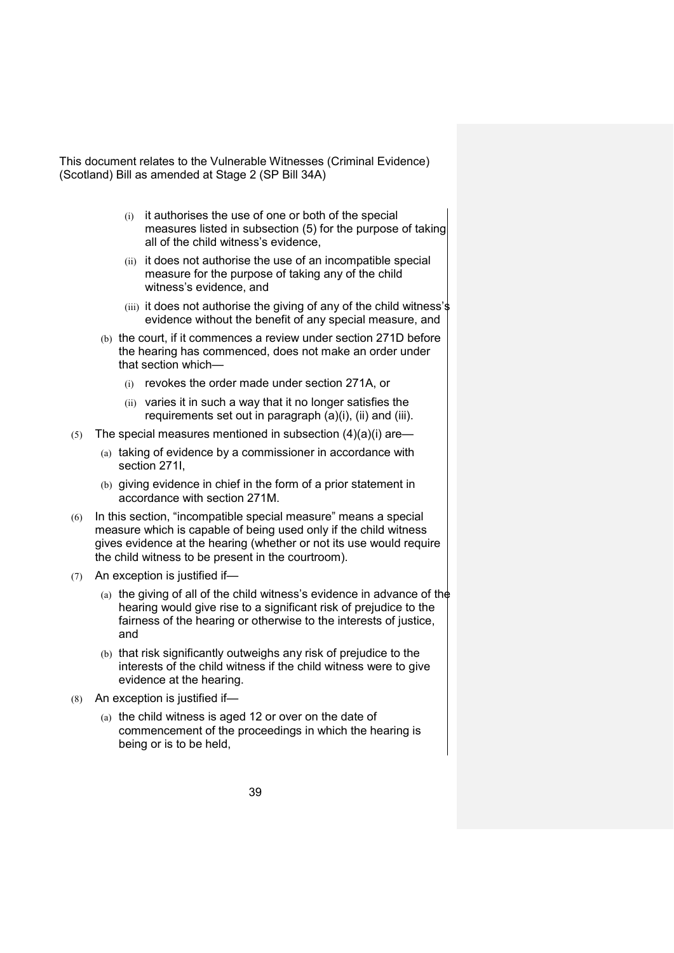- $(i)$  it authorises the use of one or both of the special measures listed in subsection (5) for the purpose of taking all of the child witness's evidence,
- (ii) it does not authorise the use of an incompatible special measure for the purpose of taking any of the child witness's evidence, and
- $\left(\begin{smallmatrix} \textrm{iii} \textrm{)} \end{smallmatrix}\right]$  it does not authorise the giving of any of the child witness' $\ddot{\textrm{s}}$ evidence without the benefit of any special measure, and
- (b) the court, if it commences a review under section 271D before the hearing has commenced, does not make an order under that section which—
	- (i) revokes the order made under section 271A, or
	- (ii) varies it in such a way that it no longer satisfies the requirements set out in paragraph (a)(i), (ii) and (iii).
- $(5)$  The special measures mentioned in subsection  $(4)(a)(i)$  are—
	- (a) taking of evidence by a commissioner in accordance with section 271I,
	- (b) giving evidence in chief in the form of a prior statement in accordance with section 271M.
- (6) In this section, "incompatible special measure" means a special measure which is capable of being used only if the child witness gives evidence at the hearing (whether or not its use would require the child witness to be present in the courtroom).
- $(7)$  An exception is justified if—
	- $\left( \text{a} \right)$  the giving of all of the child witness's evidence in advance of th $\phi$  hearing would give rise to a significant risk of prejudice to the fairness of the hearing or otherwise to the interests of justice, and
	- (b) that risk significantly outweighs any risk of prejudice to the interests of the child witness if the child witness were to give evidence at the hearing.
- $(8)$  An exception is justified if—
	- (a) the child witness is aged 12 or over on the date of commencement of the proceedings in which the hearing is being or is to be held,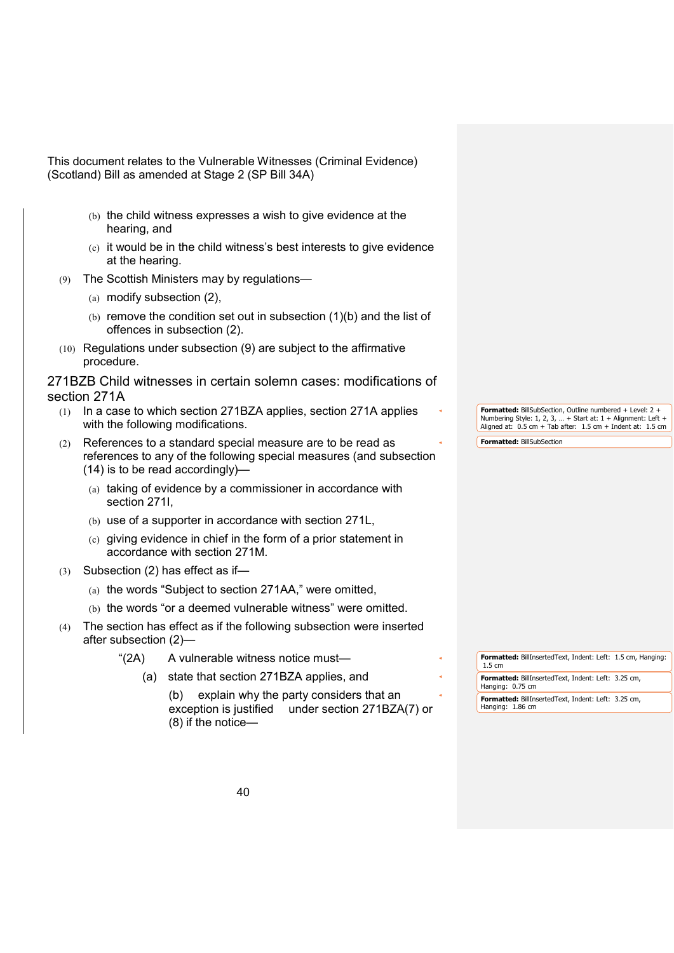- (b) the child witness expresses a wish to give evidence at the hearing, and
- (c) it would be in the child witness's best interests to give evidence at the hearing.
- (9) The Scottish Ministers may by regulations—
	- (a) modify subsection (2),
	- (b) remove the condition set out in subsection (1)(b) and the list of offences in subsection (2).
- (10) Regulations under subsection (9) are subject to the affirmative procedure.

## 271BZB Child witnesses in certain solemn cases: modifications of section 271A

- $(1)$  In a case to which section 271BZA applies, section 271A applies with the following modifications.
- (2) References to a standard special measure are to be read as references to any of the following special measures (and subsection (14) is to be read accordingly)—
	- (a) taking of evidence by a commissioner in accordance with section 271I,
	- (b) use of a supporter in accordance with section 271L,
	- (c) giving evidence in chief in the form of a prior statement in accordance with section 271M.
- $(3)$  Subsection  $(2)$  has effect as if-
	- (a) the words "Subject to section 271AA," were omitted,
	- (b) the words "or a deemed vulnerable witness" were omitted.
- (4) The section has effect as if the following subsection were inserted after subsection (2)—
	- "(2A) A vulnerable witness notice must—
		- (a) state that section 271BZA applies, and

```
 
exception is justified under section 271BZA(7) or 

(8) if the notice— 
(b) explain why the party considers that an
```
 **Formatted:** BillSubSection, Outline numbered + Level: 2 + Numbering Style: 1, 2, 3, … + Start at: 1 + Alignment: Left + Aligned at: 0.5 cm + Tab after: 1.5 cm + Indent at: 1.5 cm

**Formatted:** BillSubSection

|  | Formatted: BillInsertedText, Indent: Left: 1.5 cm, Hanging:<br>$1.5 \text{ cm}$ |  |
|--|---------------------------------------------------------------------------------|--|
|  | Formatted: BillInsertedText, Indent: Left: 3.25 cm,<br>Hanging: 0.75 cm         |  |
|  | Formatted: BillInsertedText, Indent: Left: 3.25 cm,<br>Hanging: 1.86 cm         |  |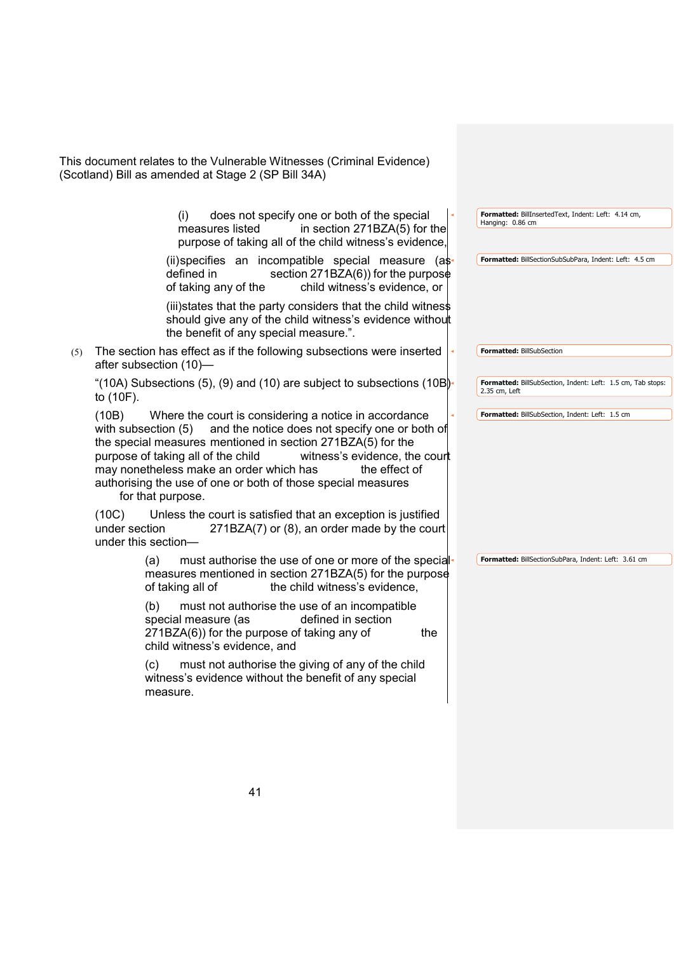|     | does not specify one or both of the special<br>(i)<br>measures listed<br>in section 271BZA(5) for the<br>purpose of taking all of the child witness's evidence,                                                                                                                                                                                                                                                                | Formatted: BillInsertedText, Indent: Left: 4.14 cm,<br>Hanging: 0.86 cm             |
|-----|--------------------------------------------------------------------------------------------------------------------------------------------------------------------------------------------------------------------------------------------------------------------------------------------------------------------------------------------------------------------------------------------------------------------------------|-------------------------------------------------------------------------------------|
|     | (ii)specifies an incompatible special measure (as<br>defined in<br>section 271BZA(6)) for the purpose<br>of taking any of the<br>child witness's evidence, or                                                                                                                                                                                                                                                                  | Formatted: BillSectionSubSubPara, Indent: Left: 4.5 cm                              |
|     | (iii) states that the party considers that the child witness<br>should give any of the child witness's evidence without<br>the benefit of any special measure.".                                                                                                                                                                                                                                                               |                                                                                     |
| (5) | The section has effect as if the following subsections were inserted<br>after subsection (10)-                                                                                                                                                                                                                                                                                                                                 | <b>Formatted: BillSubSection</b>                                                    |
|     | "(10A) Subsections (5), (9) and (10) are subject to subsections (10B)<br>to (10F).                                                                                                                                                                                                                                                                                                                                             | <b>Formatted:</b> BillSubSection, Indent: Left: 1.5 cm, Tab stops:<br>2.35 cm, Left |
|     | (10B)<br>Where the court is considering a notice in accordance<br>with subsection (5)<br>and the notice does not specify one or both of<br>the special measures mentioned in section 271BZA(5) for the<br>purpose of taking all of the child<br>witness's evidence, the court<br>may nonetheless make an order which has<br>the effect of<br>authorising the use of one or both of those special measures<br>for that purpose. | Formatted: BillSubSection, Indent: Left: 1.5 cm                                     |
|     | Unless the court is satisfied that an exception is justified<br>(10C)<br>under section<br>271BZA(7) or (8), an order made by the court<br>under this section-                                                                                                                                                                                                                                                                  |                                                                                     |
|     | must authorise the use of one or more of the special<br>(a)<br>measures mentioned in section 271BZA(5) for the purpose<br>of taking all of<br>the child witness's evidence,                                                                                                                                                                                                                                                    | Formatted: BillSectionSubPara, Indent: Left: 3.61 cm                                |
|     | (b)<br>must not authorise the use of an incompatible<br>special measure (as<br>defined in section<br>271BZA(6)) for the purpose of taking any of<br>the<br>child witness's evidence, and                                                                                                                                                                                                                                       |                                                                                     |
|     | must not authorise the giving of any of the child<br>(c)<br>witness's evidence without the benefit of any special<br>measure.                                                                                                                                                                                                                                                                                                  |                                                                                     |
|     |                                                                                                                                                                                                                                                                                                                                                                                                                                |                                                                                     |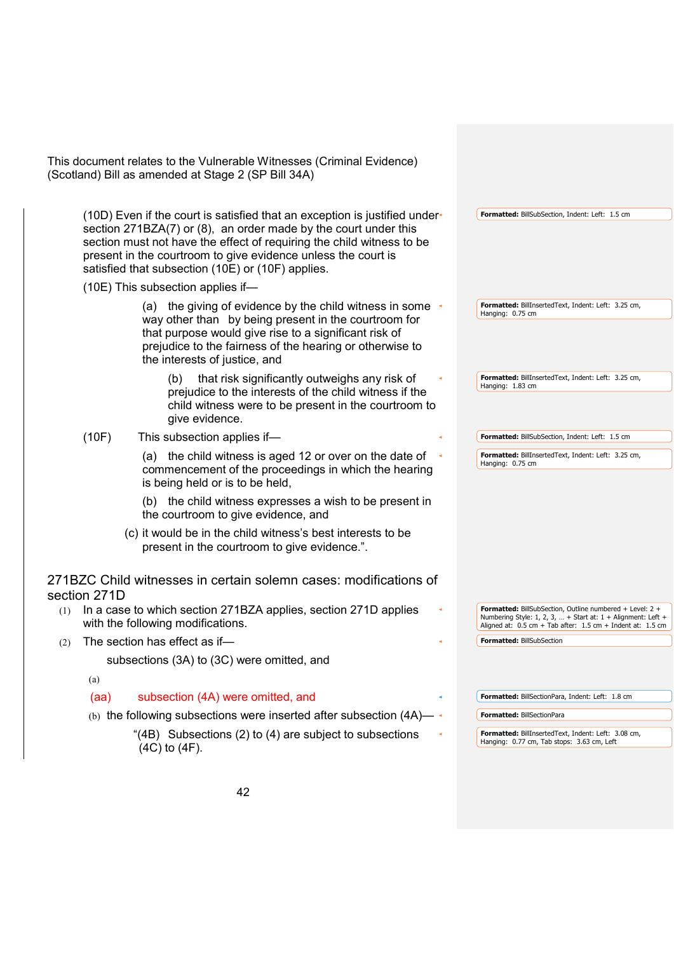This document relates to the Vulnerable Witnesses (Criminal Evidence) (Scotland) Bill as amended at Stage 2 (SP Bill 34A) (10D) Even if the court is satisfied that an exception is justified under section 271BZA(7) or (8), an order made by the court under this section must not have the effect of requiring the child witness to be present in the courtroom to give evidence unless the court is satisfied that subsection (10E) or (10F) applies. (10E) This subsection applies if— way other than by being present in the courtroom for that purpose would give rise to a significant risk of prejudice to the fairness of the hearing or otherwise to the interests of justice, and prejudice to the interests of the child witness if the child witness were to be present in the courtroom to give evidence. give evidence.<br>(10F) This subsection applies if— commencement of the proceedings in which the hearing the courtroom to give evidence, and (c) it would be in the child witness's best interests to be present in the courtroom to give evidence.". (1) In a case to which section 271BZA applies, section 271D applies with the following modifications.  $(2)$  The section has effect as if- subsections (3A) to (3C) were omitted, and (aa) subsection (4A) were omitted, and  $_{\rm (b)}$  the following subsections were inserted after subsection (4A)— **Formatted:** BillSubSection, Indent: Left: 1.5 cm **Formatted:** BillInsertedText, Indent: Left: 3.25 cm, Hanging: 0.75 cm **Formatted:** BillInsertedText, Indent: Left: 3.25 cm, Hanging: 1.83 cm **Formatted:** BillSubSection, Indent: Left: 1.5 cm **Formatted:** BillInsertedText, Indent: Left: 3.25 cm, Hanging: 0.75 cm **Formatted:** BillSubSection, Outline numbered + Level: 2 + Numbering Style: 1, 2, 3, .. Numbering Style: 1, 2, 3, … + Start at: 1 + Alignment: Left + Aligned at: 0.5 cm + Tab after: 1.5 cm + Indent at: 1.5 cm **Formatted:** BillSectionPara, Indent: Left: 1.8 cm **Formatted:** BillInsertedText, Indent: Left: 3.08 cm, Hanging: 0.77 cm, Tab stops: 3.63 cm, Left (a) the giving of evidence by the child witness in some (b) that risk significantly outweighs any risk of (a) the child witness is aged 12 or over on the date of is being held or is to be held, (b) the child witness expresses a wish to be present in 271BZC Child witnesses in certain solemn cases: modifications of section 271D (a) "(4B) Subsections (2) to (4) are subject to subsections (4C) to (4F). **Formatted:** BillSubSection **Formatted:** BillSectionPara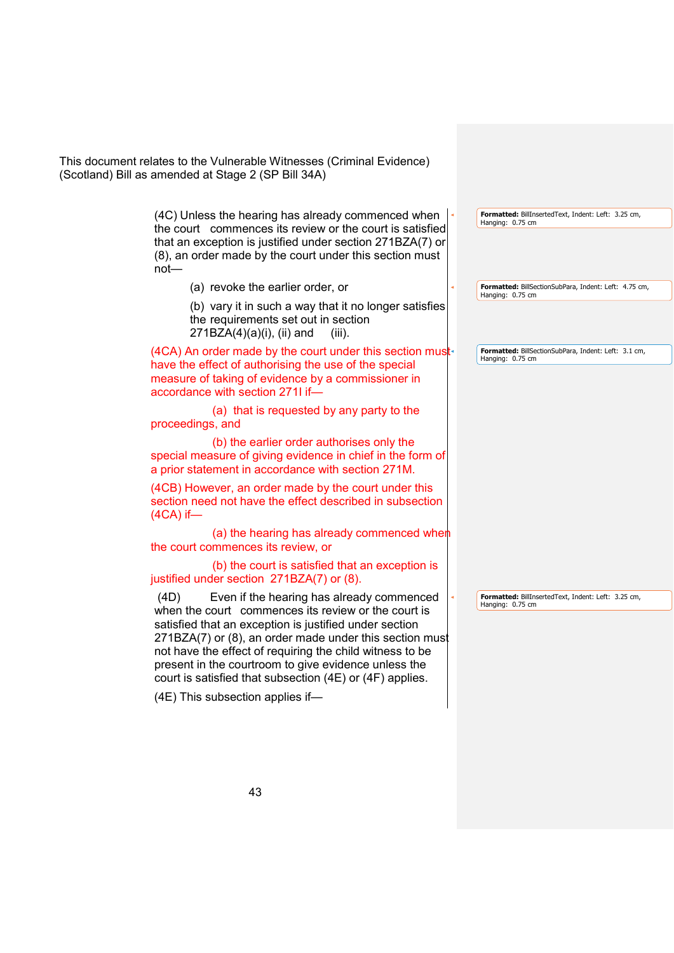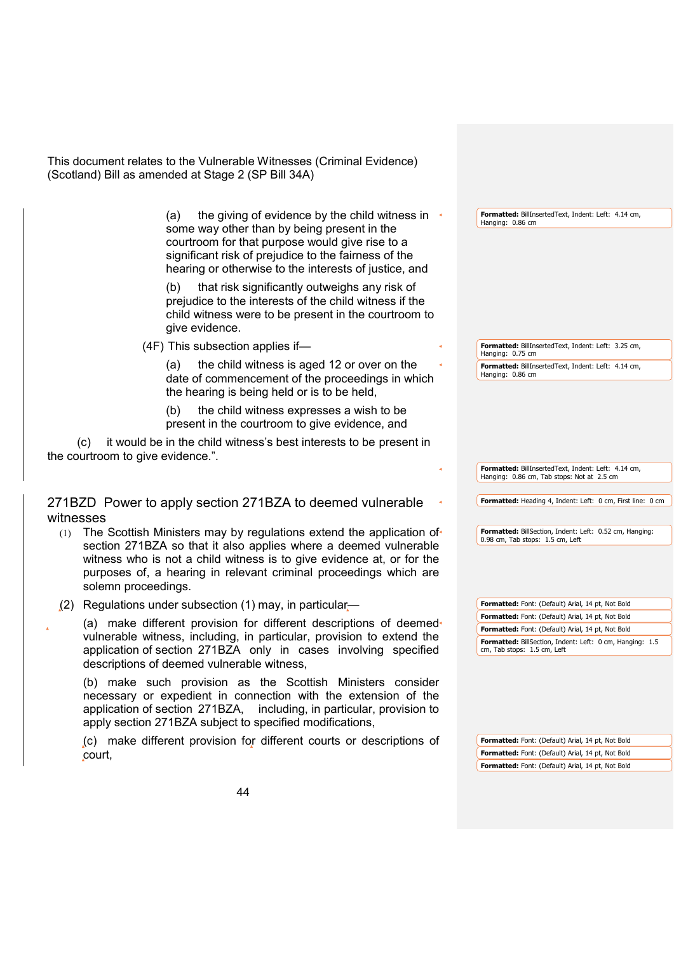> some way other than by being present in the courtroom for that purpose would give rise to a significant risk of prejudice to the fairness of the hearing or otherwise to the interests of justice, and (a) the giving of evidence by the child witness in

 prejudice to the interests of the child witness if the child witness were to be present in the courtroom to give evidence. (b) that risk significantly outweighs any risk of

 $(4F)$  This subsection applies if—

 date of commencement of the proceedings in which the hearing is being held or is to be held, (a) the child witness is aged 12 or over on the

 present in the courtroom to give evidence, and (b) the child witness expresses a wish to be

 the courtroom to give evidence.". (c) it would be in the child witness's best interests to be present in

 271BZD Power to apply section 271BZA to deemed vulnerable witnesses

- section 271BZA so that it also applies where a deemed vulnerable witness who is not a child witness is to give evidence at, or for the purposes of, a hearing in relevant criminal proceedings which are (1) The Scottish Ministers may by regulations extend the application of solemn proceedings.
- (2) Regulations under subsection (1) may, in particular—

L

 application of section 271BZA only in cases involving specified descriptions of deemed vulnerable witness, (a) make different provision for different descriptions of deemed vulnerable witness, including, in particular, provision to extend the

 application of section 271BZA, including, in particular, provision to apply section 271BZA subject to specified modifications, (b) make such provision as the Scottish Ministers consider necessary or expedient in connection with the extension of the

(c) make different provision for different courts or descriptions of court,

**Formatted:** BillInsertedText, Indent: Left: 4.14 cm, Hanging: 0.86 cm

 **Formatted:** BillInsertedText, Indent: Left: 3.25 cm, Hanging: 0.75 cm **Formatted:** BillInsertedText, Indent: Left: 4.14 cm,

Hanging: 0.86 cm

**Formatted:** BillInsertedText, Indent: Left: 4.14 cm, Hanging: 0.86 cm, Tab stops: Not at 2.5 cm

**Formatted:** Heading 4, Indent: Left: 0 cm, First line: 0 cm

 **Formatted:** BillSection, Indent: Left: 0.52 cm, Hanging: 0.98 cm, Tab stops: 1.5 cm, Left

 **Formatted:** Font: (Default) Arial, 14 pt, Not Bold **Formatted:** Font: (Default) Arial, 14 pt, Not Bold **Formatted:** Font: (Default) Arial, 14 pt, Not Bold **Formatted:** BillSection, Indent: Left: 0 cm, Hanging: 1.5 cm, Tab stops: 1.5 cm, Left

 **Formatted:** Font: (Default) Arial, 14 pt, Not Bold **Formatted:** Font: (Default) Arial, 14 pt, Not Bold **Formatted:** Font: (Default) Arial, 14 pt, Not Bold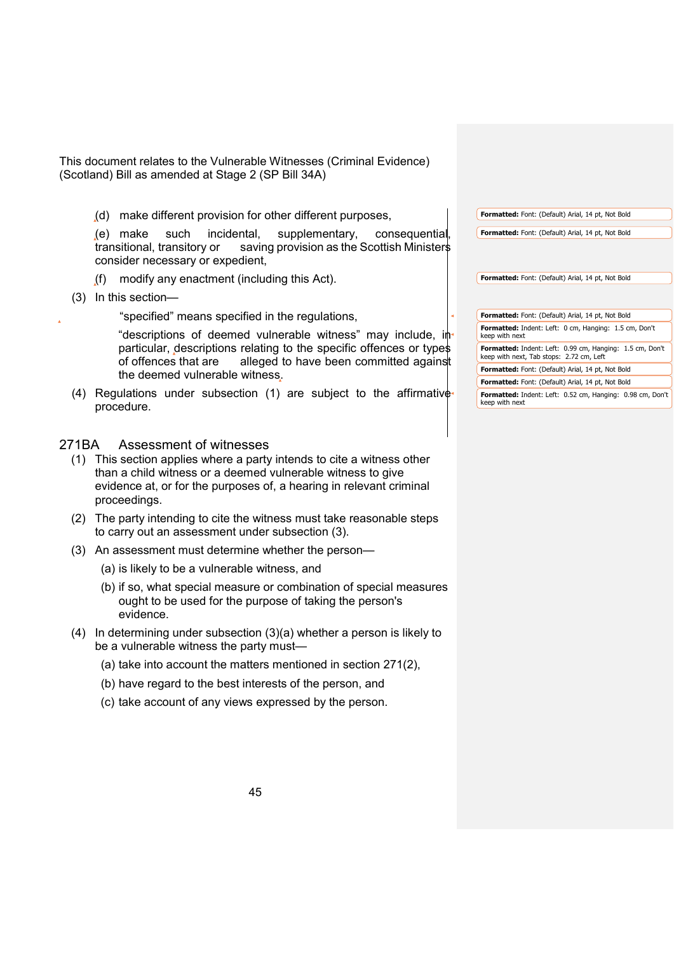|       | make different provision for other different purposes,<br>(d)                                                                                                                                            | Formatted: Font: (Default) Arial, 14 pt, Not Bold                                                    |
|-------|----------------------------------------------------------------------------------------------------------------------------------------------------------------------------------------------------------|------------------------------------------------------------------------------------------------------|
|       | such incidental,<br>supplementary,<br><u>(e)</u><br>make<br>consequential.                                                                                                                               | Formatted: Font: (Default) Arial, 14 pt, Not Bold                                                    |
|       | transitional, transitory or<br>saving provision as the Scottish Ministers<br>consider necessary or expedient,                                                                                            |                                                                                                      |
|       | modify any enactment (including this Act).<br>(f)                                                                                                                                                        | Formatted: Font: (Default) Arial, 14 pt, Not Bold                                                    |
| (3)   | In this section—                                                                                                                                                                                         |                                                                                                      |
|       | "specified" means specified in the regulations,                                                                                                                                                          | Formatted: Font: (Default) Arial, 14 pt, Not Bold                                                    |
|       | "descriptions of deemed vulnerable witness" may include, in                                                                                                                                              | Formatted: Indent: Left: 0 cm, Hanging: 1.5 cm, Don't<br>keep with next                              |
|       | particular, descriptions relating to the specific offences or types<br>alleged to have been committed against<br>of offences that are                                                                    | Formatted: Indent: Left: 0.99 cm, Hanging: 1.5 cm, Don't<br>keep with next, Tab stops: 2.72 cm, Left |
|       | the deemed vulnerable witness.                                                                                                                                                                           | Formatted: Font: (Default) Arial, 14 pt, Not Bold                                                    |
|       |                                                                                                                                                                                                          | Formatted: Font: (Default) Arial, 14 pt, Not Bold                                                    |
| (4)   | Regulations under subsection (1) are subject to the affirmative<br>procedure.                                                                                                                            | Formatted: Indent: Left: 0.52 cm, Hanging: 0.98 cm, Don't<br>keep with next                          |
|       |                                                                                                                                                                                                          |                                                                                                      |
| 271BA | Assessment of witnesses                                                                                                                                                                                  |                                                                                                      |
| (1)   | This section applies where a party intends to cite a witness other<br>than a child witness or a deemed vulnerable witness to give<br>evidence at, or for the purposes of, a hearing in relevant criminal |                                                                                                      |

- (2) The party intending to cite the witness must take reasonable steps to carry out an assessment under subsection (3).
- (3) An assessment must determine whether the person—
	- (a) is likely to be a vulnerable witness, and

proceedings.

- (b) if so, what special measure or combination of special measures ought to be used for the purpose of taking the person's evidence.
- (4) In determining under subsection (3)(a) whether a person is likely to be a vulnerable witness the party must—
	- (a) take into account the matters mentioned in section 271(2),
	- (b) have regard to the best interests of the person, and
	- (c) take account of any views expressed by the person.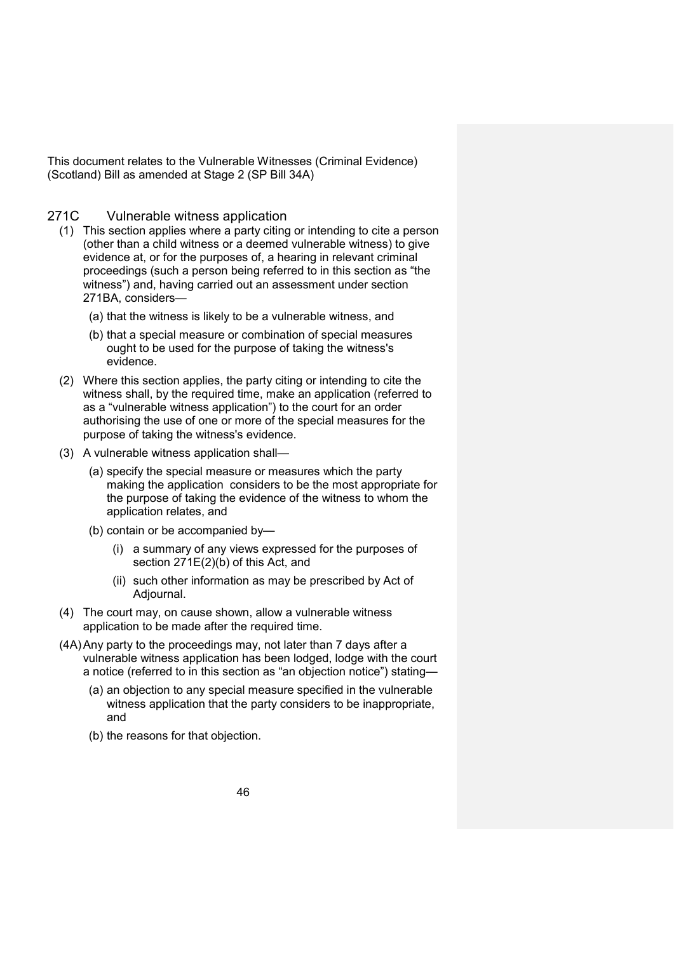### 271C Vulnerable witness application

- (1) This section applies where a party citing or intending to cite a person (other than a child witness or a deemed vulnerable witness) to give evidence at, or for the purposes of, a hearing in relevant criminal proceedings (such a person being referred to in this section as "the witness") and, having carried out an assessment under section 271BA, considers—
	- (a) that the witness is likely to be a vulnerable witness, and
	- (b) that a special measure or combination of special measures ought to be used for the purpose of taking the witness's evidence.
- (2) Where this section applies, the party citing or intending to cite the witness shall, by the required time, make an application (referred to as a "vulnerable witness application") to the court for an order authorising the use of one or more of the special measures for the purpose of taking the witness's evidence.
- (3) A vulnerable witness application shall—
	- (a) specify the special measure or measures which the party making the application considers to be the most appropriate for the purpose of taking the evidence of the witness to whom the application relates, and
	- (b) contain or be accompanied by—
		- (i) a summary of any views expressed for the purposes of section 271E(2)(b) of this Act, and
		- (ii) such other information as may be prescribed by Act of Adjournal.
- (4) The court may, on cause shown, allow a vulnerable witness application to be made after the required time.
- (4A) Any party to the proceedings may, not later than 7 days after a vulnerable witness application has been lodged, lodge with the court a notice (referred to in this section as "an objection notice") stating—
	- (a) an objection to any special measure specified in the vulnerable witness application that the party considers to be inappropriate, and
	- (b) the reasons for that objection.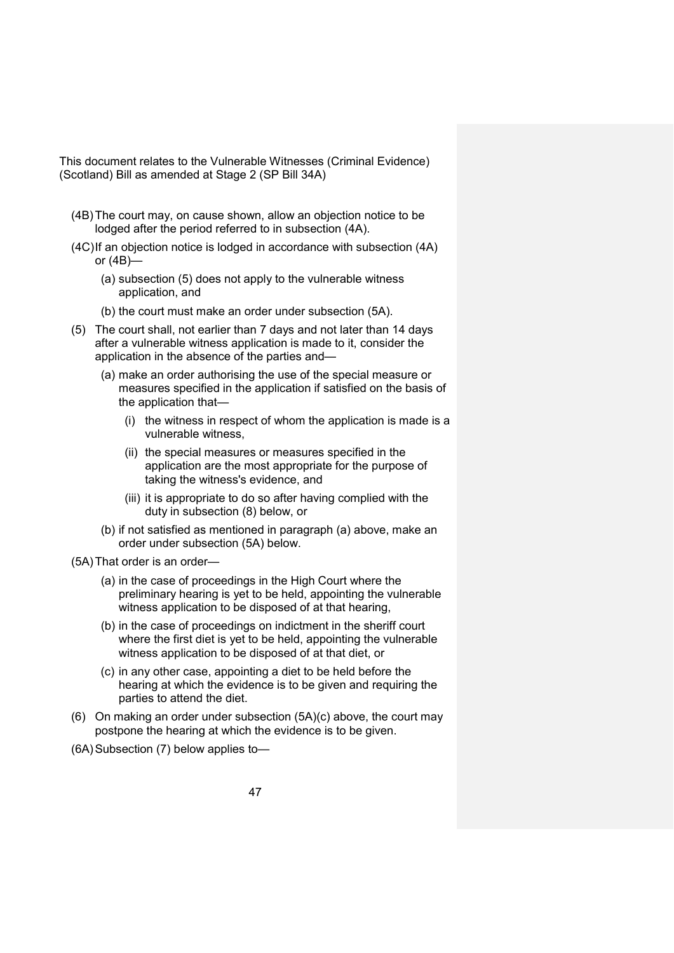- (4B) The court may, on cause shown, allow an objection notice to be lodged after the period referred to in subsection (4A).
- (4C)If an objection notice is lodged in accordance with subsection (4A) or (4B)—
	- (a) subsection (5) does not apply to the vulnerable witness application, and
	- (b) the court must make an order under subsection (5A).
- (5) The court shall, not earlier than 7 days and not later than 14 days after a vulnerable witness application is made to it, consider the application in the absence of the parties and—
	- (a) make an order authorising the use of the special measure or measures specified in the application if satisfied on the basis of the application that—
		- (i) the witness in respect of whom the application is made is a vulnerable witness,
		- (ii) the special measures or measures specified in the application are the most appropriate for the purpose of taking the witness's evidence, and
		- (iii) it is appropriate to do so after having complied with the duty in subsection (8) below, or
	- (b) if not satisfied as mentioned in paragraph (a) above, make an order under subsection (5A) below.
- (5A) That order is an order—
	- (a) in the case of proceedings in the High Court where the preliminary hearing is yet to be held, appointing the vulnerable witness application to be disposed of at that hearing,
	- (b) in the case of proceedings on indictment in the sheriff court where the first diet is yet to be held, appointing the vulnerable witness application to be disposed of at that diet, or
	- (c) in any other case, appointing a diet to be held before the hearing at which the evidence is to be given and requiring the parties to attend the diet.
- (6) On making an order under subsection (5A)(c) above, the court may postpone the hearing at which the evidence is to be given.

(6A) Subsection (7) below applies to—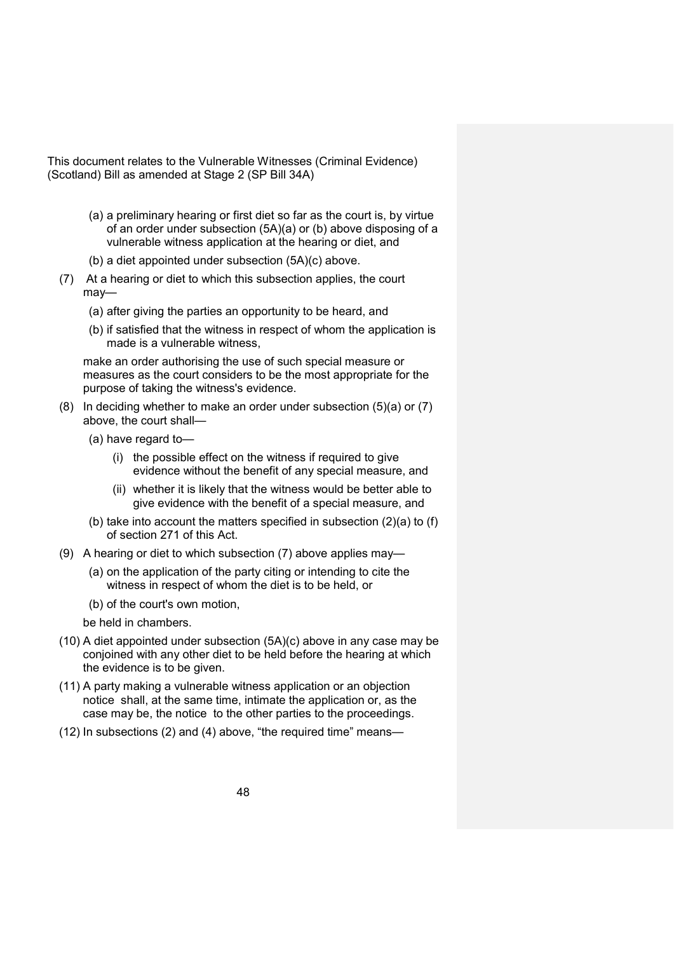- (a) a preliminary hearing or first diet so far as the court is, by virtue of an order under subsection (5A)(a) or (b) above disposing of a vulnerable witness application at the hearing or diet, and
- (b) a diet appointed under subsection (5A)(c) above.
- (7) At a hearing or diet to which this subsection applies, the court may—
	- (a) after giving the parties an opportunity to be heard, and
	- (b) if satisfied that the witness in respect of whom the application is made is a vulnerable witness,

 make an order authorising the use of such special measure or measures as the court considers to be the most appropriate for the purpose of taking the witness's evidence.

- (8) In deciding whether to make an order under subsection (5)(a) or (7) above, the court shall—
	- (a) have regard to—
		- (i) the possible effect on the witness if required to give evidence without the benefit of any special measure, and
		- (ii) whether it is likely that the witness would be better able to give evidence with the benefit of a special measure, and
	- (b) take into account the matters specified in subsection (2)(a) to (f) of section 271 of this Act.
- (9) A hearing or diet to which subsection (7) above applies may—
	- (a) on the application of the party citing or intending to cite the witness in respect of whom the diet is to be held, or
	- (b) of the court's own motion,

be held in chambers.

- (10) A diet appointed under subsection (5A)(c) above in any case may be conjoined with any other diet to be held before the hearing at which the evidence is to be given.
- (11) A party making a vulnerable witness application or an objection notice shall, at the same time, intimate the application or, as the case may be, the notice to the other parties to the proceedings.
- (12) In subsections (2) and (4) above, "the required time" means—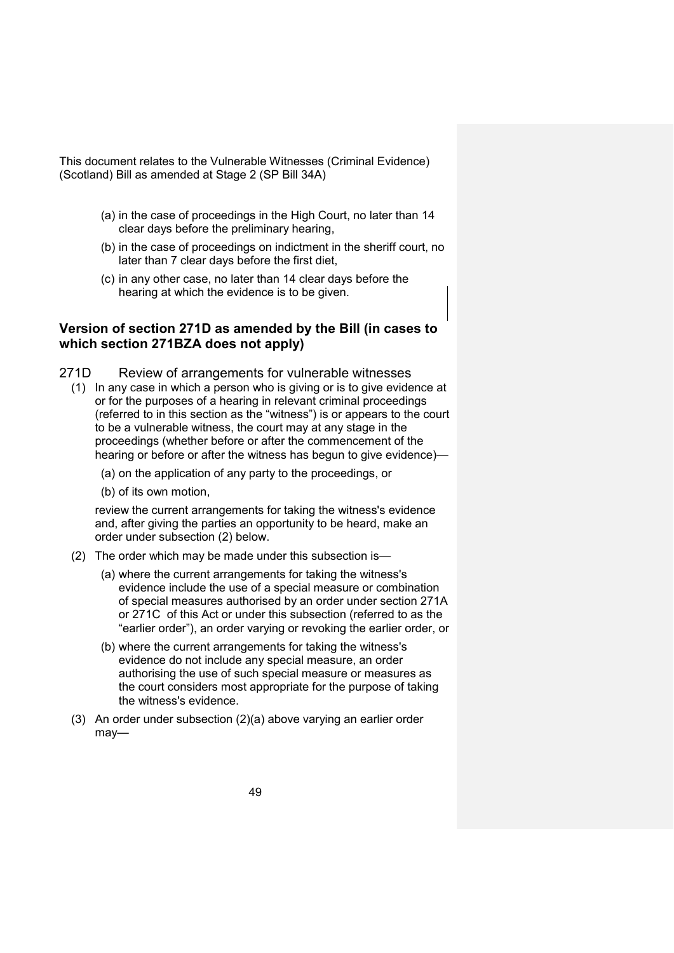- (a) in the case of proceedings in the High Court, no later than 14 clear days before the preliminary hearing,
- (b) in the case of proceedings on indictment in the sheriff court, no later than 7 clear days before the first diet,
- (c) in any other case, no later than 14 clear days before the hearing at which the evidence is to be given.

#### **Version of section 271D as amended by the Bill (in cases to which section 271BZA does not apply)**

271D Review of arrangements for vulnerable witnesses

- (1) In any case in which a person who is giving or is to give evidence at or for the purposes of a hearing in relevant criminal proceedings (referred to in this section as the "witness") is or appears to the court to be a vulnerable witness, the court may at any stage in the proceedings (whether before or after the commencement of the hearing or before or after the witness has begun to give evidence)—
	- (a) on the application of any party to the proceedings, or
	- (b) of its own motion,

 review the current arrangements for taking the witness's evidence and, after giving the parties an opportunity to be heard, make an order under subsection (2) below.

- (2) The order which may be made under this subsection is—
	- (a) where the current arrangements for taking the witness's evidence include the use of a special measure or combination of special measures authorised by an order under section 271A or 271C of this Act or under this subsection (referred to as the "earlier order"), an order varying or revoking the earlier order, or
	- (b) where the current arrangements for taking the witness's evidence do not include any special measure, an order authorising the use of such special measure or measures as the court considers most appropriate for the purpose of taking the witness's evidence.
- (3) An order under subsection (2)(a) above varying an earlier order may—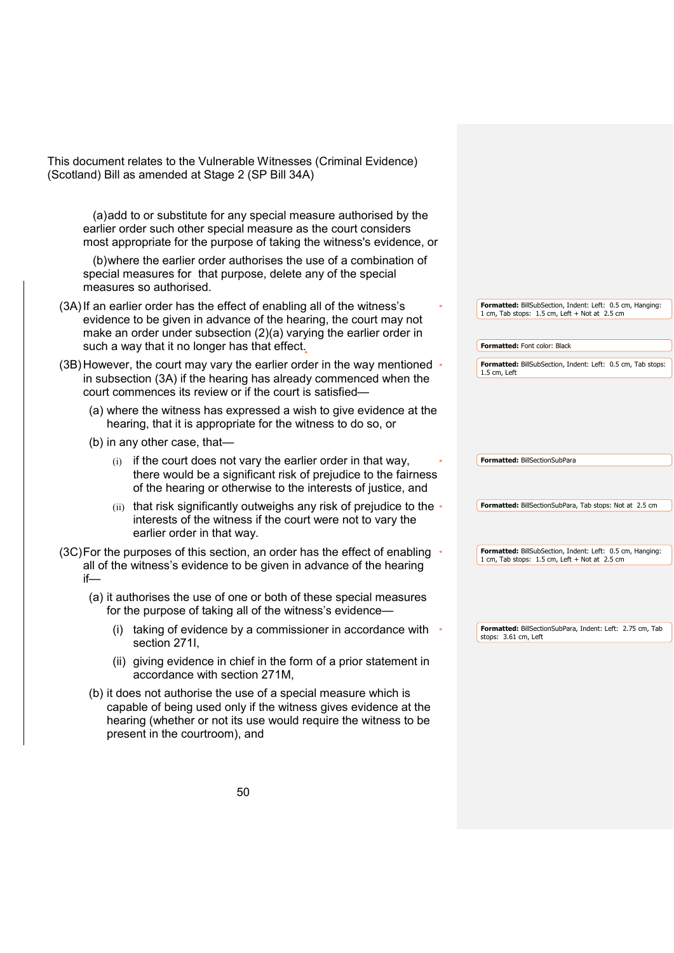earlier order such other special measure as the court considers most appropriate for the purpose of taking the witness's evidence, or (a)add to or substitute for any special measure authorised by the

 special measures for that purpose, delete any of the special measures so authorised. (b)where the earlier order authorises the use of a combination of

- measures so authorised.<br>(3A)If an earlier order has the effect of enabling all of the witness's) evidence to be given in advance of the hearing, the court may not make an order under subsection (2)(a) varying the earlier order in such a way that it no longer has that effect.
- (3B)However, the court may vary the earlier order in the way mentioned in subsection (3A) if the hearing has already commenced when the court commences its review or if the court is satisfied—
	- (a) where the witness has expressed a wish to give evidence at the hearing, that it is appropriate for the witness to do so, or
	- (b) in any other case, that—
		- $(i)$  if the court does not vary the earlier order in that way, there would be a significant risk of prejudice to the fairness of the hearing or otherwise to the interests of justice, and
		- (ii) that risk significantly outweighs any risk of prejudice to the interests of the witness if the court were not to vary the earlier order in that way.
- (3C)For the purposes of this section, an order has the effect of enabling all of the witness's evidence to be given in advance of the hearing if—
	- (a) it authorises the use of one or both of these special measures for the purpose of taking all of the witness's evidence—
		- (i) taking of evidence by a commissioner in accordance with section 271I,
		- (ii) giving evidence in chief in the form of a prior statement in accordance with section 271M,
	- (b) it does not authorise the use of a special measure which is capable of being used only if the witness gives evidence at the hearing (whether or not its use would require the witness to be present in the courtroom), and

 **Formatted:** BillSubSection, Indent: Left: 0.5 cm, Hanging: 1 cm, Tab stops: 1.5 cm, Left + Not at 2.5 cm

**Formatted:** Font color: Black

 **Formatted:** BillSubSection, Indent: Left: 0.5 cm, Tab stops: 1.5 cm, Left

**Formatted:** BillSectionSubPara

**Formatted:** BillSectionSubPara, Tab stops: Not at 2.5 cm

 **Formatted:** BillSubSection, Indent: Left: 0.5 cm, Hanging: 1 cm, Tab stops: 1.5 cm, Left + Not at 2.5 cm

 **Formatted:** BillSectionSubPara, Indent: Left: 2.75 cm, Tab stops: 3.61 cm, Left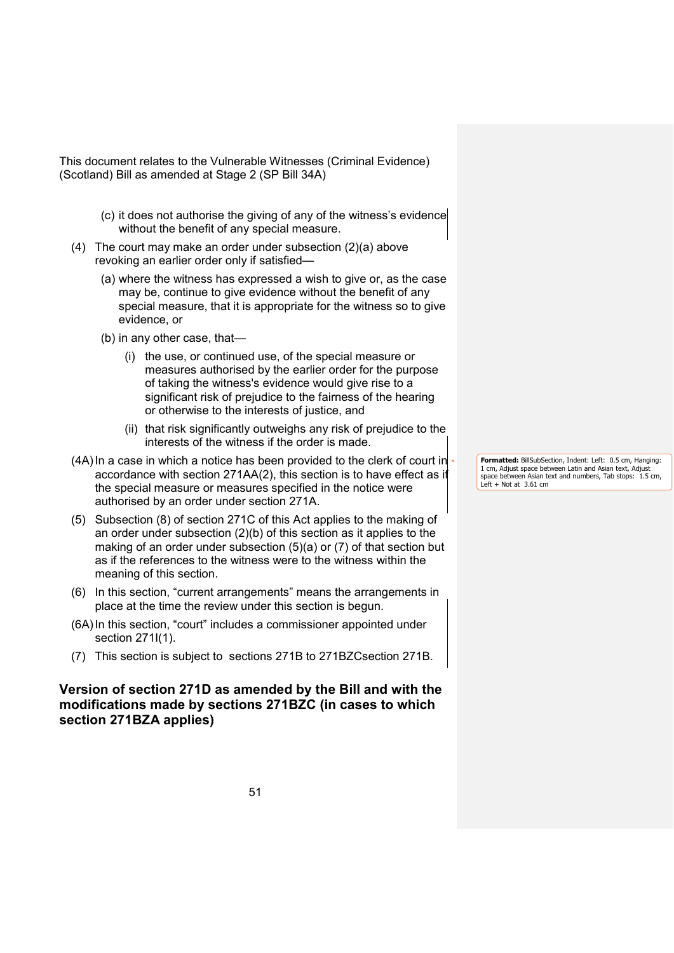- (c) it does not authorise the giving of any of the witness's evidence without the benefit of any special measure.
- (4) The court may make an order under subsection (2)(a) above revoking an earlier order only if satisfied—
	- (a) where the witness has expressed a wish to give or, as the case may be, continue to give evidence without the benefit of any special measure, that it is appropriate for the witness so to give evidence, or
	- (b) in any other case, that—
		- (i) the use, or continued use, of the special measure or measures authorised by the earlier order for the purpose of taking the witness's evidence would give rise to a significant risk of prejudice to the fairness of the hearing or otherwise to the interests of justice, and
		- (ii) that risk significantly outweighs any risk of prejudice to the interests of the witness if the order is made.
- (4A) In a case in which a notice has been provided to the clerk of court in accordance with section 271AA(2), this section is to have effect as if the special measure or measures specified in the notice were authorised by an order under section 271A.
- (5) Subsection (8) of section 271C of this Act applies to the making of an order under subsection (2)(b) of this section as it applies to the making of an order under subsection (5)(a) or (7) of that section but as if the references to the witness were to the witness within the meaning of this section.
- (6) In this section, "current arrangements" means the arrangements in place at the time the review under this section is begun.
- (6A) In this section, "court" includes a commissioner appointed under section 271I(1).
- (7) This section is subject to sections 271B to 271BZCsection 271B.

## **Version of section 271D as amended by the Bill and with the modifications made by sections 271BZC (in cases to which section 271BZA applies)**

 **Formatted:** BillSubSection, Indent: Left: 0.5 cm, Hanging: 1 cm, Adjust space between Latin and Asian text, Adjust space between Asian text and numbers, Tab stops: 1.5 cm, Left  $+$  Not at 3.61 cm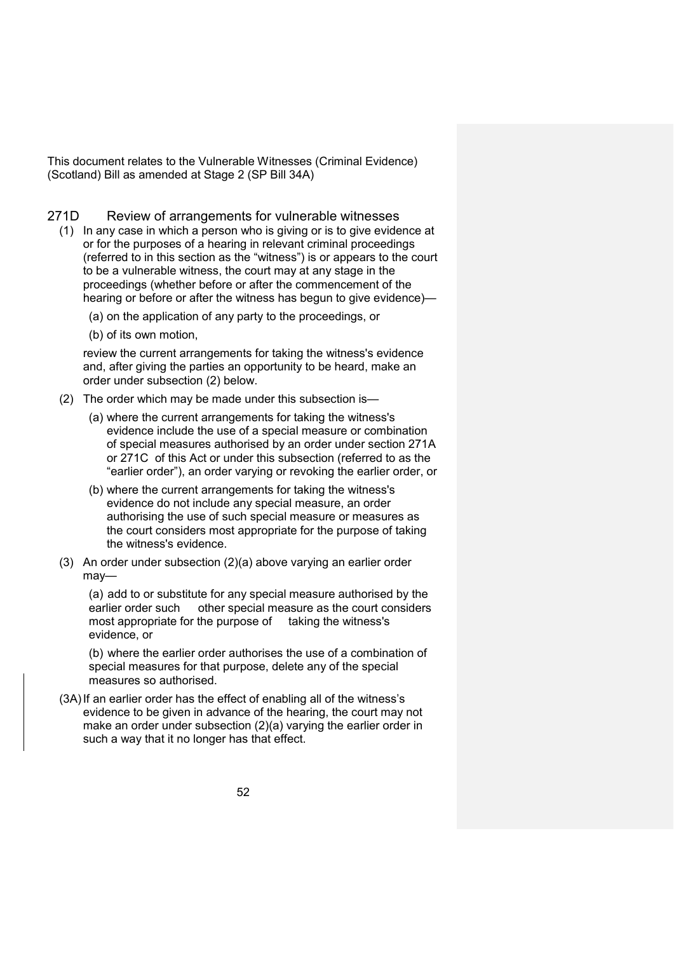271D Review of arrangements for vulnerable witnesses

- (1) In any case in which a person who is giving or is to give evidence at or for the purposes of a hearing in relevant criminal proceedings (referred to in this section as the "witness") is or appears to the court to be a vulnerable witness, the court may at any stage in the proceedings (whether before or after the commencement of the hearing or before or after the witness has begun to give evidence)—
	- (a) on the application of any party to the proceedings, or
	- (b) of its own motion,

 review the current arrangements for taking the witness's evidence and, after giving the parties an opportunity to be heard, make an order under subsection (2) below.

- (2) The order which may be made under this subsection is—
	- (a) where the current arrangements for taking the witness's evidence include the use of a special measure or combination of special measures authorised by an order under section 271A or 271C of this Act or under this subsection (referred to as the "earlier order"), an order varying or revoking the earlier order, or
	- (b) where the current arrangements for taking the witness's evidence do not include any special measure, an order authorising the use of such special measure or measures as the court considers most appropriate for the purpose of taking the witness's evidence.
- (3) An order under subsection (2)(a) above varying an earlier order may—

 (a) add to or substitute for any special measure authorised by the earlier order such most appropriate for the purpose of taking the witness's evidence, or other special measure as the court considers

 (b) where the earlier order authorises the use of a combination of special measures for that purpose, delete any of the special measures so authorised.

 measures so authorised. (3A) If an earlier order has the effect of enabling all of the witness's evidence to be given in advance of the hearing, the court may not make an order under subsection (2)(a) varying the earlier order in such a way that it no longer has that effect.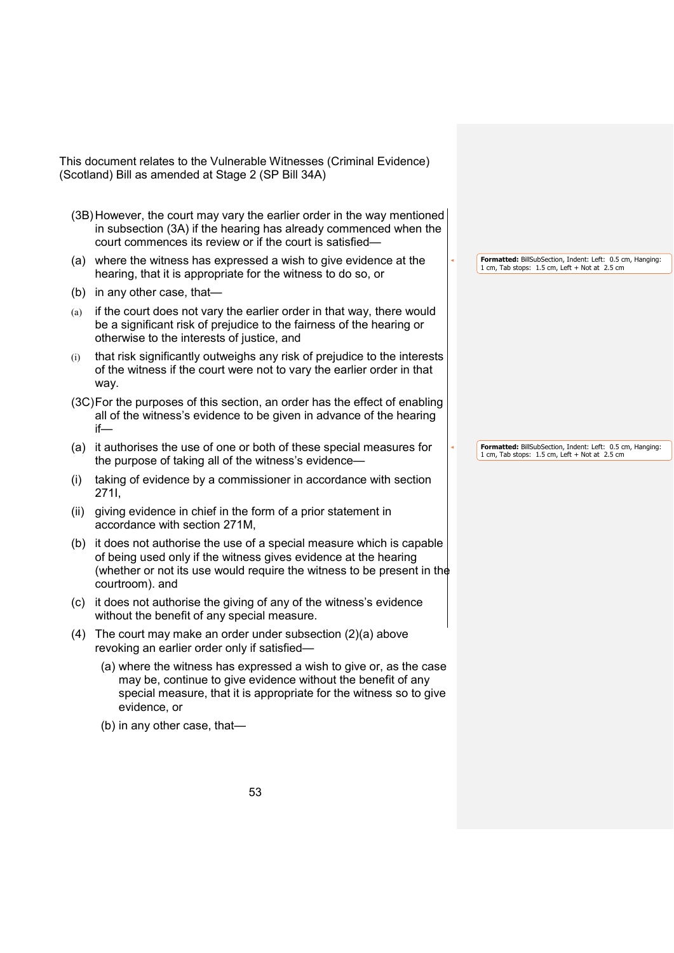- (3B) However, the court may vary the earlier order in the way mentioned in subsection (3A) if the hearing has already commenced when the court commences its review or if the court is satisfied—
- (a) where the witness has expressed a wish to give evidence at the hearing, that it is appropriate for the witness to do so, or
- (b) in any other case, that—
- $\left( \hspace{-0.5mm}a\right)$  if the court does not vary the earlier order in that way, there would be a significant risk of prejudice to the fairness of the hearing or otherwise to the interests of justice, and
- $\left( i\right)$  that risk significantly outweighs any risk of prejudice to the interests of the witness if the court were not to vary the earlier order in that way.
- (3C)For the purposes of this section, an order has the effect of enabling all of the witness's evidence to be given in advance of the hearing if—
- (a) it authorises the use of one or both of these special measures for  $\overline{1}$  formatted: BillSubSection, Indent: Left: 0.5 cm (a) it authorises the use of tolding all of the uniteded and integral measures for the purpose of taking all of the witness's evidence—
- (i) taking of evidence by a commissioner in accordance with section 271I,
- (ii) giving evidence in chief in the form of a prior statement in accordance with section 271M,
- (b) it does not authorise the use of a special measure which is capable of being used only if the witness gives evidence at the hearing (whether or not its use would require the witness to be present in the courtroom). and
- (c) it does not authorise the giving of any of the witness's evidence without the benefit of any special measure.
- (4) The court may make an order under subsection (2)(a) above revoking an earlier order only if satisfied—
	- (a) where the witness has expressed a wish to give or, as the case may be, continue to give evidence without the benefit of any special measure, that it is appropriate for the witness so to give evidence, or
	- (b) in any other case, that—

 **Formatted:** BillSubSection, Indent: Left: 0.5 cm, Hanging: 1 cm, Tab stops: 1.5 cm, Left + Not at 2.5 cm

 **Formatted:** BillSubSection, Indent: Left: 0.5 cm, Hanging: 1 cm, Tab stops: 1.5 cm, Left + Not at 2.5 cm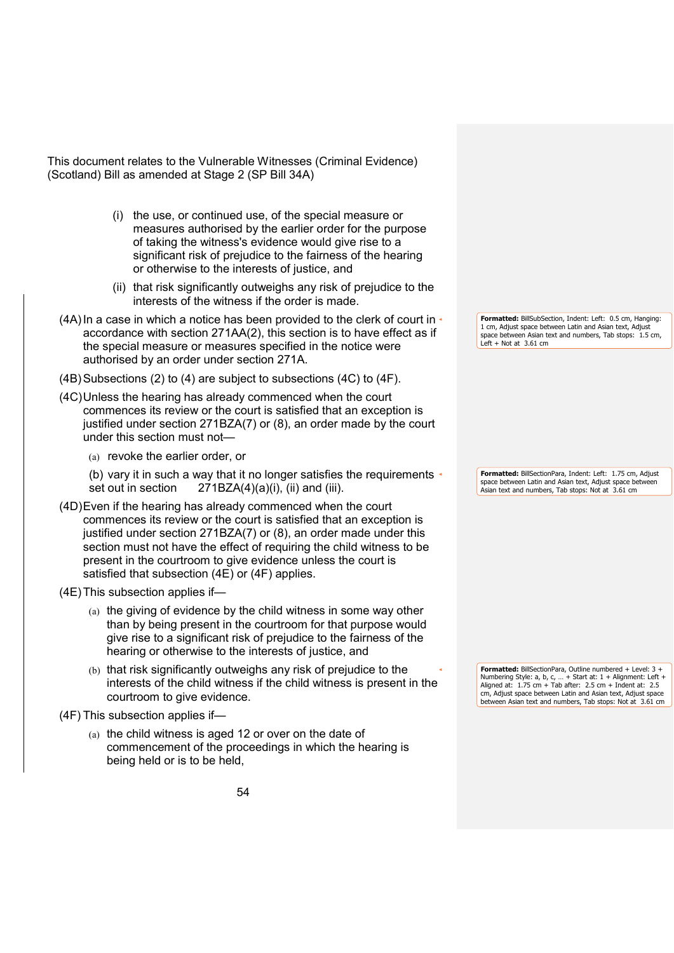- (i) the use, or continued use, of the special measure or measures authorised by the earlier order for the purpose of taking the witness's evidence would give rise to a significant risk of prejudice to the fairness of the hearing or otherwise to the interests of justice, and
- (ii) that risk significantly outweighs any risk of prejudice to the interests of the witness if the order is made.
- (4A) In a case in which a notice has been provided to the clerk of court in accordance with section 271AA(2), this section is to have effect as if the special measure or measures specified in the notice were authorised by an order under section 271A.
- (4B) Subsections (2) to (4) are subject to subsections (4C) to (4F).
- (4C)Unless the hearing has already commenced when the court commences its review or the court is satisfied that an exception is justified under section 271BZA(7) or (8), an order made by the court under this section must not—
	- (a) revoke the earlier order, or
	- (b) vary it in such a way that it no longer satisfies the requirements set out in section  $271BZA(4)(a)(i)$ , (ii) and (iii).
- (4D)Even if the hearing has already commenced when the court commences its review or the court is satisfied that an exception is justified under section 271BZA(7) or (8), an order made under this section must not have the effect of requiring the child witness to be present in the courtroom to give evidence unless the court is satisfied that subsection (4E) or (4F) applies.
- (4E) This subsection applies if—
	- (a) the giving of evidence by the child witness in some way other than by being present in the courtroom for that purpose would give rise to a significant risk of prejudice to the fairness of the hearing or otherwise to the interests of justice, and
	- (b) that risk significantly outweighs any risk of prejudice to the interests of the child witness if the child witness is present in the courtroom to give evidence.
- (4F) This subsection applies if—
	- (a) the child witness is aged 12 or over on the date of commencement of the proceedings in which the hearing is being held or is to be held,

 **Formatted:** BillSubSection, Indent: Left: 0.5 cm, Hanging: 1 cm, Adjust space between Latin and Asian text, Adjust space between Asian text and numbers, Tab stops: 1.5 cm, Left  $+$  Not at 3.61 cm

 **Formatted:** BillSectionPara, Indent: Left: 1.75 cm, Adjust space between Latin and Asian text, Adjust space between Asian text and numbers, Tab stops: Not at 3.61 cm

 **Formatted:** BillSectionPara, Outline numbered + Level: 3 + Numbering Style: a, b, c, … + Start at: 1 + Alignment: Left + Aligned at: 1.75 cm + Tab after: 2.5 cm + Indent at: 2.5 cm, Adjust space between Latin and Asian text, Adjust space between Asian text and numbers, Tab stops: Not at 3.61 cm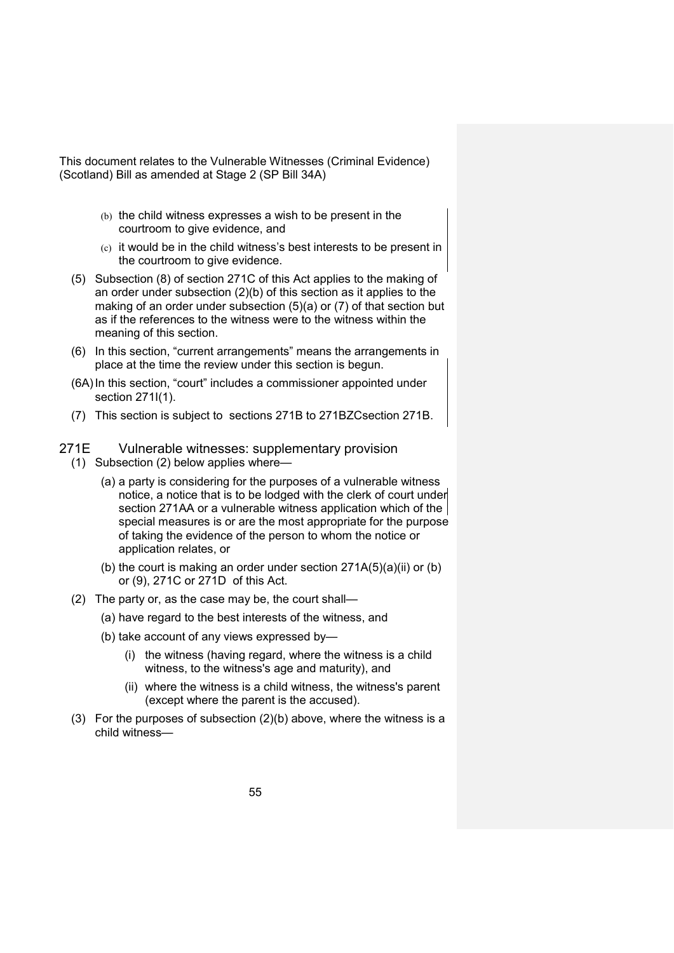- (b) the child witness expresses a wish to be present in the courtroom to give evidence, and
- (c) it would be in the child witness's best interests to be present in the courtroom to give evidence.
- (5) Subsection (8) of section 271C of this Act applies to the making of an order under subsection (2)(b) of this section as it applies to the making of an order under subsection (5)(a) or (7) of that section but as if the references to the witness were to the witness within the meaning of this section.
- (6) In this section, "current arrangements" means the arrangements in place at the time the review under this section is begun.
- (6A) In this section, "court" includes a commissioner appointed under section 271I(1).
- (7) This section is subject to sections 271B to 271BZCsection 271B.
- 271E Vulnerable witnesses: supplementary provision
	- (1) Subsection (2) below applies where—
		- (a) a party is considering for the purposes of a vulnerable witness notice, a notice that is to be lodged with the clerk of court under section 271AA or a vulnerable witness application which of the special measures is or are the most appropriate for the purpose of taking the evidence of the person to whom the notice or application relates, or
		- (b) the court is making an order under section 271A(5)(a)(ii) or (b) or (9), 271C or 271D of this Act.
	- (2) The party or, as the case may be, the court shall—
		- (a) have regard to the best interests of the witness, and
		- (b) take account of any views expressed by—
			- (i) the witness (having regard, where the witness is a child witness, to the witness's age and maturity), and
			- (ii) where the witness is a child witness, the witness's parent (except where the parent is the accused).
	- (3) For the purposes of subsection (2)(b) above, where the witness is a child witness—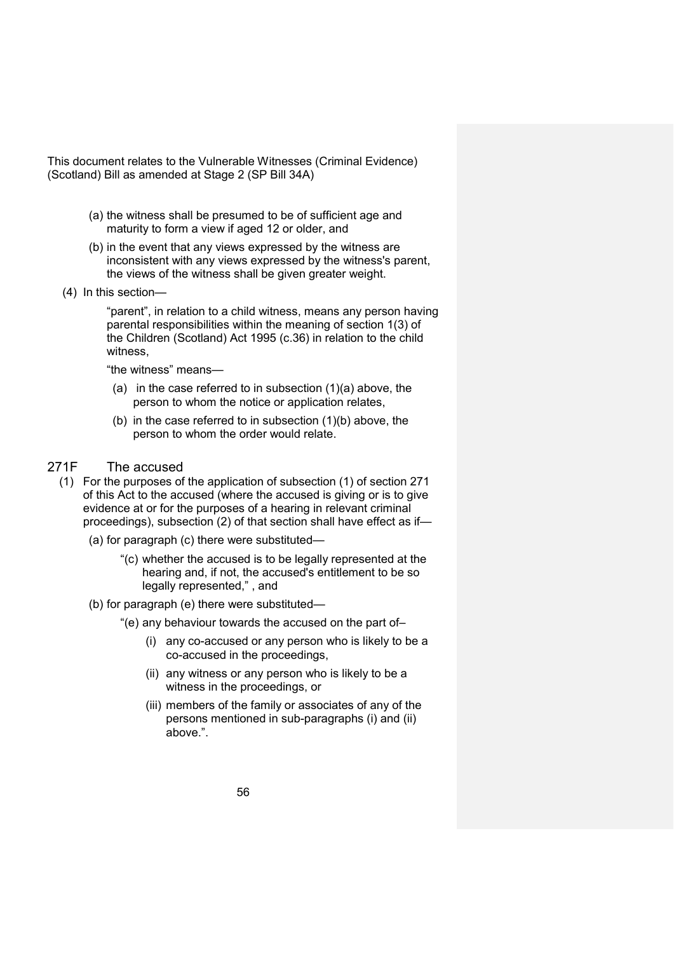- (a) the witness shall be presumed to be of sufficient age and maturity to form a view if aged 12 or older, and
- (b) in the event that any views expressed by the witness are inconsistent with any views expressed by the witness's parent, the views of the witness shall be given greater weight.
- (4) In this section—

 "parent", in relation to a child witness, means any person having parental responsibilities within the meaning of section 1(3) of the Children (Scotland) Act 1995 (c.36) in relation to the child witness,

"the witness" means—

- (a) in the case referred to in subsection (1)(a) above, the person to whom the notice or application relates,
- (b) in the case referred to in subsection (1)(b) above, the person to whom the order would relate.

### 271F The accused

- (1) For the purposes of the application of subsection (1) of section 271 of this Act to the accused (where the accused is giving or is to give evidence at or for the purposes of a hearing in relevant criminal proceedings), subsection (2) of that section shall have effect as if—
	- (a) for paragraph (c) there were substituted—
		- "(c) whether the accused is to be legally represented at the hearing and, if not, the accused's entitlement to be so legally represented," , and
	- (b) for paragraph (e) there were substituted—
		- "(e) any behaviour towards the accused on the part of–
			- (i) any co-accused or any person who is likely to be a co-accused in the proceedings,
			- (ii) any witness or any person who is likely to be a witness in the proceedings, or
			- (iii) members of the family or associates of any of the persons mentioned in sub-paragraphs (i) and (ii) above.".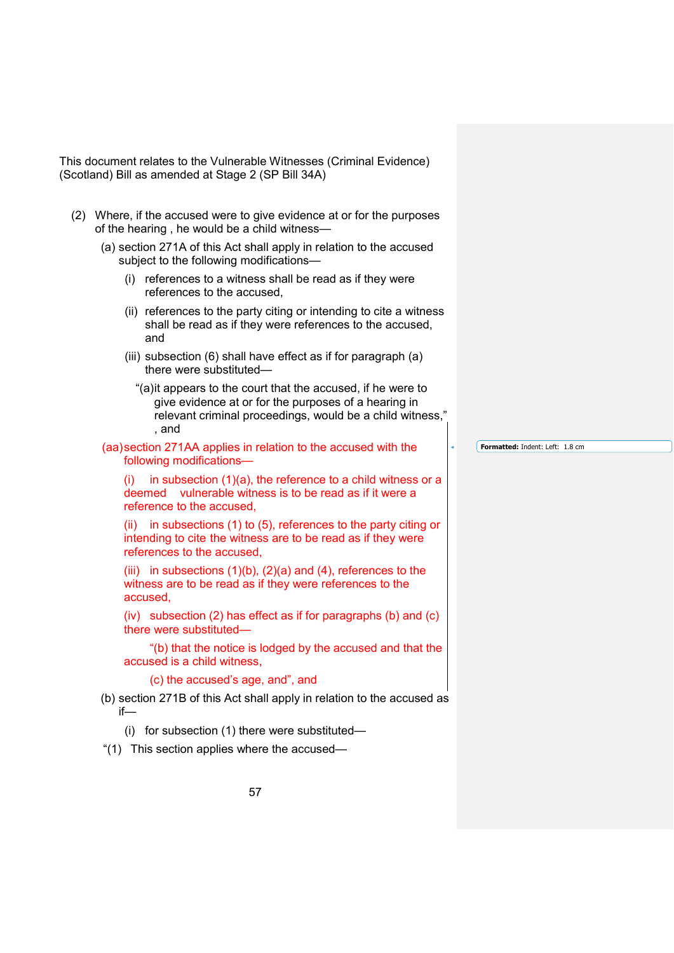- (2) Where, if the accused were to give evidence at or for the purposes of the hearing , he would be a child witness—
	- (a) section 271A of this Act shall apply in relation to the accused subject to the following modifications—
		- (i) references to a witness shall be read as if they were references to the accused,
		- (ii) references to the party citing or intending to cite a witness shall be read as if they were references to the accused, and
		- (iii) subsection (6) shall have effect as if for paragraph (a) there were substituted—
			- "(a)it appears to the court that the accused, if he were to give evidence at or for the purposes of a hearing in relevant criminal proceedings, would be a child witness," , and

 (aa)section 271AA applies in relation to the accused with the following modifications—

 deemed vulnerable witness is to be read as if it were a reference to the accused, (i) in subsection  $(1)(a)$ , the reference to a child witness or a

 intending to cite the witness are to be read as if they were references to the accused, (ii) in subsections (1) to (5), references to the party citing or

 witness are to be read as if they were references to the (iii) in subsections  $(1)(b)$ ,  $(2)(a)$  and  $(4)$ , references to the accused,

 there were substituted— (iv) subsection (2) has effect as if for paragraphs (b) and (c)

 accused is a child witness, "(b) that the notice is lodged by the accused and that the

(c) the accused's age, and", and

 (b) section 271B of this Act shall apply in relation to the accused as if—

(i) for subsection (1) there were substituted—

"(1) This section applies where the accused—

**Formatted:** Indent: Left: 1.8 cm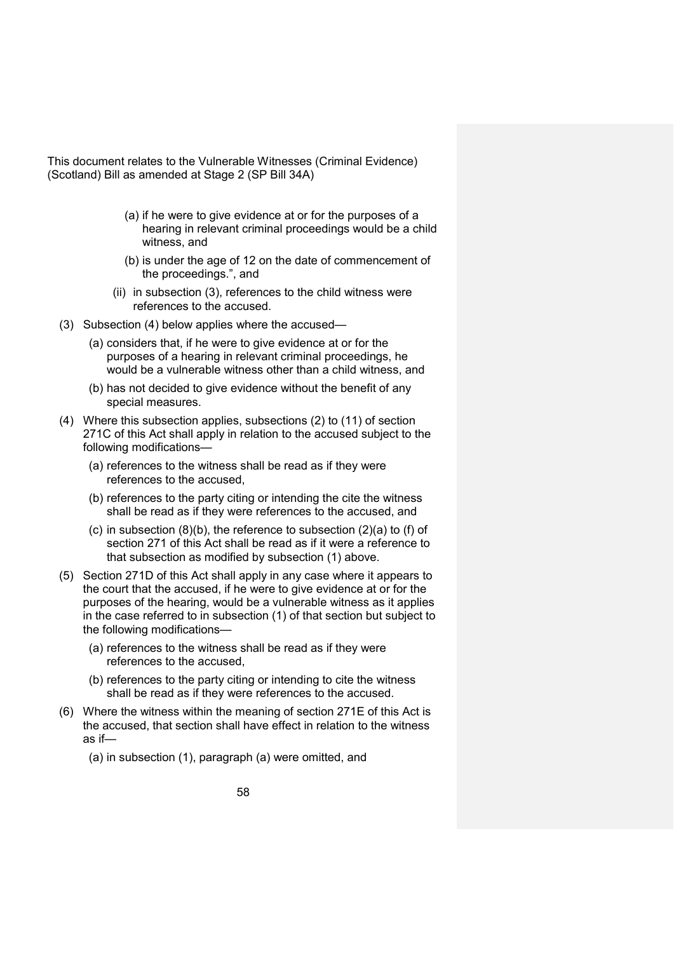- (a) if he were to give evidence at or for the purposes of a hearing in relevant criminal proceedings would be a child witness, and
- (b) is under the age of 12 on the date of commencement of the proceedings.", and
- (ii) in subsection (3), references to the child witness were references to the accused.
- (3) Subsection (4) below applies where the accused—
	- (a) considers that, if he were to give evidence at or for the purposes of a hearing in relevant criminal proceedings, he would be a vulnerable witness other than a child witness, and
	- (b) has not decided to give evidence without the benefit of any special measures.
- (4) Where this subsection applies, subsections (2) to (11) of section 271C of this Act shall apply in relation to the accused subject to the following modifications—
	- (a) references to the witness shall be read as if they were references to the accused,
	- (b) references to the party citing or intending the cite the witness shall be read as if they were references to the accused, and
	- (c) in subsection (8)(b), the reference to subsection (2)(a) to (f) of section 271 of this Act shall be read as if it were a reference to that subsection as modified by subsection (1) above.
- (5) Section 271D of this Act shall apply in any case where it appears to the court that the accused, if he were to give evidence at or for the purposes of the hearing, would be a vulnerable witness as it applies in the case referred to in subsection (1) of that section but subject to the following modifications—
	- (a) references to the witness shall be read as if they were references to the accused,
	- (b) references to the party citing or intending to cite the witness shall be read as if they were references to the accused.
- (6) Where the witness within the meaning of section 271E of this Act is the accused, that section shall have effect in relation to the witness as if—
	- (a) in subsection (1), paragraph (a) were omitted, and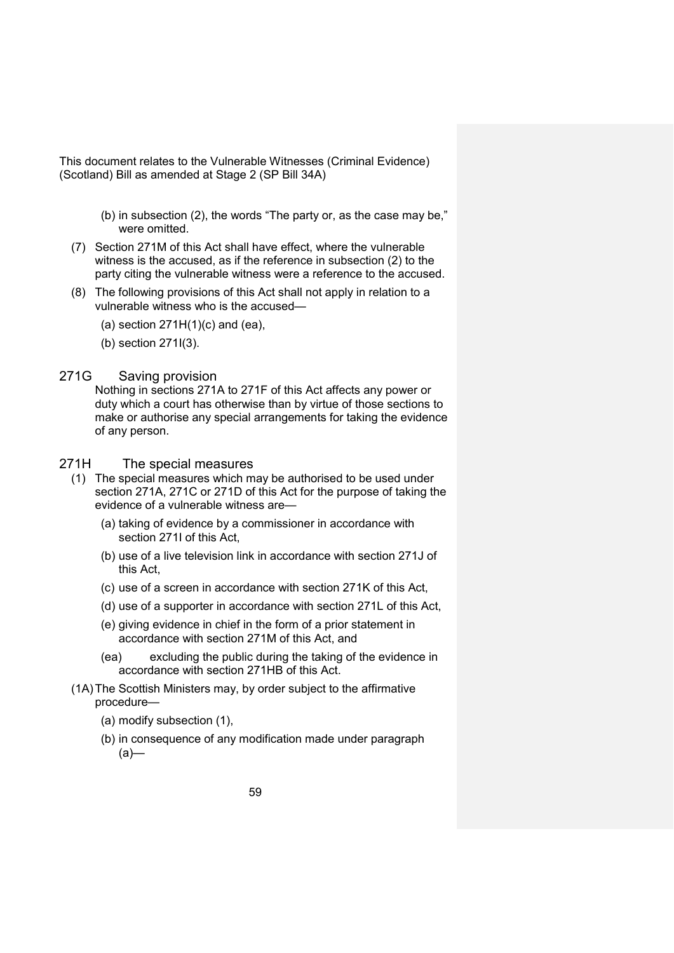- (b) in subsection (2), the words "The party or, as the case may be," were omitted.
- (7) Section 271M of this Act shall have effect, where the vulnerable witness is the accused, as if the reference in subsection (2) to the party citing the vulnerable witness were a reference to the accused.
- (8) The following provisions of this Act shall not apply in relation to a vulnerable witness who is the accused—
	- (a) section 271H(1)(c) and (ea),
	- (b) section 271I(3).
- 271G Saving provision

 Nothing in sections 271A to 271F of this Act affects any power or duty which a court has otherwise than by virtue of those sections to make or authorise any special arrangements for taking the evidence of any person.

271H The special measures

- (1) The special measures which may be authorised to be used under section 271A, 271C or 271D of this Act for the purpose of taking the evidence of a vulnerable witness are—
	- (a) taking of evidence by a commissioner in accordance with section 271I of this Act,
	- (b) use of a live television link in accordance with section 271J of this Act,
	- (c) use of a screen in accordance with section 271K of this Act,
	- (d) use of a supporter in accordance with section 271L of this Act,
	- (e) giving evidence in chief in the form of a prior statement in accordance with section 271M of this Act, and
	- (ea) excluding the public during the taking of the evidence in accordance with section 271HB of this Act.
- (1A) The Scottish Ministers may, by order subject to the affirmative procedure—
	- (a) modify subsection (1),
	- (b) in consequence of any modification made under paragraph  $(a)$ —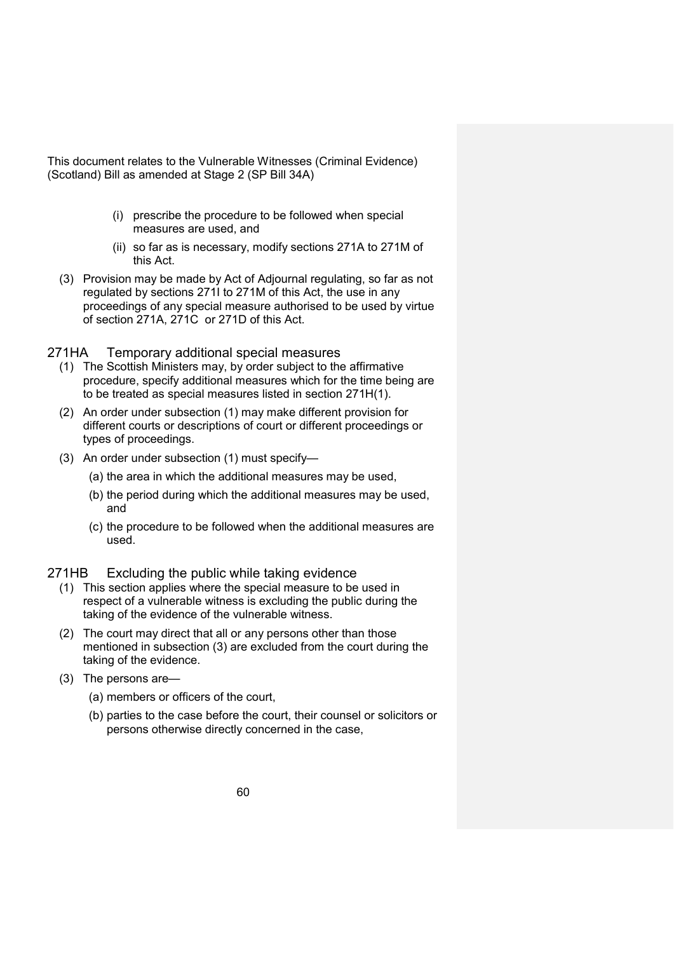- (i) prescribe the procedure to be followed when special measures are used, and
- (ii) so far as is necessary, modify sections 271A to 271M of this Act.
- (3) Provision may be made by Act of Adjournal regulating, so far as not regulated by sections 271I to 271M of this Act, the use in any proceedings of any special measure authorised to be used by virtue of section 271A, 271C or 271D of this Act.

271HA Temporary additional special measures

- (1) The Scottish Ministers may, by order subject to the affirmative procedure, specify additional measures which for the time being are to be treated as special measures listed in section 271H(1).
- (2) An order under subsection (1) may make different provision for different courts or descriptions of court or different proceedings or types of proceedings.
- (3) An order under subsection (1) must specify—
	- (a) the area in which the additional measures may be used,
	- (b) the period during which the additional measures may be used, and
	- (c) the procedure to be followed when the additional measures are used.
- 271HB Excluding the public while taking evidence
	- (1) This section applies where the special measure to be used in respect of a vulnerable witness is excluding the public during the taking of the evidence of the vulnerable witness.
	- (2) The court may direct that all or any persons other than those mentioned in subsection (3) are excluded from the court during the taking of the evidence.
	- (3) The persons are—
		- (a) members or officers of the court,
		- (b) parties to the case before the court, their counsel or solicitors or persons otherwise directly concerned in the case,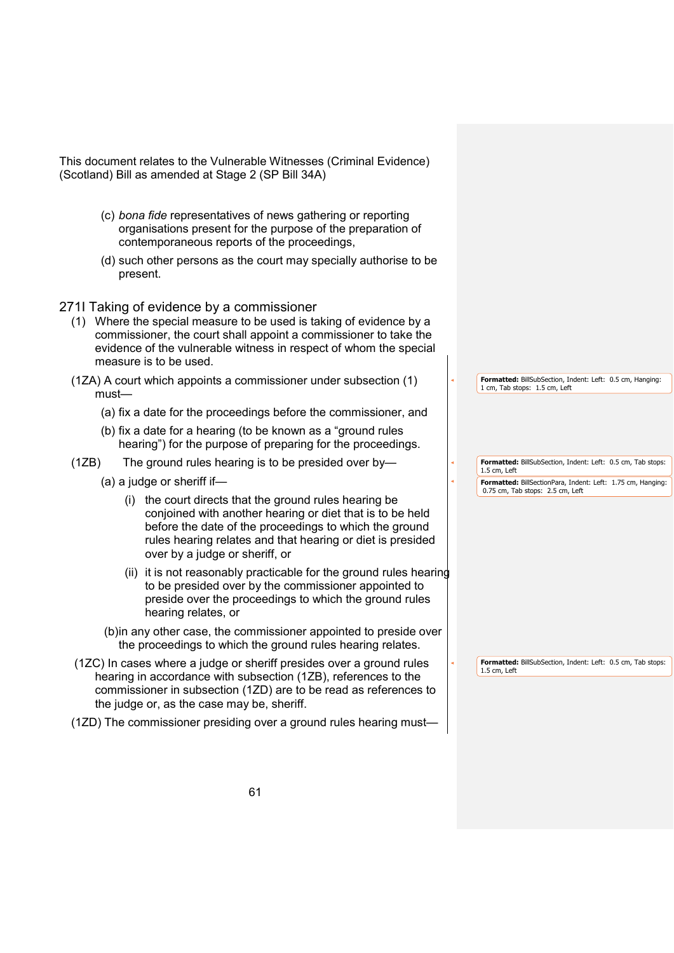- (c) *bona fide* representatives of news gathering or reporting organisations present for the purpose of the preparation of contemporaneous reports of the proceedings,
- (d) such other persons as the court may specially authorise to be present.

271I Taking of evidence by a commissioner

- (1) Where the special measure to be used is taking of evidence by a commissioner, the court shall appoint a commissioner to take the evidence of the vulnerable witness in respect of whom the special measure is to be used.
- (1ZA) A court which appoints a commissioner under subsection (1)  $\overline{\phantom{a}}$  **Formatted:** BillSubSection, In any stops: 1.5 cm, Left (1) **1 cm, Tab stops: 1.5 cm, Left** must—
	- (a) fix a date for the proceedings before the commissioner, and
	- (b) fix a date for a hearing (to be known as a "ground rules hearing") for the purpose of preparing for the proceedings.

| (1ZB) |  | The ground rules hearing is to be presided over by- |  |  |
|-------|--|-----------------------------------------------------|--|--|
|-------|--|-----------------------------------------------------|--|--|

- (a) a judge or sheriff if—
	- (i) the court directs that the ground rules hearing be conjoined with another hearing or diet that is to be held before the date of the proceedings to which the ground rules hearing relates and that hearing or diet is presided over by a judge or sheriff, or
	- (ii) it is not reasonably practicable for the ground rules hearing to be presided over by the commissioner appointed to preside over the proceedings to which the ground rules hearing relates, or
- (b)in any other case, the commissioner appointed to preside over the proceedings to which the ground rules hearing relates.
- (1ZC) In cases where a judge or sheriff presides over a ground rules Formatted: hearing in accordance with subsection (1ZB), references to the commissioner in subsection (1ZD) are to be read as references to the judge or, as the case may be, sheriff.
- (1ZD) The commissioner presiding over a ground rules hearing must—

| <b>Formatted:</b> BillSubSection, Indent: Left: 0.5 cm, Hanging:<br>1 cm, Tab stops: 1.5 cm, Left      |
|--------------------------------------------------------------------------------------------------------|
|                                                                                                        |
|                                                                                                        |
|                                                                                                        |
|                                                                                                        |
| Formatted: BillSubSection, Indent: Left: 0.5 cm, Tab stops:<br>1.5 cm, Left                            |
| <b>Formatted:</b> BillSectionPara, Indent: Left: 1.75 cm, Hanging:<br>0.75 cm, Tab stops: 2.5 cm, Left |
|                                                                                                        |
|                                                                                                        |
|                                                                                                        |
|                                                                                                        |
|                                                                                                        |

 **Formatted:** BillSubSection, Indent: Left: 0.5 cm, Tab stops:  $1.5$  cm. Left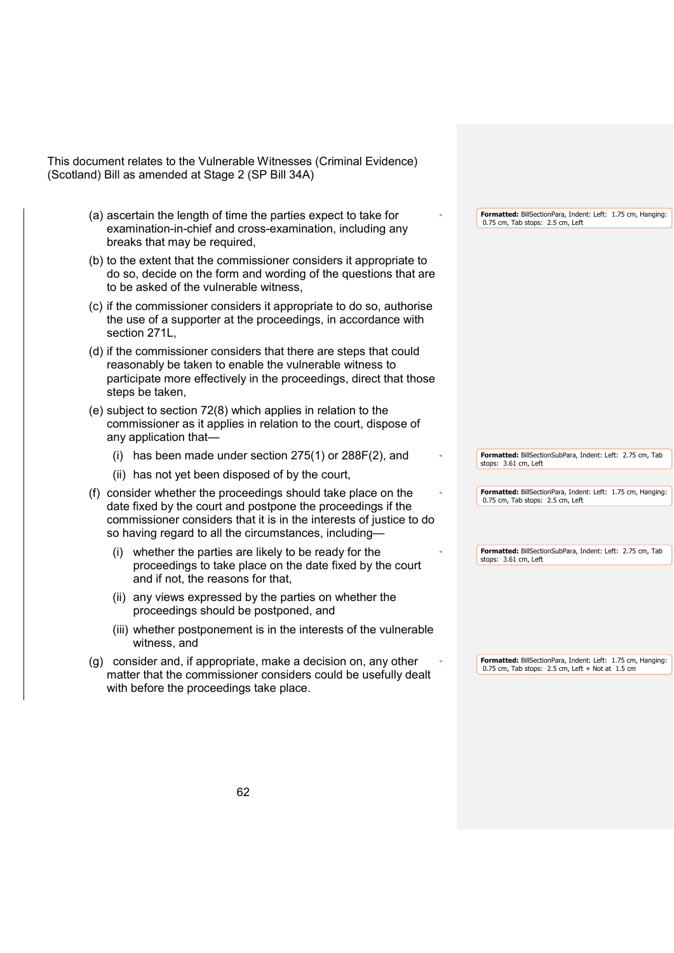- (a) ascertain the length of time the parties expect to take for examination-in-chief and cross-examination, including any breaks that may be required,
- (b) to the extent that the commissioner considers it appropriate to do so, decide on the form and wording of the questions that are to be asked of the vulnerable witness,
- (c) if the commissioner considers it appropriate to do so, authorise the use of a supporter at the proceedings, in accordance with section 271L,
- (d) if the commissioner considers that there are steps that could reasonably be taken to enable the vulnerable witness to participate more effectively in the proceedings, direct that those steps be taken,
- (e) subject to section 72(8) which applies in relation to the commissioner as it applies in relation to the court, dispose of any application that—
	- (i) has been made under section 275(1) or 288F(2), and
	- (ii) has not yet been disposed of by the court,
- (f) consider whether the proceedings should take place on the date fixed by the court and postpone the proceedings if the commissioner considers that it is in the interests of justice to do so having regard to all the circumstances, including—
	- (i) whether the parties are likely to be ready for the proceedings to take place on the date fixed by the court and if not, the reasons for that,
	- (ii) any views expressed by the parties on whether the proceedings should be postponed, and
	- (iii) whether postponement is in the interests of the vulnerable witness, and
- (g) consider and, if appropriate, make a decision on, any other matter that the commissioner considers could be usefully dealt with before the proceedings take place.

 **Formatted:** BillSectionPara, Indent: Left: 1.75 cm, Hanging: 0.75 cm, Tab stops: 2.5 cm, Left

 **Formatted:** BillSectionSubPara, Indent: Left: 2.75 cm, Tab stops: 3.61 cm, Left

 **Formatted:** BillSectionPara, Indent: Left: 1.75 cm, Hanging: 0.75 cm, Tab stops: 2.5 cm, Left

 **Formatted:** BillSectionSubPara, Indent: Left: 2.75 cm, Tab stops: 3.61 cm, Left

 **Formatted:** BillSectionPara, Indent: Left: 1.75 cm, Hanging: 0.75 cm, Tab stops: 2.5 cm, Left + Not at 1.5 cm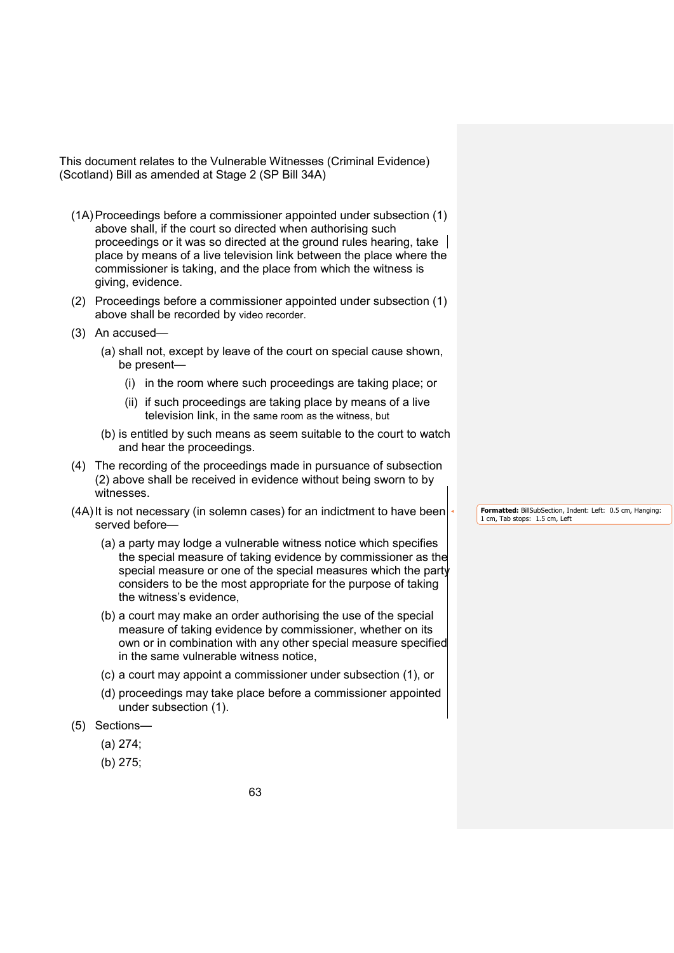- (1A) Proceedings before a commissioner appointed under subsection (1) above shall, if the court so directed when authorising such proceedings or it was so directed at the ground rules hearing, take place by means of a live television link between the place where the commissioner is taking, and the place from which the witness is giving, evidence.
- (2) Proceedings before a commissioner appointed under subsection (1) above shall be recorded by video recorder.
- (3) An accused—
	- (a) shall not, except by leave of the court on special cause shown, be present—
		- (i) in the room where such proceedings are taking place; or
		- (ii) if such proceedings are taking place by means of a live television link, in the same room as the witness, but
	- (b) is entitled by such means as seem suitable to the court to watch and hear the proceedings.
- (4) The recording of the proceedings made in pursuance of subsection (2) above shall be received in evidence without being sworn to by witnesses.
- $(4A)$  It is not necessary (in solemn cases) for an indictment to have been **formatted:** BillSubSection, In ab stops: 1.5 cm, Left (4A) It cm, Tab stops: 1.5 cm, Left served before—
	- (a) a party may lodge a vulnerable witness notice which specifies the special measure of taking evidence by commissioner as the special measure or one of the special measures which the party considers to be the most appropriate for the purpose of taking the witness's evidence,
	- (b) a court may make an order authorising the use of the special measure of taking evidence by commissioner, whether on its own or in combination with any other special measure specified in the same vulnerable witness notice,
	- (c) a court may appoint a commissioner under subsection (1), or
	- (d) proceedings may take place before a commissioner appointed under subsection (1).
- (5) Sections—
	- (a) 274;
	- (b) 275;

 **Formatted:** BillSubSection, Indent: Left: 0.5 cm, Hanging: 1 cm. Tab stops: 1.5 cm. Left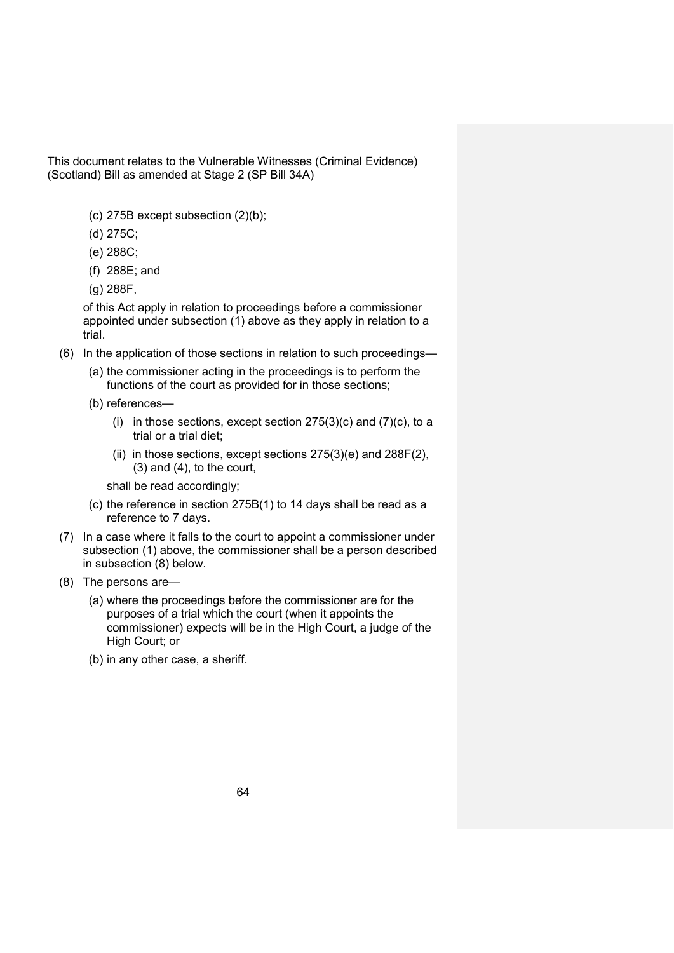- (c) 275B except subsection (2)(b);
- (d) 275C;
- (e) 288C;
- (f) 288E; and
- (g) 288F,

 of this Act apply in relation to proceedings before a commissioner appointed under subsection (1) above as they apply in relation to a trial.

- (6) In the application of those sections in relation to such proceedings—
	- (a) the commissioner acting in the proceedings is to perform the functions of the court as provided for in those sections;
	- (b) references—
		- (i) in those sections, except section  $275(3)(c)$  and  $(7)(c)$ , to a trial or a trial diet;
		- (ii) in those sections, except sections 275(3)(e) and 288F(2), (3) and (4), to the court,

shall be read accordingly;

- (c) the reference in section 275B(1) to 14 days shall be read as a reference to 7 days.
- (7) In a case where it falls to the court to appoint a commissioner under subsection (1) above, the commissioner shall be a person described in subsection (8) below.
- (8) The persons are—
	- (a) where the proceedings before the commissioner are for the purposes of a trial which the court (when it appoints the commissioner) expects will be in the High Court, a judge of the High Court; or
	- (b) in any other case, a sheriff.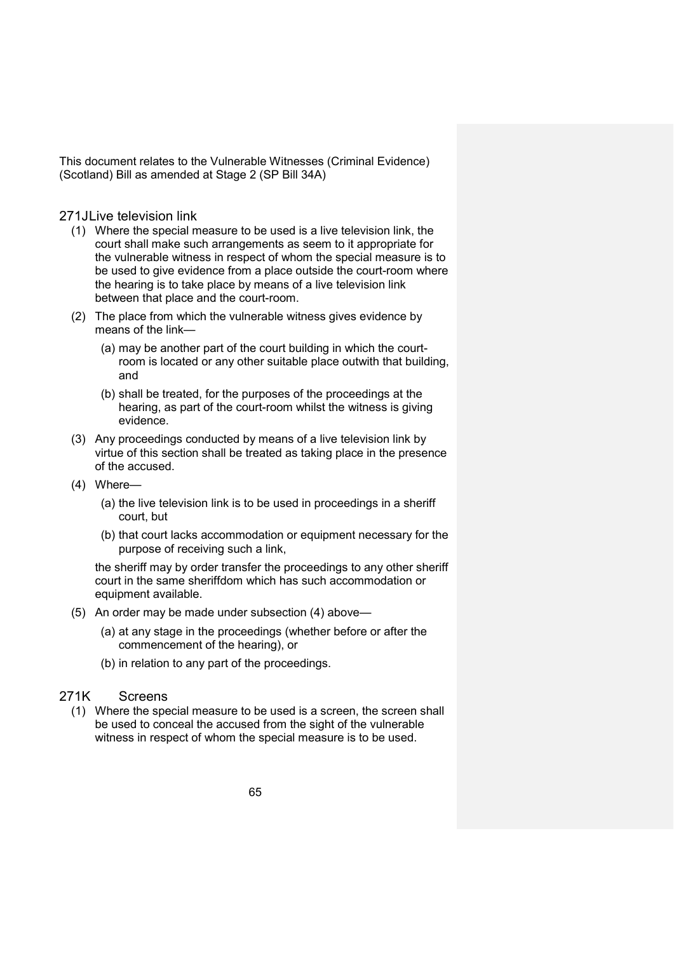#### 271JLive television link

- (1) Where the special measure to be used is a live television link, the court shall make such arrangements as seem to it appropriate for the vulnerable witness in respect of whom the special measure is to be used to give evidence from a place outside the court-room where the hearing is to take place by means of a live television link between that place and the court-room.
- (2) The place from which the vulnerable witness gives evidence by means of the link—
	- (a) may be another part of the court building in which the court- room is located or any other suitable place outwith that building, and
	- (b) shall be treated, for the purposes of the proceedings at the hearing, as part of the court-room whilst the witness is giving evidence.
- (3) Any proceedings conducted by means of a live television link by virtue of this section shall be treated as taking place in the presence of the accused.
- (4) Where—
	- (a) the live television link is to be used in proceedings in a sheriff court, but
	- (b) that court lacks accommodation or equipment necessary for the purpose of receiving such a link,

 the sheriff may by order transfer the proceedings to any other sheriff court in the same sheriffdom which has such accommodation or equipment available.

- (5) An order may be made under subsection (4) above—
	- (a) at any stage in the proceedings (whether before or after the commencement of the hearing), or
	- (b) in relation to any part of the proceedings.

#### 271K Screens

 (1) Where the special measure to be used is a screen, the screen shall be used to conceal the accused from the sight of the vulnerable witness in respect of whom the special measure is to be used.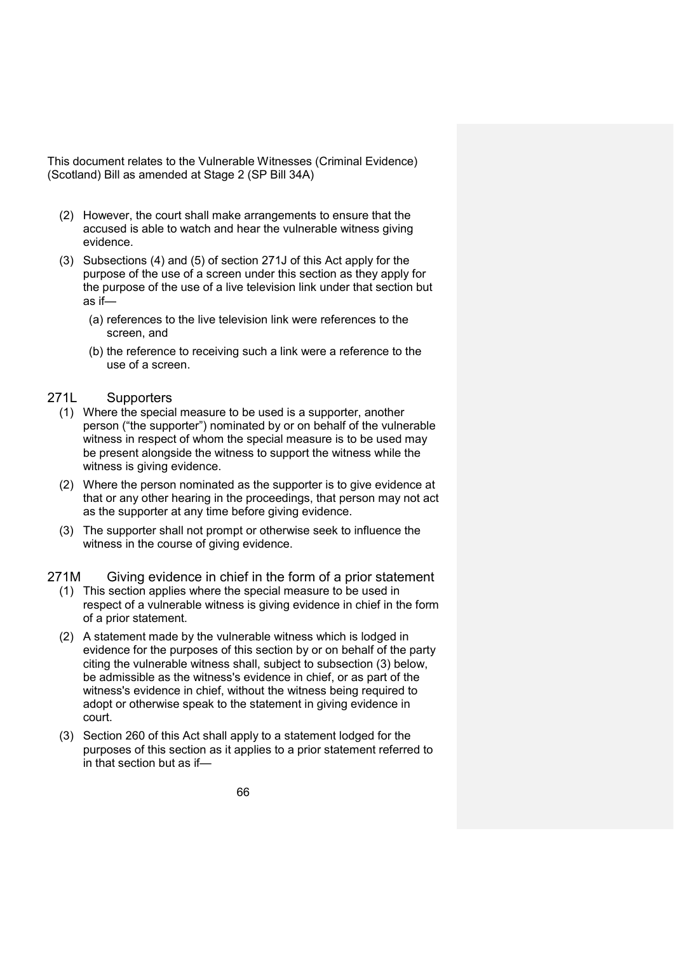- (2) However, the court shall make arrangements to ensure that the accused is able to watch and hear the vulnerable witness giving evidence.
- (3) Subsections (4) and (5) of section 271J of this Act apply for the purpose of the use of a screen under this section as they apply for the purpose of the use of a live television link under that section but as if—
	- (a) references to the live television link were references to the screen, and
	- (b) the reference to receiving such a link were a reference to the use of a screen.

#### 271L Supporters

- (1) Where the special measure to be used is a supporter, another person ("the supporter") nominated by or on behalf of the vulnerable witness in respect of whom the special measure is to be used may be present alongside the witness to support the witness while the witness is giving evidence.
- (2) Where the person nominated as the supporter is to give evidence at that or any other hearing in the proceedings, that person may not act as the supporter at any time before giving evidence.
- (3) The supporter shall not prompt or otherwise seek to influence the witness in the course of giving evidence.

## 271M Giving evidence in chief in the form of a prior statement

- (1) This section applies where the special measure to be used in respect of a vulnerable witness is giving evidence in chief in the form of a prior statement.
- (2) A statement made by the vulnerable witness which is lodged in evidence for the purposes of this section by or on behalf of the party citing the vulnerable witness shall, subject to subsection (3) below, be admissible as the witness's evidence in chief, or as part of the witness's evidence in chief, without the witness being required to adopt or otherwise speak to the statement in giving evidence in court.
- (3) Section 260 of this Act shall apply to a statement lodged for the purposes of this section as it applies to a prior statement referred to in that section but as if—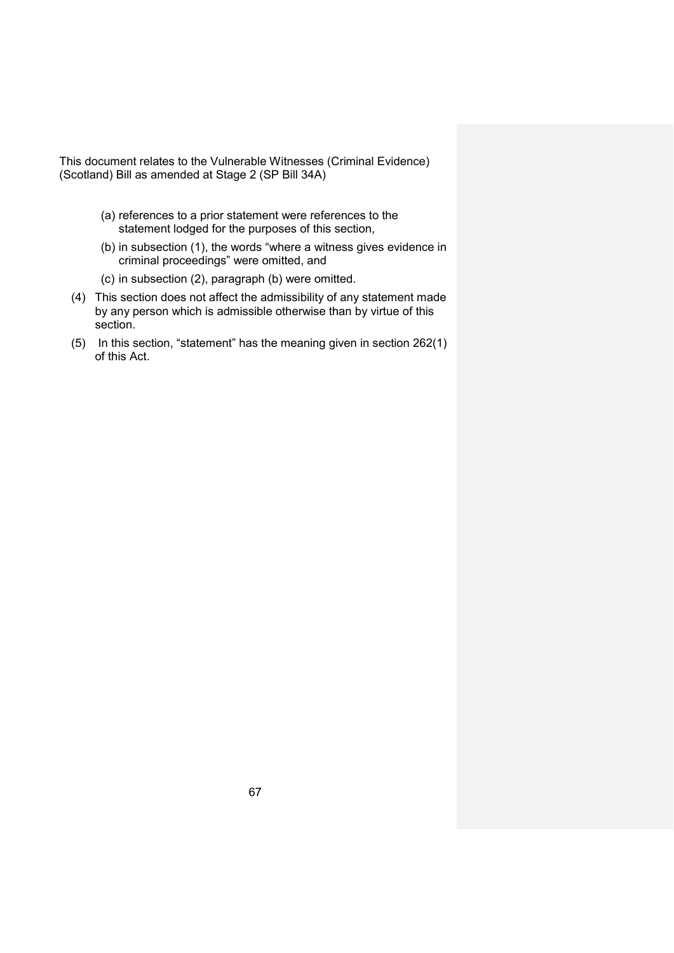- (a) references to a prior statement were references to the statement lodged for the purposes of this section,
- (b) in subsection (1), the words "where a witness gives evidence in criminal proceedings" were omitted, and
- (c) in subsection (2), paragraph (b) were omitted.
- (4) This section does not affect the admissibility of any statement made by any person which is admissible otherwise than by virtue of this section.
- (5) In this section, "statement" has the meaning given in section 262(1) of this Act.